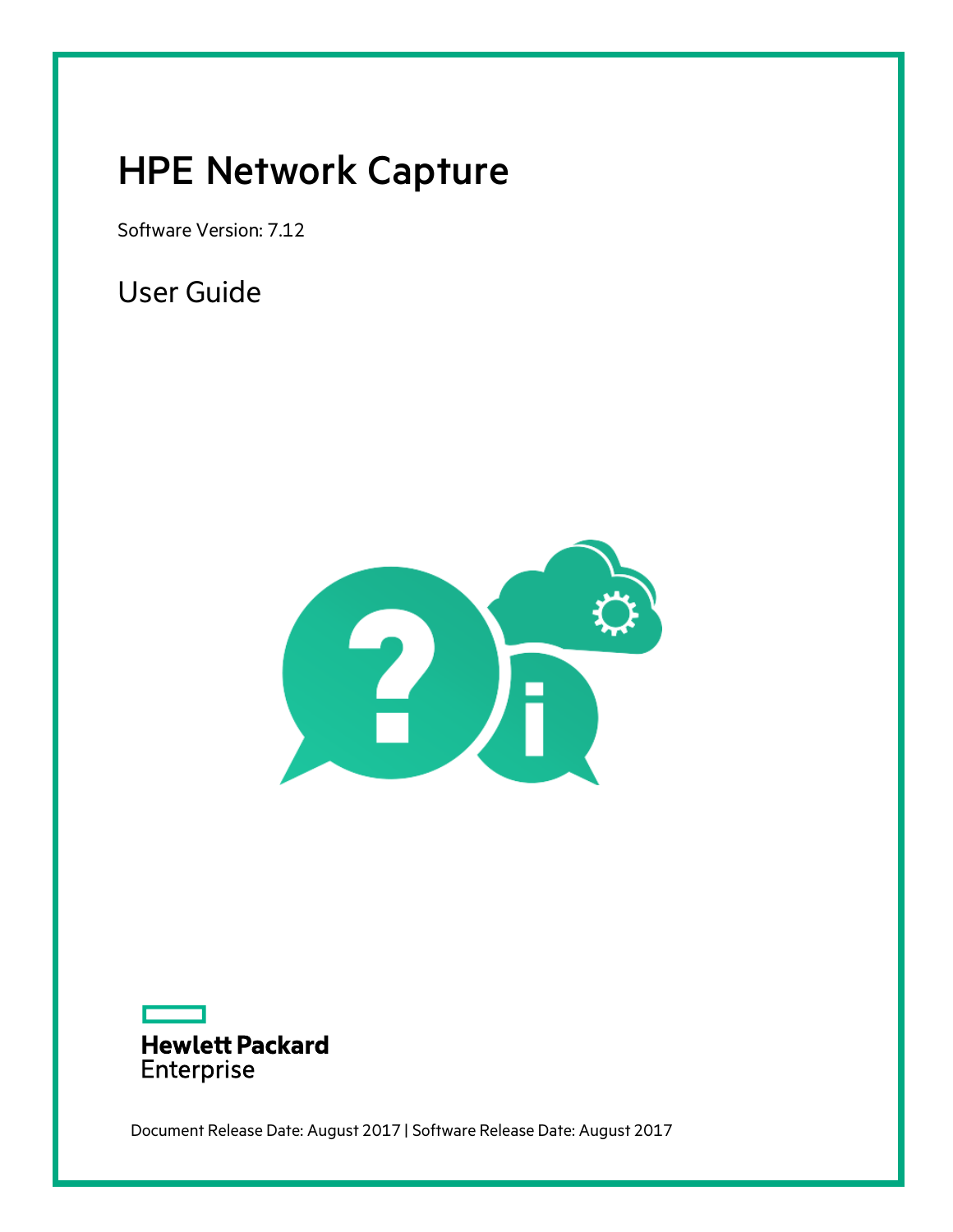# <span id="page-0-0"></span>HPE Network Capture

Software Version: 7.12

User Guide





Document Release Date: August 2017 | Software Release Date: August 2017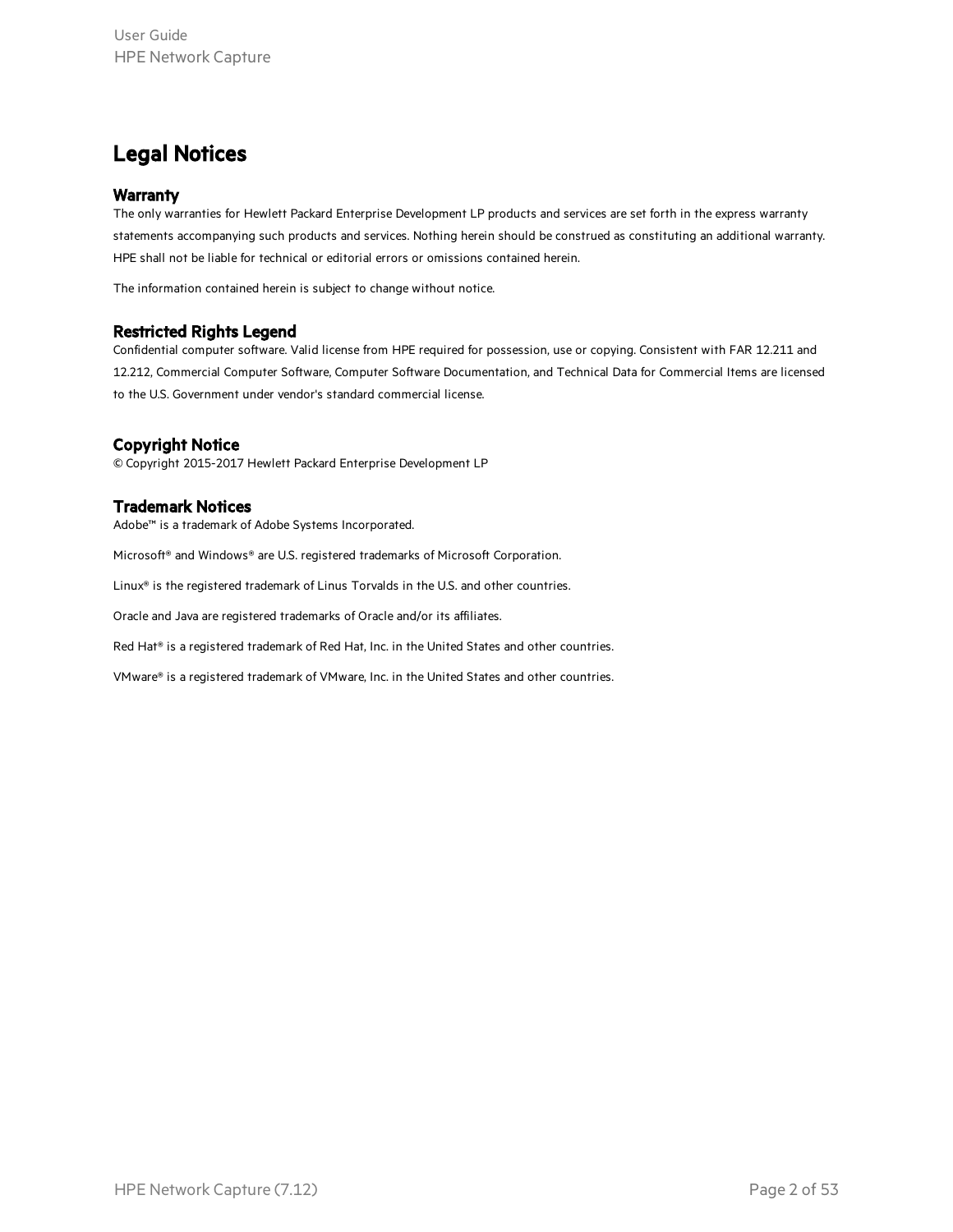### Legal Notices

#### **Warranty**

The only warranties for Hewlett Packard Enterprise Development LP products and services are set forth in the express warranty statements accompanying such products and services. Nothing herein should be construed as constituting an additional warranty. HPE shall not be liable for technical or editorial errors or omissions contained herein.

The information contained herein is subject to change without notice.

#### Restricted Rights Legend

Confidential computer software. Valid license from HPE required for possession, use or copying. Consistent with FAR 12.211 and 12.212, Commercial Computer Software, Computer Software Documentation, and Technical Data for Commercial Items are licensed to the U.S. Government under vendor's standard commercial license.

#### Copyright Notice

© Copyright 2015-2017 Hewlett Packard Enterprise Development LP

#### Trademark Notices

Adobe™ is a trademark of Adobe Systems Incorporated.

Microsoft® and Windows® are U.S. registered trademarks of Microsoft Corporation.

Linux® is the registered trademark of Linus Torvalds in the U.S. and other countries.

Oracle and Java are registered trademarks of Oracle and/or its affiliates.

Red Hat® is a registered trademark of Red Hat, Inc. in the United States and other countries.

VMware® is a registered trademark of VMware, Inc. in the United States and other countries.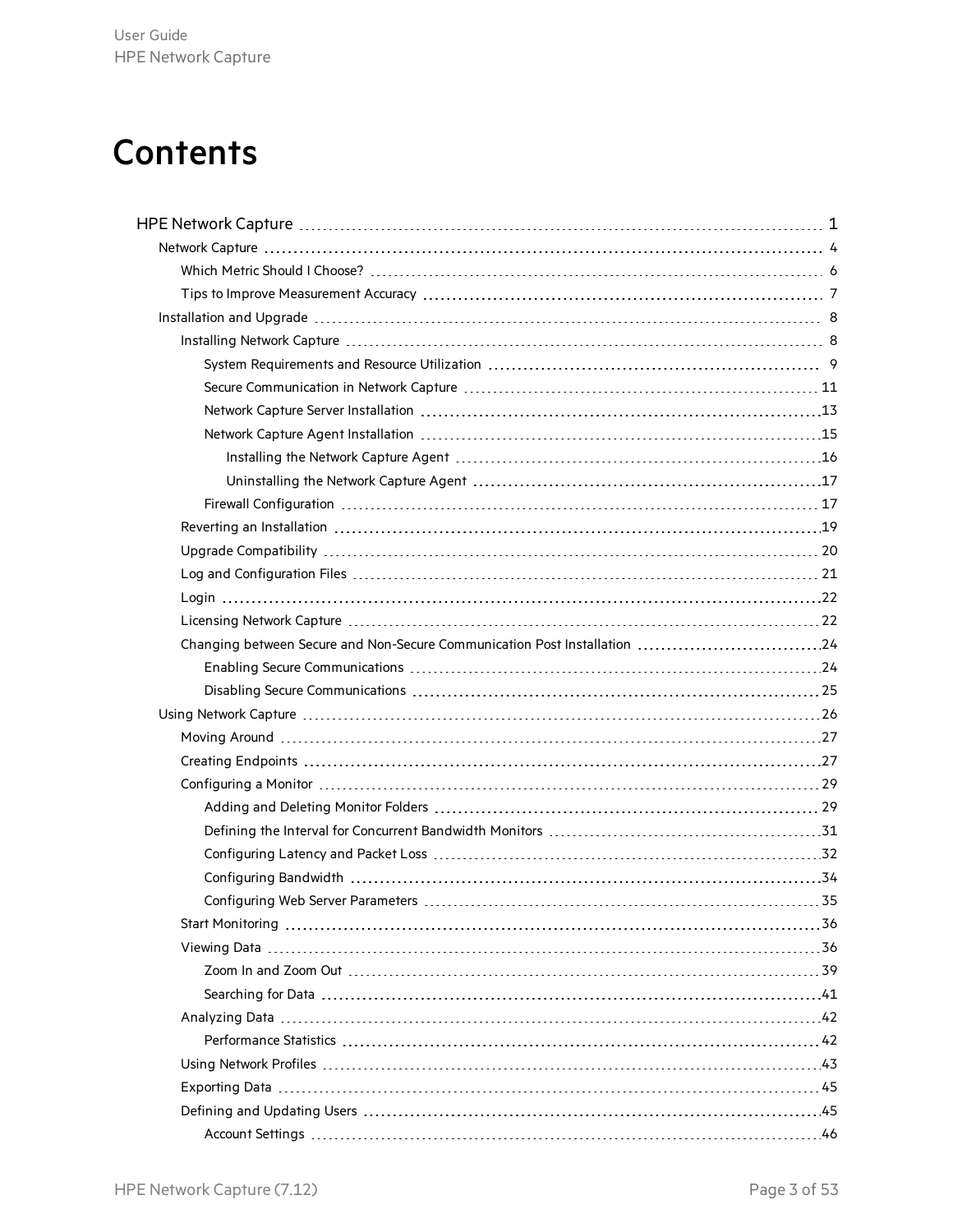# **Contents**

| Changing between Secure and Non-Secure Communication Post Installation 24 |  |
|---------------------------------------------------------------------------|--|
|                                                                           |  |
|                                                                           |  |
|                                                                           |  |
|                                                                           |  |
|                                                                           |  |
|                                                                           |  |
|                                                                           |  |
|                                                                           |  |
|                                                                           |  |
|                                                                           |  |
|                                                                           |  |
|                                                                           |  |
|                                                                           |  |
|                                                                           |  |
|                                                                           |  |
|                                                                           |  |
|                                                                           |  |
|                                                                           |  |
|                                                                           |  |
|                                                                           |  |
|                                                                           |  |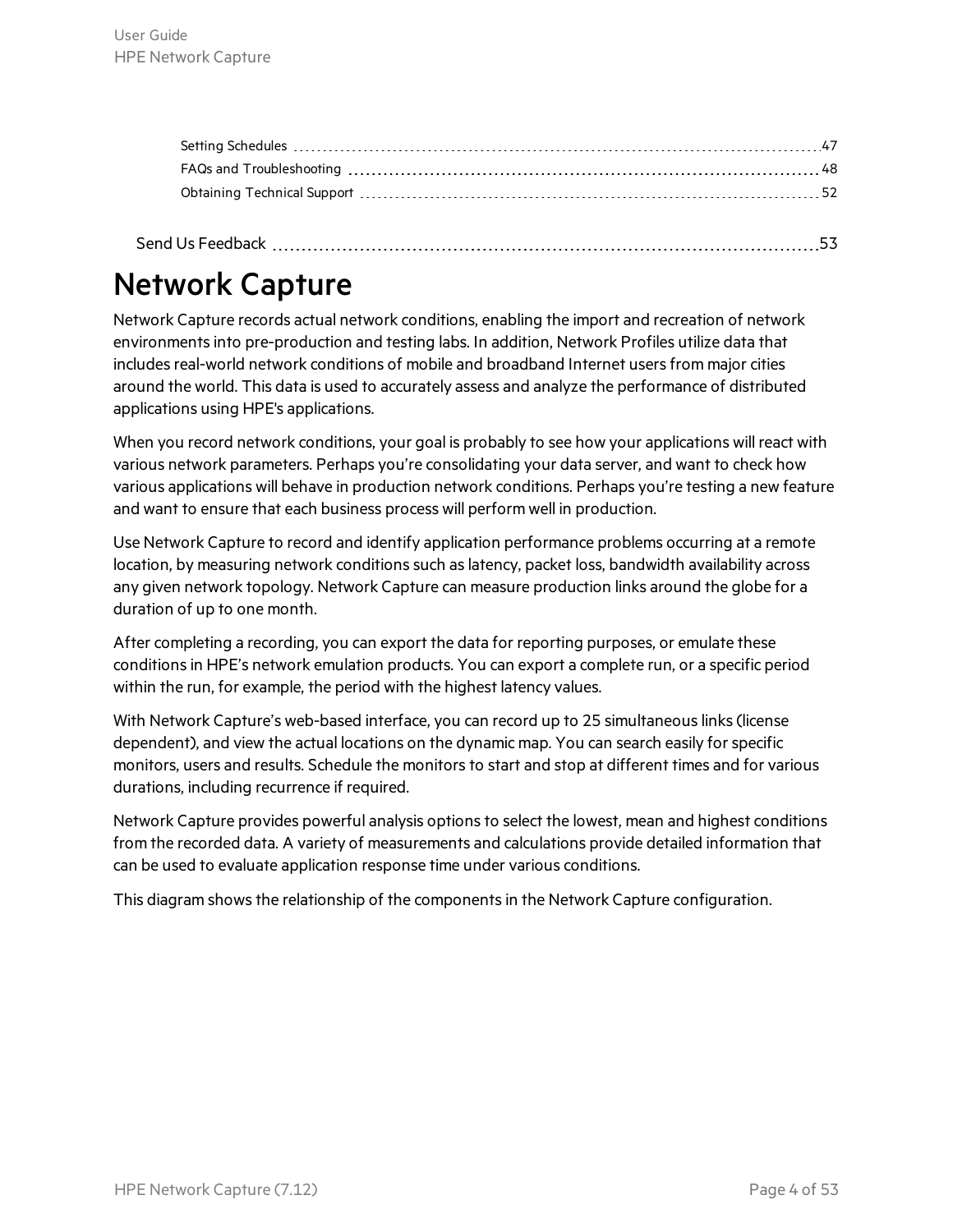<span id="page-3-0"></span>

|--|

# Network Capture

Network Capture records actual network conditions, enabling the import and recreation of network environments into pre-production and testing labs. In addition, Network Profiles utilize data that includes real-world network conditions of mobile and broadband Internet users from major cities around the world. This data is used to accurately assess and analyze the performance of distributed applications using HPE's applications.

When you record network conditions, your goal is probably to see how your applications will react with various network parameters. Perhaps you're consolidating your data server, and want to check how various applications will behave in production network conditions. Perhaps you're testing a new feature and want to ensure that each business process will perform well in production.

Use Network Capture to record and identify application performance problems occurring at a remote location, by measuring network conditions such as latency, packet loss, bandwidth availability across any given network topology. Network Capture can measure production links around the globe for a duration of up to one month.

After completing a recording, you can export the data for reporting purposes, or emulate these conditions in HPE's network emulation products. You can export a complete run, or a specific period within the run, for example, the period with the highest latency values.

With Network Capture's web-based interface, you can record up to 25 simultaneous links (license dependent), and view the actual locations on the dynamic map. You can search easily forspecific monitors, users and results. Schedule the monitors to start and stop at different times and for various durations, including recurrence if required.

Network Capture provides powerful analysis options to select the lowest, mean and highest conditions from the recorded data. A variety of measurements and calculations provide detailed information that can be used to evaluate application response time under various conditions.

This diagram shows the relationship of the components in the Network Capture configuration.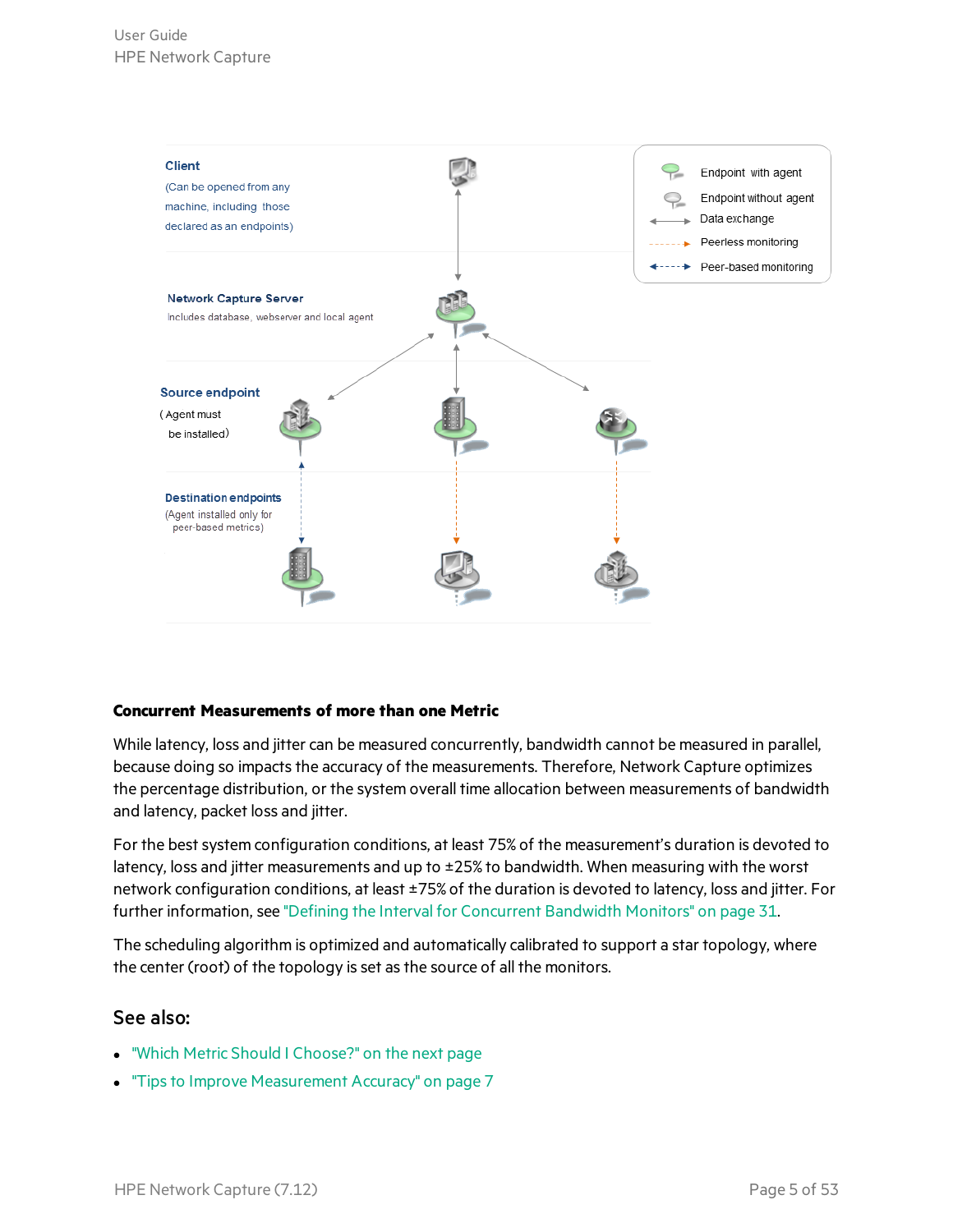

#### **Concurrent Measurements of more than one Metric**

While latency, loss and jitter can be measured concurrently, bandwidth cannot be measured in parallel, because doing so impacts the accuracy of the measurements. Therefore, Network Capture optimizes the percentage distribution, or the system overall time allocation between measurements of bandwidth and latency, packet loss and jitter.

For the best system configuration conditions, at least 75% of the measurement's duration is devoted to latency, loss and jitter measurements and up to ±25% to bandwidth. When measuring with the worst network configuration conditions, at least ±75% of the duration is devoted to latency, loss and jitter. For further information, see "Defining the Interval for [Concurrent](#page-30-0) Bandwidth Monitors" on page 31.

The scheduling algorithm is optimized and automatically calibrated to support a star topology, where the center (root) of the topology is set as the source of all the monitors.

#### See also:

- "Which Metric Should I [Choose?"](#page-5-0) on the next page
- **.** "Tips to Improve [Measurement](#page-6-0) Accuracy" on page 7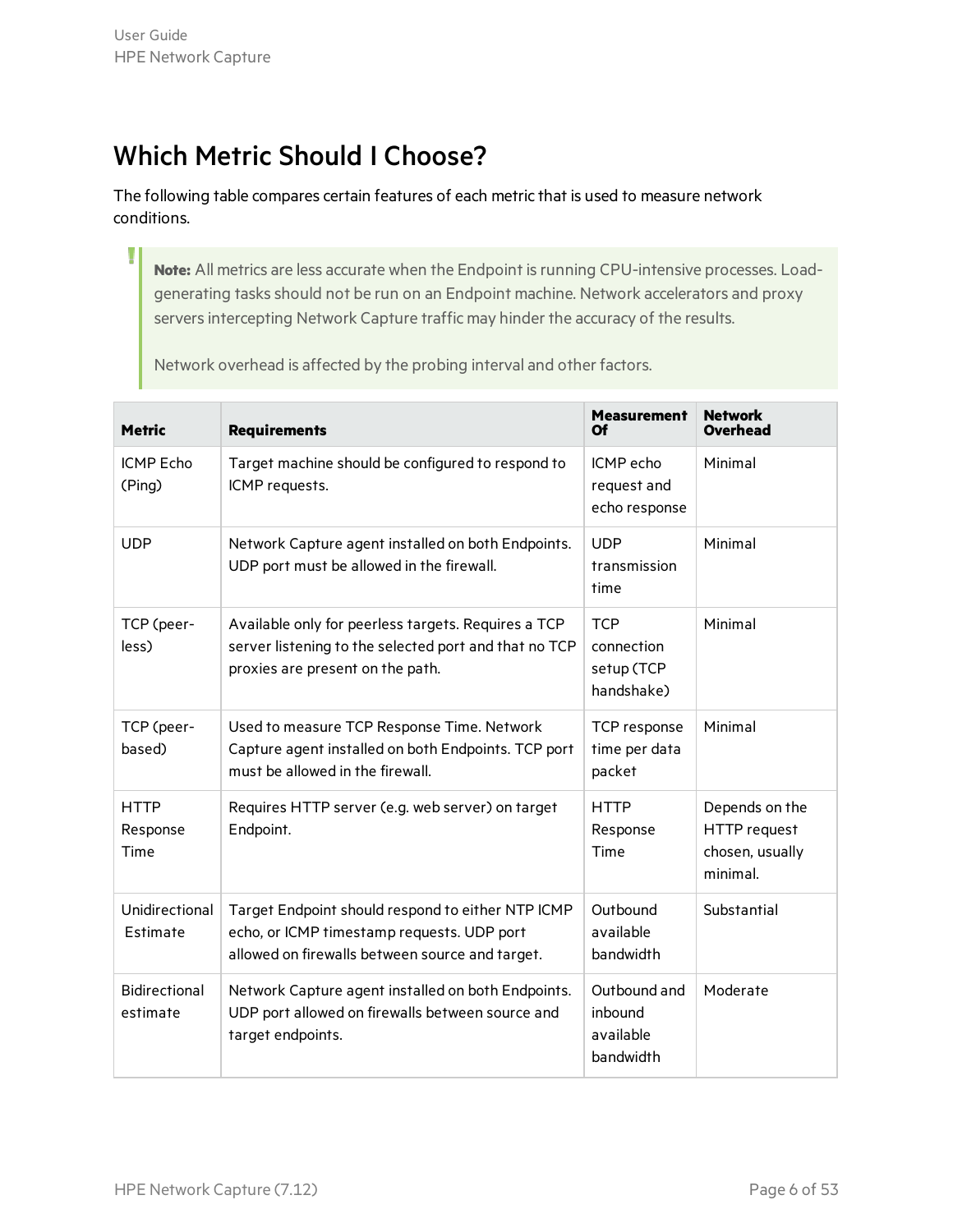T

### <span id="page-5-0"></span>Which Metric Should I Choose?

The following table compares certain features of each metric that is used to measure network conditions.

Note: All metrics are less accurate when the Endpoint is running CPU-intensive processes. Loadgenerating tasks should not be run on an Endpoint machine. Network accelerators and proxy servers intercepting Network Capture traffic may hinder the accuracy of the results.

Network overhead is affected by the probing interval and other factors.

| <b>Metric</b>                    | <b>Requirements</b>                                                                                                                                | <b>Measurement</b><br>Of                             | <b>Network</b><br>Overhead                                           |
|----------------------------------|----------------------------------------------------------------------------------------------------------------------------------------------------|------------------------------------------------------|----------------------------------------------------------------------|
| <b>ICMP Echo</b><br>(Ping)       | Target machine should be configured to respond to<br>ICMP requests.                                                                                | ICMP echo<br>request and<br>echo response            | Minimal                                                              |
| <b>UDP</b>                       | Network Capture agent installed on both Endpoints.<br>UDP port must be allowed in the firewall.                                                    | <b>UDP</b><br>transmission<br>time                   | Minimal                                                              |
| TCP (peer-<br>less)              | Available only for peerless targets. Requires a TCP<br>server listening to the selected port and that no TCP<br>proxies are present on the path.   | <b>TCP</b><br>connection<br>setup (TCP<br>handshake) | Minimal                                                              |
| TCP (peer-<br>based)             | Used to measure TCP Response Time. Network<br>Capture agent installed on both Endpoints. TCP port<br>must be allowed in the firewall.              | TCP response<br>time per data<br>packet              | Minimal                                                              |
| <b>HTTP</b><br>Response<br>Time  | Requires HTTP server (e.g. web server) on target<br>Endpoint.                                                                                      | <b>HTTP</b><br>Response<br>Time                      | Depends on the<br><b>HTTP</b> request<br>chosen, usually<br>minimal. |
| Unidirectional<br>Estimate       | Target Endpoint should respond to either NTP ICMP<br>echo, or ICMP timestamp requests. UDP port<br>allowed on firewalls between source and target. | Outbound<br>available<br>bandwidth                   | Substantial                                                          |
| <b>Bidirectional</b><br>estimate | Network Capture agent installed on both Endpoints.<br>UDP port allowed on firewalls between source and<br>target endpoints.                        | Outbound and<br>inbound<br>available<br>bandwidth    | Moderate                                                             |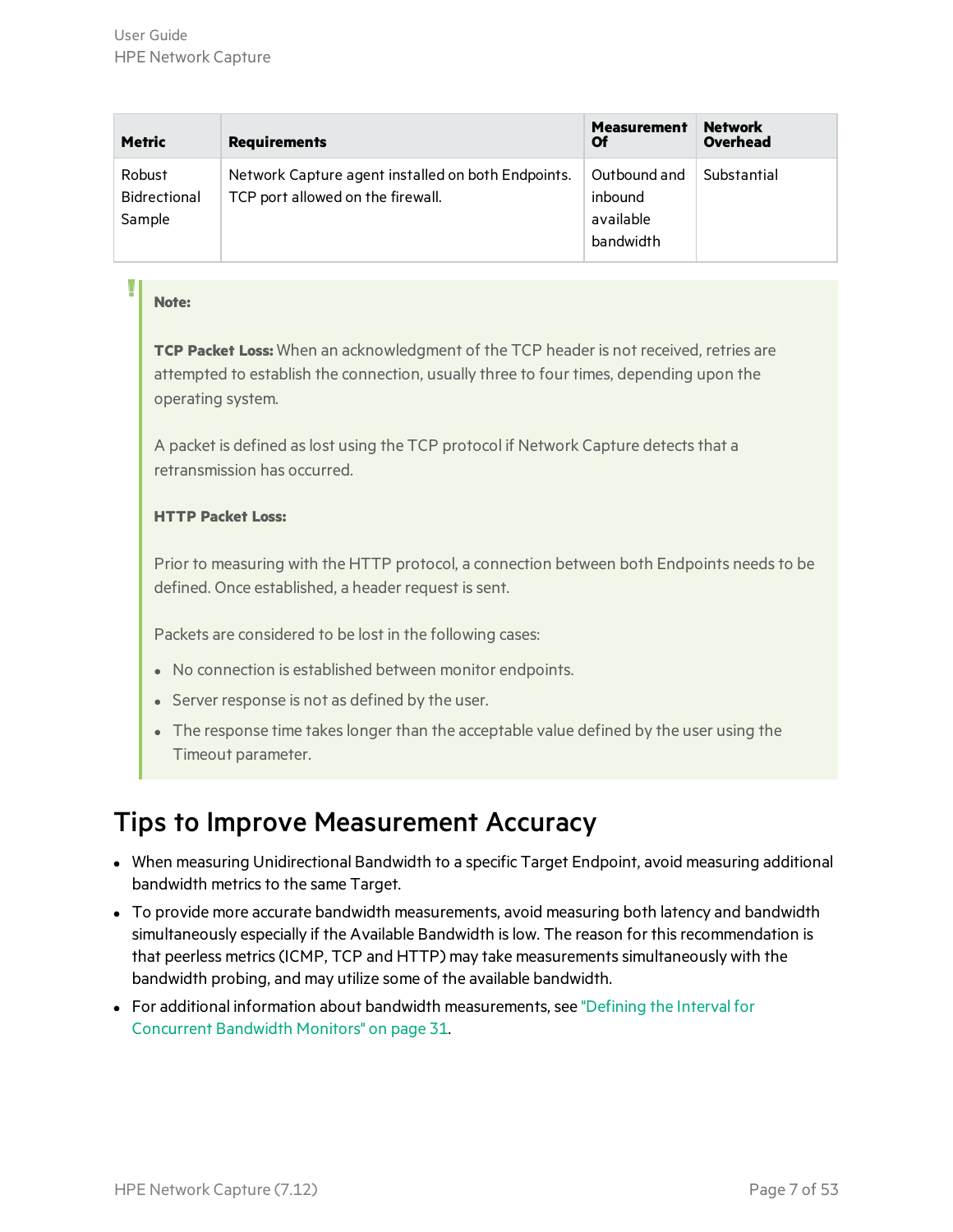| <b>Metric</b>                    | <b>Requirements</b>                                                                     | <b>Measurement</b><br>Οf                          | <b>Network</b><br><b>Overhead</b> |
|----------------------------------|-----------------------------------------------------------------------------------------|---------------------------------------------------|-----------------------------------|
| Robust<br>Bidrectional<br>Sample | Network Capture agent installed on both Endpoints.<br>TCP port allowed on the firewall. | Outbound and<br>inbound<br>available<br>bandwidth | Substantial                       |

#### **Note:**

**TCP Packet Loss:** When an acknowledgment of the TCP header is not received, retries are attempted to establish the connection, usually three to four times, depending upon the operating system.

A packet is defined as lost using the TCP protocol if Network Capture detects that a retransmission has occurred.

#### **HTTP Packet Loss:**

Prior to measuring with the HTTP protocol, a connection between both Endpoints needs to be defined. Once established, a header request is sent.

Packets are considered to be lost in the following cases:

- No connection is established between monitor endpoints.
- Server response is not as defined by the user.
- The response time takes longer than the acceptable value defined by the user using the Timeout parameter.

### <span id="page-6-0"></span>Tips to Improve Measurement Accuracy

- When measuring Unidirectional Bandwidth to a specific Target Endpoint, avoid measuring additional bandwidth metrics to the same Target.
- To provide more accurate bandwidth measurements, avoid measuring both latency and bandwidth simultaneously especially if the Available Bandwidth is low. The reason for this recommendation is that peerless metrics(ICMP, TCP and HTTP) may take measurementssimultaneously with the bandwidth probing, and may utilize some of the available bandwidth.
- For additional information about bandwidth measurements, see ["Defining](#page-30-0) the Interval for [Concurrent](#page-30-0) Bandwidth Monitors" on page 31.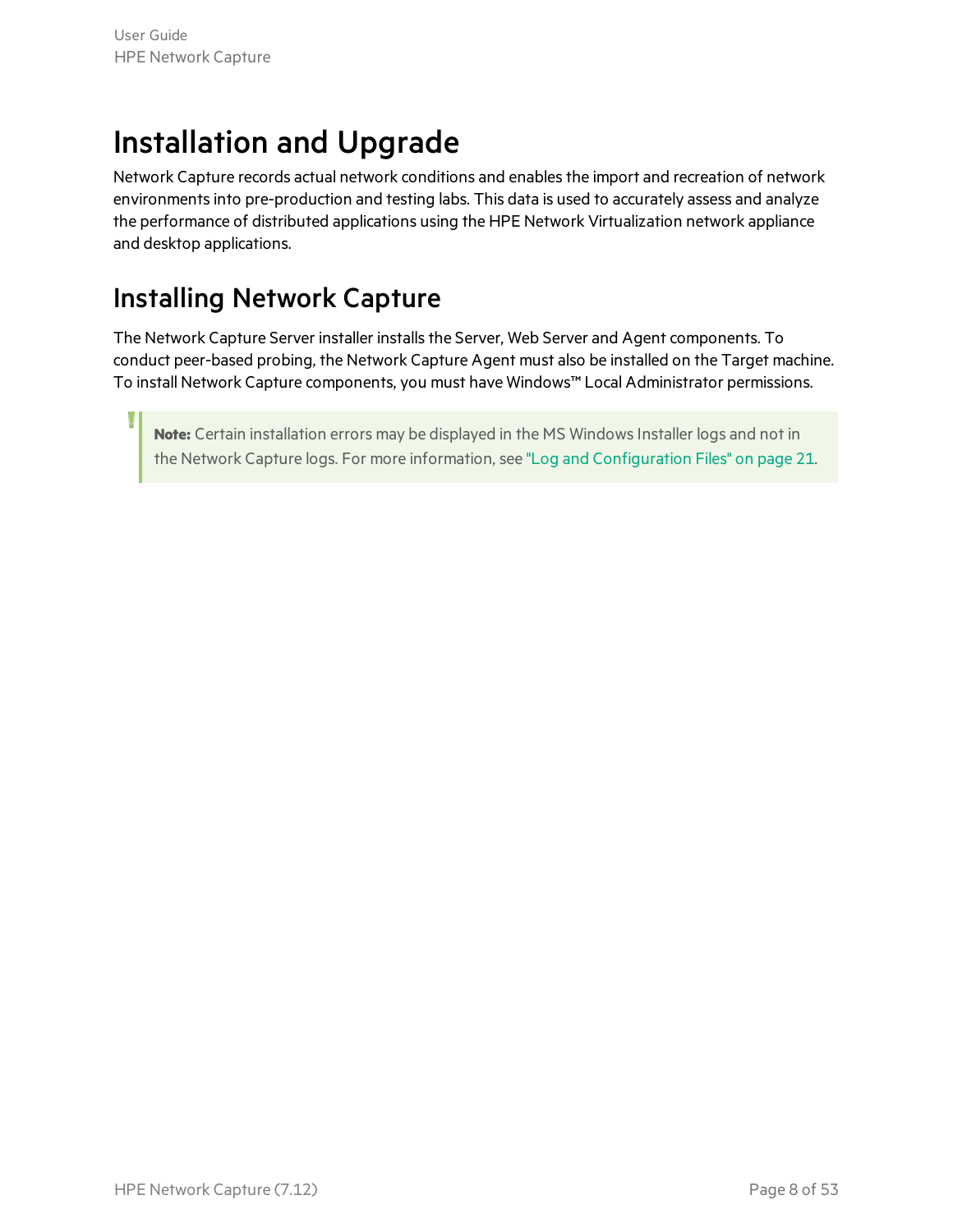# <span id="page-7-0"></span>Installation and Upgrade

Network Capture records actual network conditions and enables the import and recreation of network environments into pre-production and testing labs. This data is used to accurately assess and analyze the performance of distributed applications using the HPE Network Virtualization network appliance and desktop applications.

### <span id="page-7-1"></span>Installing Network Capture

The Network Capture Server installer installs the Server, Web Server and Agent components. To conduct peer-based probing, the Network Capture Agent must also be installed on the Target machine. To install Network Capture components, you must have Windows™ Local Administrator permissions.

**Note:** Certain installation errors may be displayed in the MS WindowsInstaller logs and not in the Network Capture logs. For more information, see "Log and [Configuration](#page-20-0) Files" on page 21.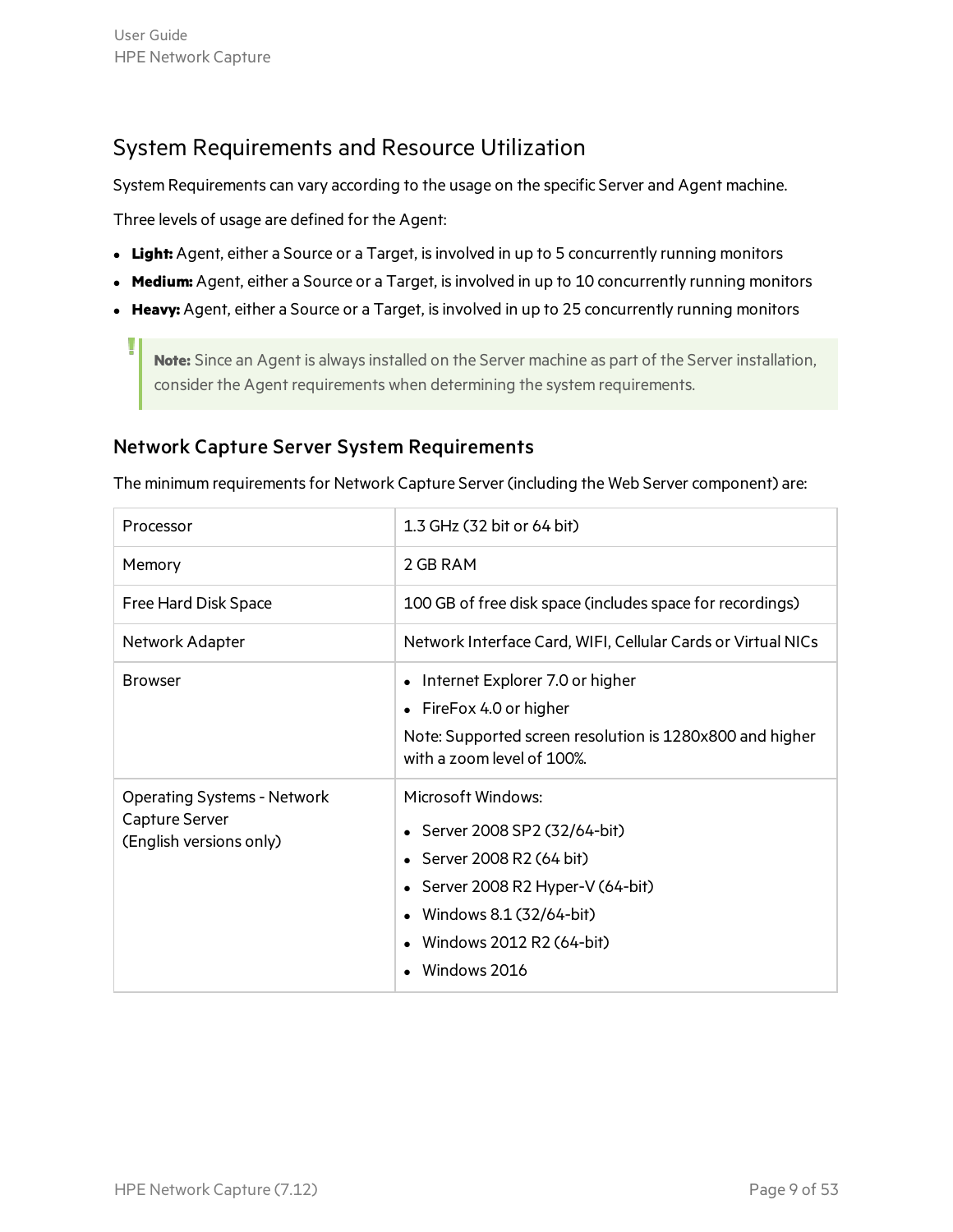### <span id="page-8-0"></span>System Requirements and Resource Utilization

System Requirements can vary according to the usage on the specific Server and Agent machine.

Three levels of usage are defined for the Agent:

- Light: Agent, either a Source or a Target, is involved in up to 5 concurrently running monitors
- **Medium:** Agent, either a Source or a Target, is involved in up to 10 concurrently running monitors
- Heavy: Agent, either a Source or a Target, is involved in up to 25 concurrently running monitors

**Note:** Since an Agent is always installed on the Server machine as part of the Server installation, consider the Agent requirements when determining the system requirements.

#### Network Capture Server System Requirements

The minimum requirements for Network Capture Server (including the Web Server component) are:

| Processor                                                                       | 1.3 GHz (32 bit or 64 bit)                                                                                                                                                               |
|---------------------------------------------------------------------------------|------------------------------------------------------------------------------------------------------------------------------------------------------------------------------------------|
| Memory                                                                          | 2 GB RAM                                                                                                                                                                                 |
| Free Hard Disk Space                                                            | 100 GB of free disk space (includes space for recordings)                                                                                                                                |
| Network Adapter                                                                 | Network Interface Card, WIFI, Cellular Cards or Virtual NICs                                                                                                                             |
| <b>Browser</b>                                                                  | Internet Explorer 7.0 or higher<br>• FireFox 4.0 or higher<br>Note: Supported screen resolution is 1280x800 and higher<br>with a zoom level of 100%.                                     |
| <b>Operating Systems - Network</b><br>Capture Server<br>(English versions only) | Microsoft Windows:<br>Server 2008 SP2 (32/64-bit)<br>• Server 2008 R2 (64 bit)<br>Server 2008 R2 Hyper-V (64-bit)<br>Windows 8.1 (32/64-bit)<br>Windows 2012 R2 (64-bit)<br>Windows 2016 |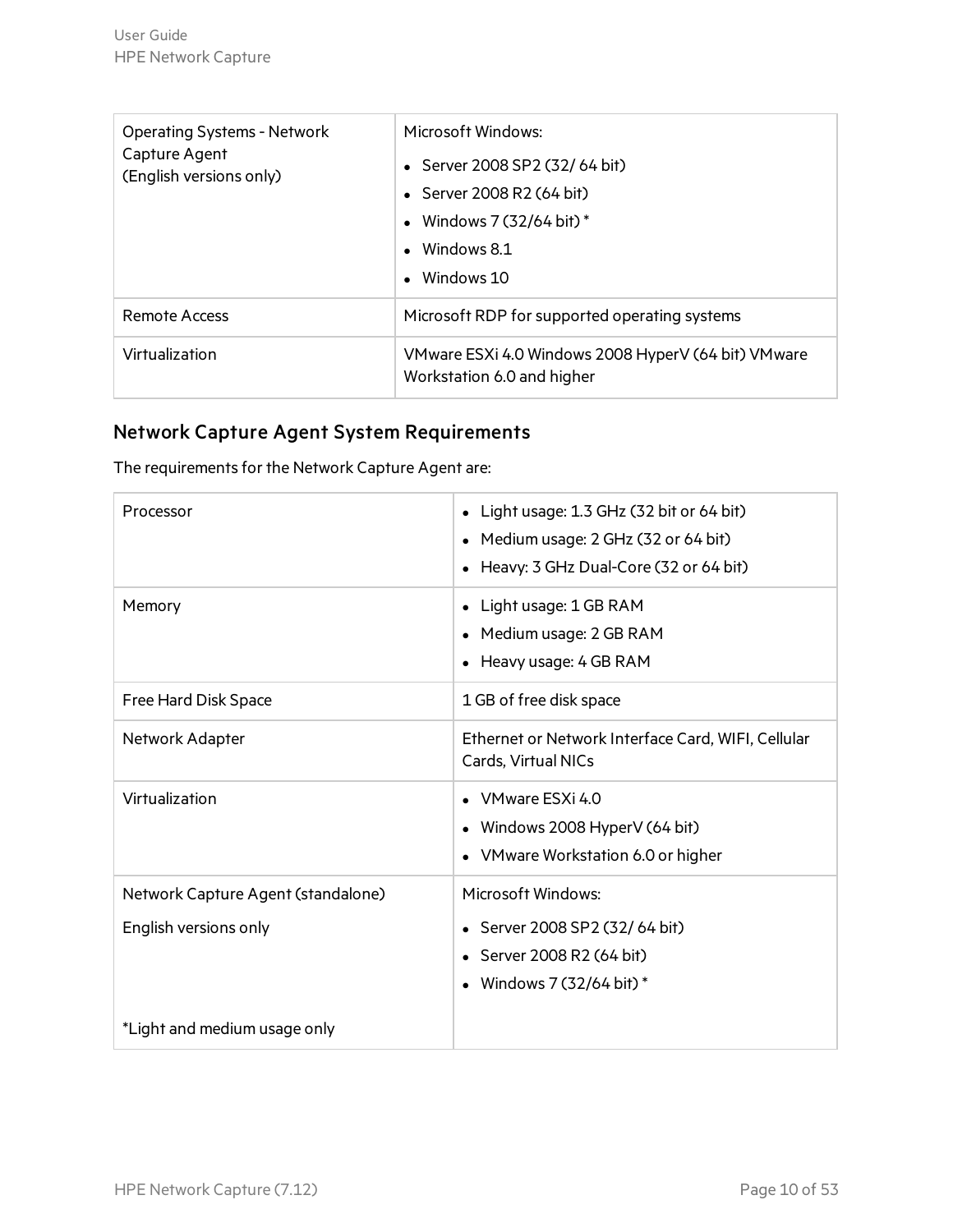| <b>Operating Systems - Network</b><br>Capture Agent<br>(English versions only) | Microsoft Windows:<br>• Server 2008 SP2 (32/64 bit)<br>• Server 2008 R2 $(64 \text{ bit})$<br>• Windows $7(32/64 \text{ bit})$ *<br>$\bullet$ Windows 8.1<br>$\bullet$ Windows 10 |
|--------------------------------------------------------------------------------|-----------------------------------------------------------------------------------------------------------------------------------------------------------------------------------|
| Remote Access                                                                  | Microsoft RDP for supported operating systems                                                                                                                                     |
| Virtualization                                                                 | VMware ESXi 4.0 Windows 2008 HyperV (64 bit) VMware<br>Workstation 6.0 and higher                                                                                                 |

### Network Capture Agent System Requirements

The requirements for the Network Capture Agent are:

| Processor                          | Light usage: 1.3 GHz (32 bit or 64 bit)<br>$\bullet$<br>Medium usage: 2 GHz (32 or 64 bit)<br>$\bullet$<br>Heavy: 3 GHz Dual-Core (32 or 64 bit) |
|------------------------------------|--------------------------------------------------------------------------------------------------------------------------------------------------|
| Memory                             | Light usage: 1 GB RAM<br>Medium usage: 2 GB RAM<br>Heavy usage: 4 GB RAM<br>$\bullet$                                                            |
| Free Hard Disk Space               | 1 GB of free disk space                                                                                                                          |
| Network Adapter                    | Ethernet or Network Interface Card, WIFI, Cellular<br>Cards, Virtual NICs                                                                        |
| Virtualization                     | VMware ESXi 4.0<br>• Windows 2008 HyperV (64 bit)<br>• VMware Workstation 6.0 or higher                                                          |
| Network Capture Agent (standalone) | Microsoft Windows:                                                                                                                               |
| English versions only              | • Server 2008 SP2 (32/64 bit)                                                                                                                    |
|                                    | • Server 2008 R2 (64 bit)                                                                                                                        |
|                                    | Windows 7 (32/64 bit) *                                                                                                                          |
| *Light and medium usage only       |                                                                                                                                                  |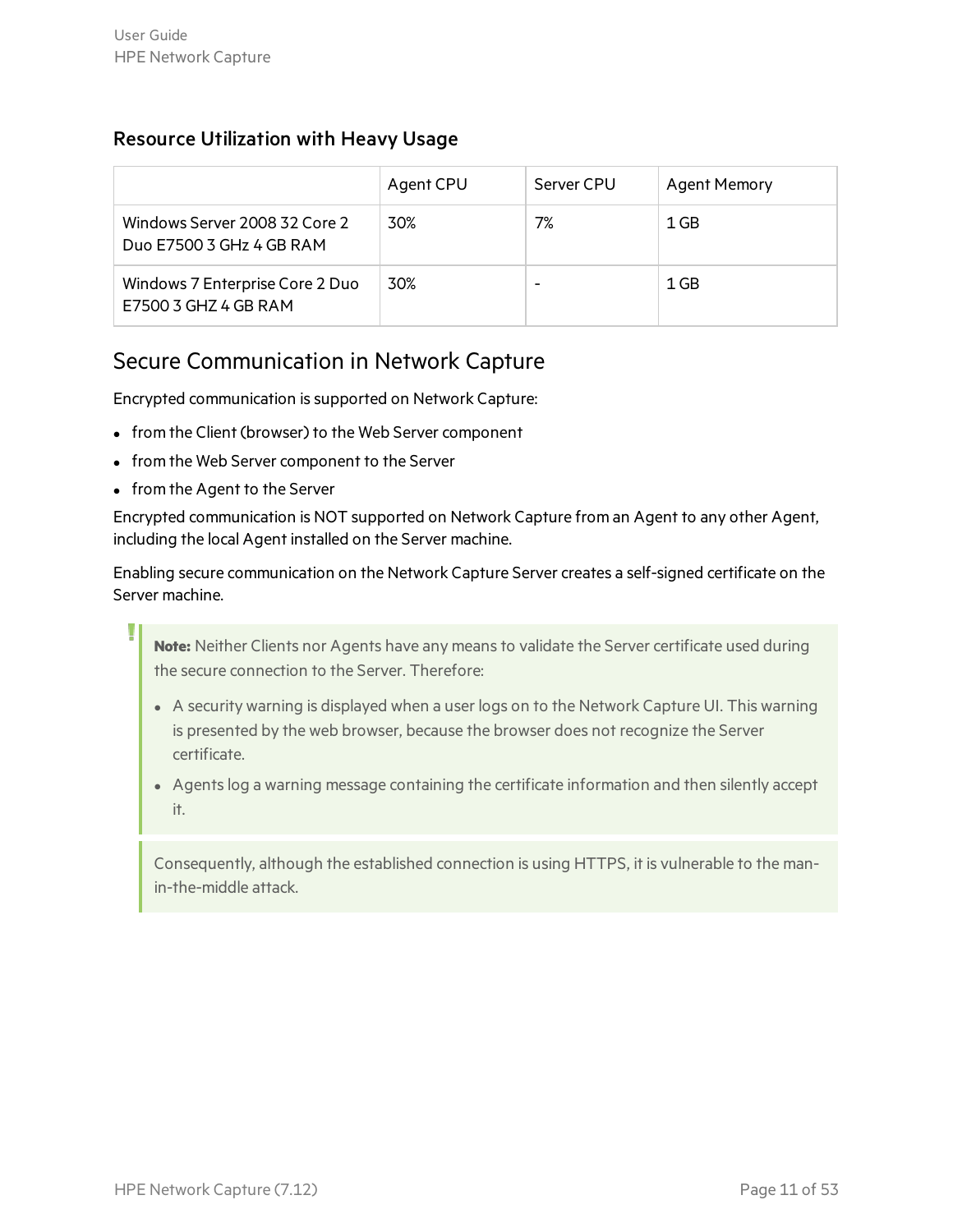#### Resource Utilization with Heavy Usage

|                                                           | Agent CPU | Server CPU | <b>Agent Memory</b> |
|-----------------------------------------------------------|-----------|------------|---------------------|
| Windows Server 2008 32 Core 2<br>Duo E7500 3 GHz 4 GB RAM | 30%       | 7%         | 1 GB                |
| Windows 7 Enterprise Core 2 Duo<br>E7500 3 GHZ 4 GB RAM   | 30%       |            | 1 GB                |

### <span id="page-10-0"></span>Secure Communication in Network Capture

Encrypted communication is supported on Network Capture:

- from the Client (browser) to the Web Server component
- from the Web Server component to the Server
- from the Agent to the Server

Encrypted communication is NOT supported on Network Capture from an Agent to any other Agent, including the local Agent installed on the Server machine.

Enabling secure communication on the Network Capture Server creates a self-signed certificate on the Server machine.

**Note:** Neither Clients nor Agents have any means to validate the Server certificate used during the secure connection to the Server. Therefore:

- A security warning is displayed when a user logs on to the Network Capture UI. This warning is presented by the web browser, because the browser does not recognize the Server certificate.
- Agents log a warning message containing the certificate information and then silently accept it.

Consequently, although the established connection is using HTTPS, it is vulnerable to the manin-the-middle attack.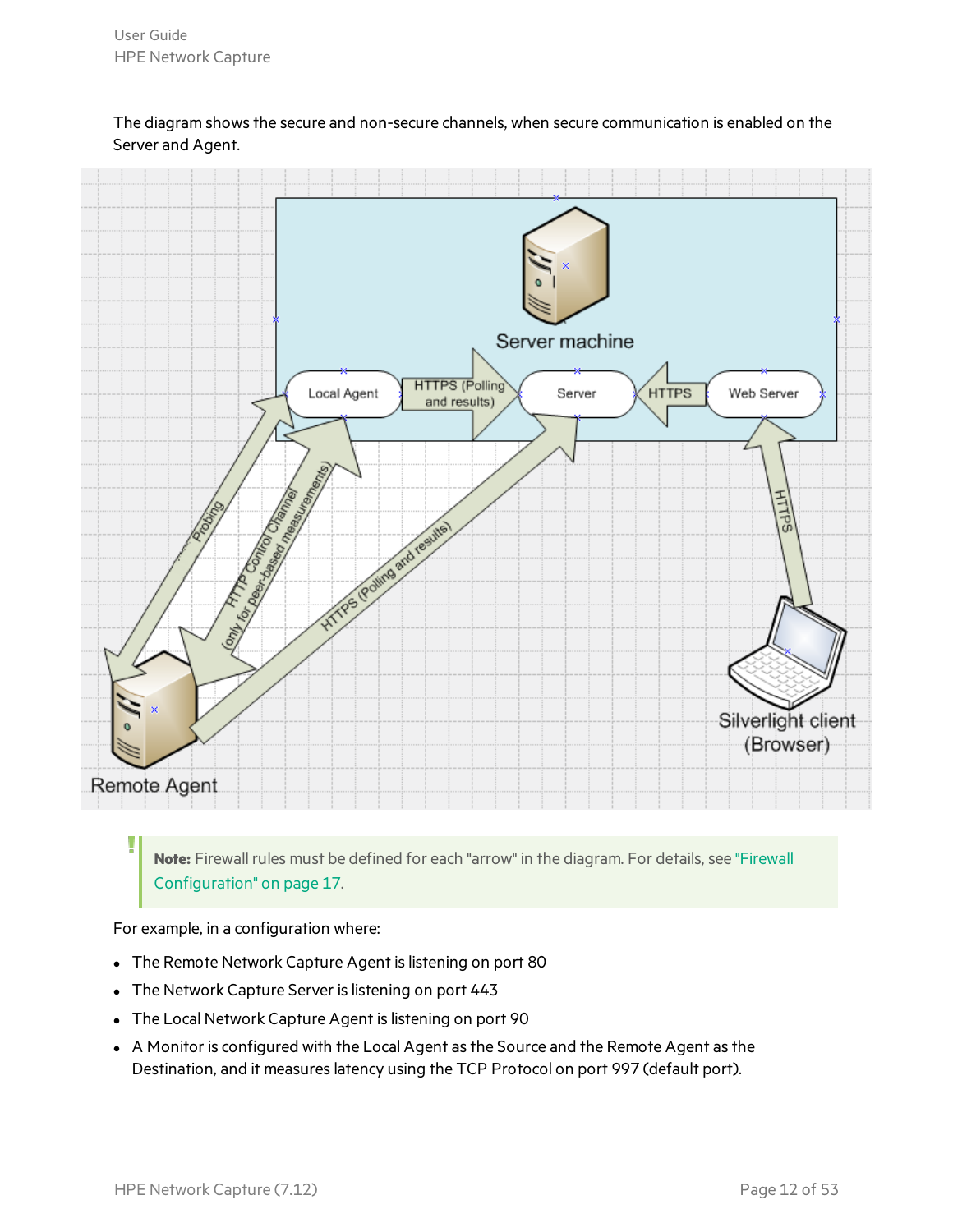The diagram shows the secure and non-secure channels, when secure communication is enabled on the Server and Agent.



**Note:** Firewall rules must be defined for each "arrow" in the diagram. For details, see ["Firewall](#page-16-1) [Configuration"](#page-16-1) on page 17.

For example, in a configuration where:

- The Remote Network Capture Agent is listening on port 80
- The Network Capture Server is listening on port 443
- The Local Network Capture Agent is listening on port 90
- A Monitor is configured with the Local Agent as the Source and the Remote Agent as the Destination, and it measures latency using the TCP Protocol on port 997 (default port).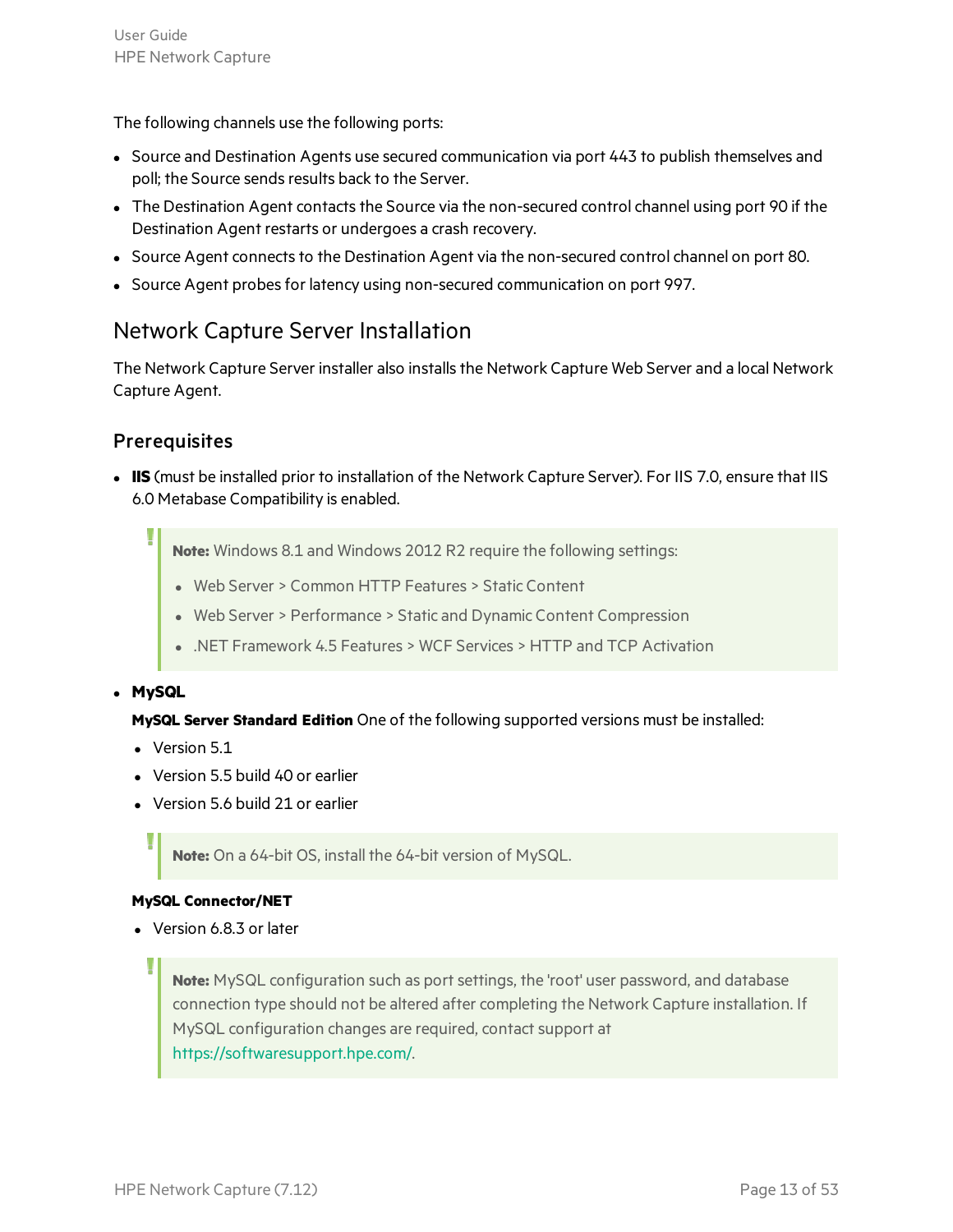The following channels use the following ports:

- Source and Destination Agents use secured communication via port 443 to publish themselves and poll; the Source sends results back to the Server.
- The Destination Agent contacts the Source via the non-secured control channel using port 90 if the Destination Agent restarts or undergoes a crash recovery.
- Source Agent connects to the Destination Agent via the non-secured control channel on port 80.
- <span id="page-12-0"></span>• Source Agent probes for latency using non-secured communication on port 997.

### Network Capture Server Installation

The Network Capture Server installer also installs the Network Capture Web Server and a local Network Capture Agent.

#### **Prerequisites**

**IIS** (must be installed prior to installation of the Network Capture Server). For IIS 7.0, ensure that IIS 6.0 Metabase Compatibility is enabled.

**Note:** Windows 8.1 and Windows 2012 R2 require the following settings:

- Web Server > Common HTTP Features > Static Content
- Web Server > Performance > Static and Dynamic Content Compression
- .NET Framework 4.5 Features > WCF Services > HTTP and TCP Activation

#### <sup>l</sup> **MySQL**

#### **MySQL Server Standard Edition** One of the following supported versions must be installed:

- $\bullet$  Version 5.1
- Version 5.5 build 40 or earlier
- Version 5.6 build 21 or earlier

**Note:** On a 64-bit OS, install the 64-bit version of MySQL.

#### **MySQL Connector/NET**

• Version 6.8.3 or later

**Note:** MySQL configuration such as port settings, the 'root' user password, and database connection type should not be altered after completing the Network Capture installation. If MySQL configuration changes are required, contact support at [https://softwaresupport.hpe.com/.](https://softwaresupport.hpe.com/)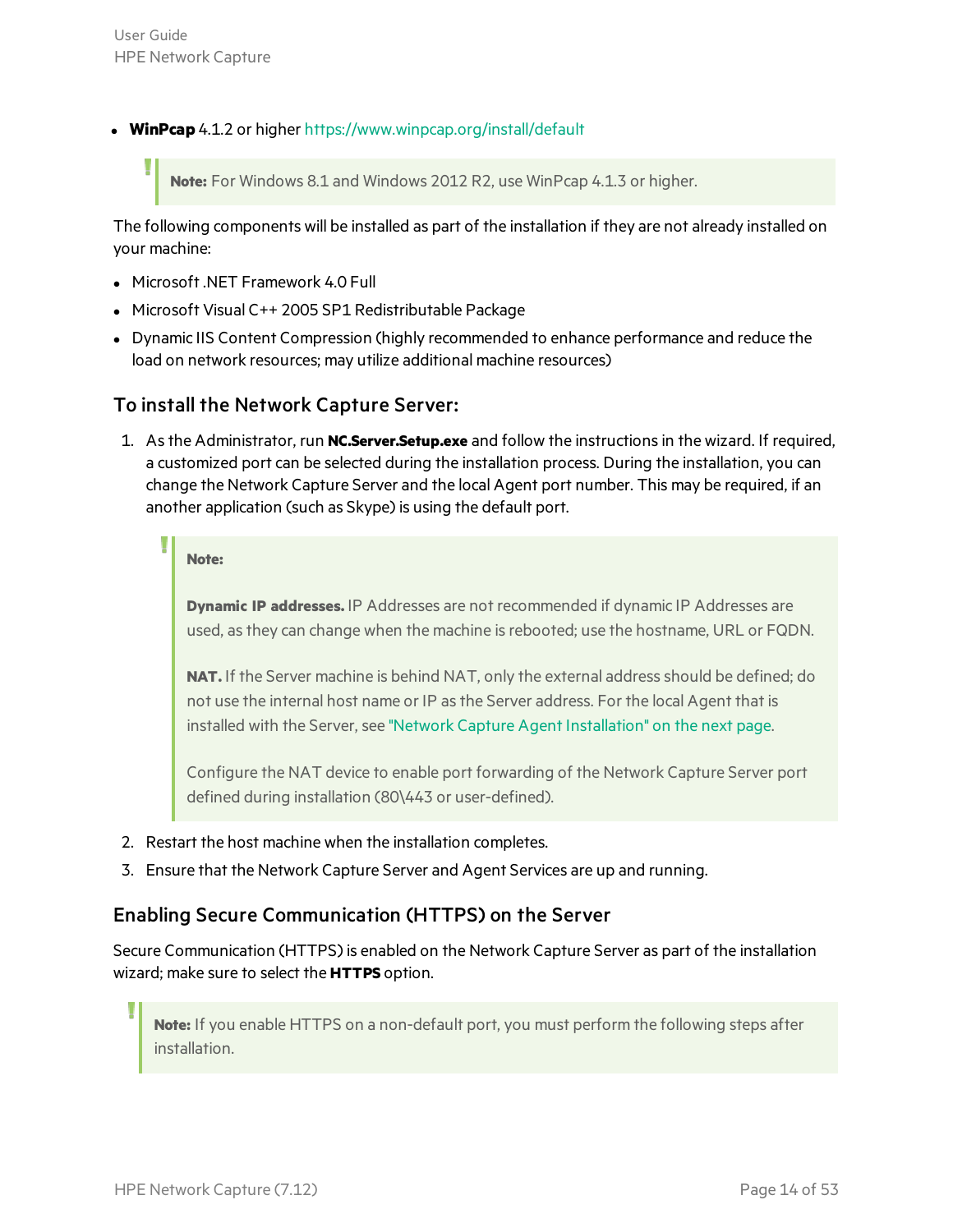**WinPcap** 4.1.2 or higher <https://www.winpcap.org/install/default>

**Note:** For Windows 8.1 and Windows 2012 R2, use WinPcap 4.1.3 or higher.

The following components will be installed as part of the installation if they are not already installed on your machine:

- **Microsoft .NET Framework 4.0 Full**
- Microsoft Visual C++ 2005 SP1 Redistributable Package
- Dynamic IIS Content Compression (highly recommended to enhance performance and reduce the load on network resources; may utilize additional machine resources)

#### To install the Network Capture Server:

1. Asthe Administrator, run **NC.Server.Setup.exe** and follow the instructionsin the wizard. If required, a customized port can be selected during the installation process. During the installation, you can change the Network Capture Server and the local Agent port number. This may be required, if an another application (such as Skype) is using the default port.

**Note:**

**Dynamic IP addresses.** IP Addresses are not recommended if dynamic IP Addresses are used, asthey can change when the machine isrebooted; use the hostname, URL or FQDN.

**NAT.** If the Server machine is behind NAT, only the external address should be defined; do not use the internal host name or IP as the Server address. For the local Agent that is installed with the Server, see "Network Capture Agent [Installation"](#page-14-0) on the next page.

Configure the NAT device to enable port forwarding of the Network Capture Server port defined during installation (80\443 or user-defined).

- 2. Restart the host machine when the installation completes.
- 3. Ensure that the Network Capture Server and Agent Services are up and running.

#### Enabling Secure Communication (HTTPS) on the Server

Secure Communication (HTTPS) is enabled on the Network Capture Server as part of the installation wizard; make sure to select the **HTTPS** option.

**Note:** If you enable HTTPS on a non-default port, you must perform the following steps after installation.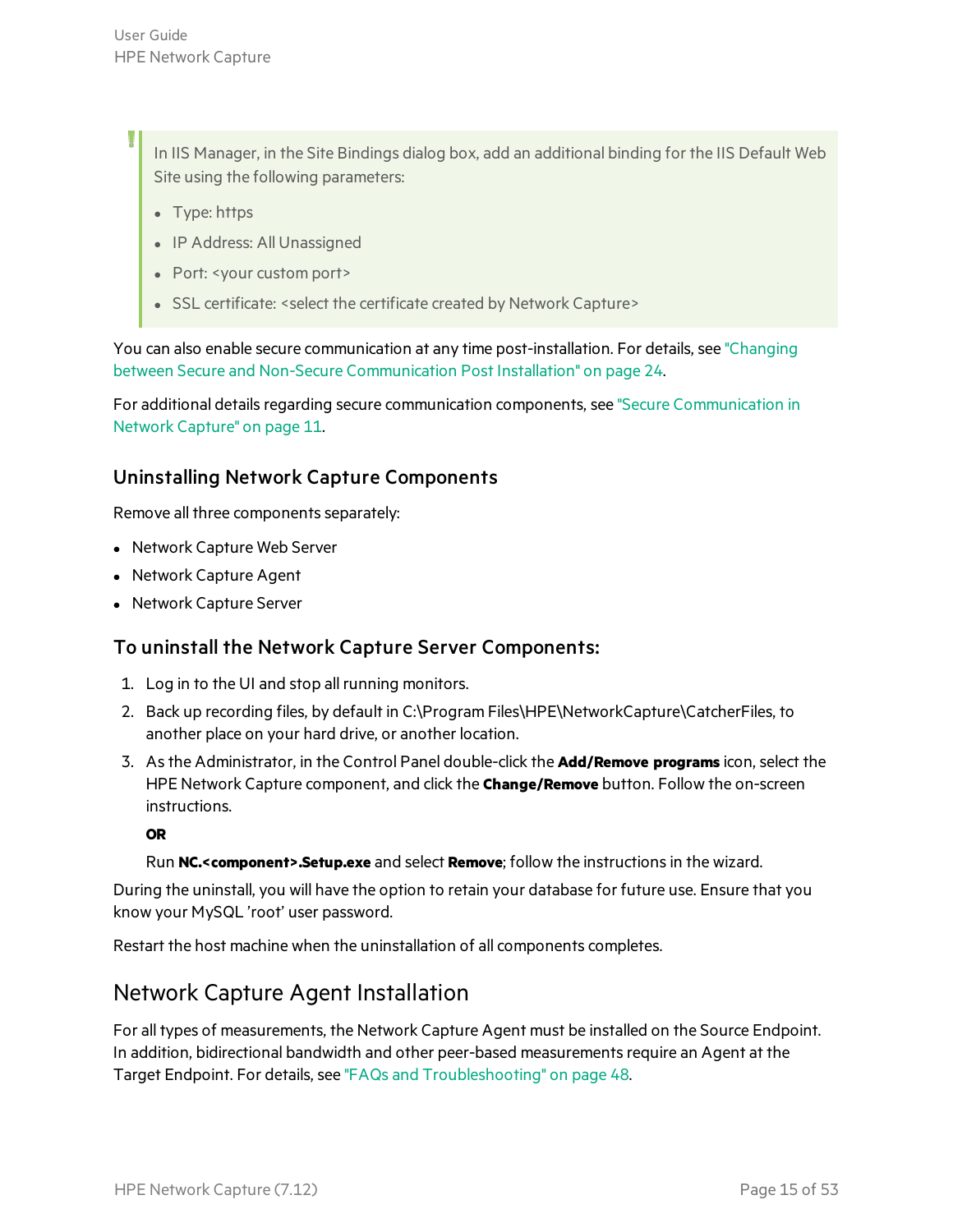In IIS Manager, in the Site Bindings dialog box, add an additional binding for the IIS Default Web Site using the following parameters:

- Type: https
- IP Address: All Unassigned
- Port: <your custom port>
- SSL certificate: <select the certificate created by Network Capture>

You can also enable secure communication at any time post-installation. For details, see ["Changing](#page-23-0) between Secure and Non-Secure [Communication](#page-23-0) Post Installation" on page 24.

<span id="page-14-1"></span>For additional details regarding secure communication components, see "Secure [Communication](#page-10-0) in Network [Capture"](#page-10-0) on page 11.

#### Uninstalling Network Capture Components

Remove all three components separately:

- Network Capture Web Server
- Network Capture Agent
- Network Capture Server

#### To uninstall the Network Capture Server Components:

- 1. Log in to the UI and stop all running monitors.
- 2. Back up recording files, by default in C:\Program Files\HPE\NetworkCapture\CatcherFiles, to another place on your hard drive, or another location.
- 3. Asthe Administrator, in the Control Panel double-click the **Add/Remove programs** icon, select the HPE Network Capture component, and click the **Change/Remove** button. Follow the on-screen instructions.

#### **OR**

Run **NC.<component>.Setup.exe** and select **Remove**; follow the instructionsin the wizard.

During the uninstall, you will have the option to retain your database for future use. Ensure that you know your MySQL 'root' user password.

Restart the host machine when the uninstallation of all components completes.

#### <span id="page-14-0"></span>Network Capture Agent Installation

For all types of measurements, the Network Capture Agent must be installed on the Source Endpoint. In addition, bidirectional bandwidth and other peer-based measurements require an Agent at the Target Endpoint. For details, see "FAQs and [Troubleshooting"](#page-47-0) on page 48.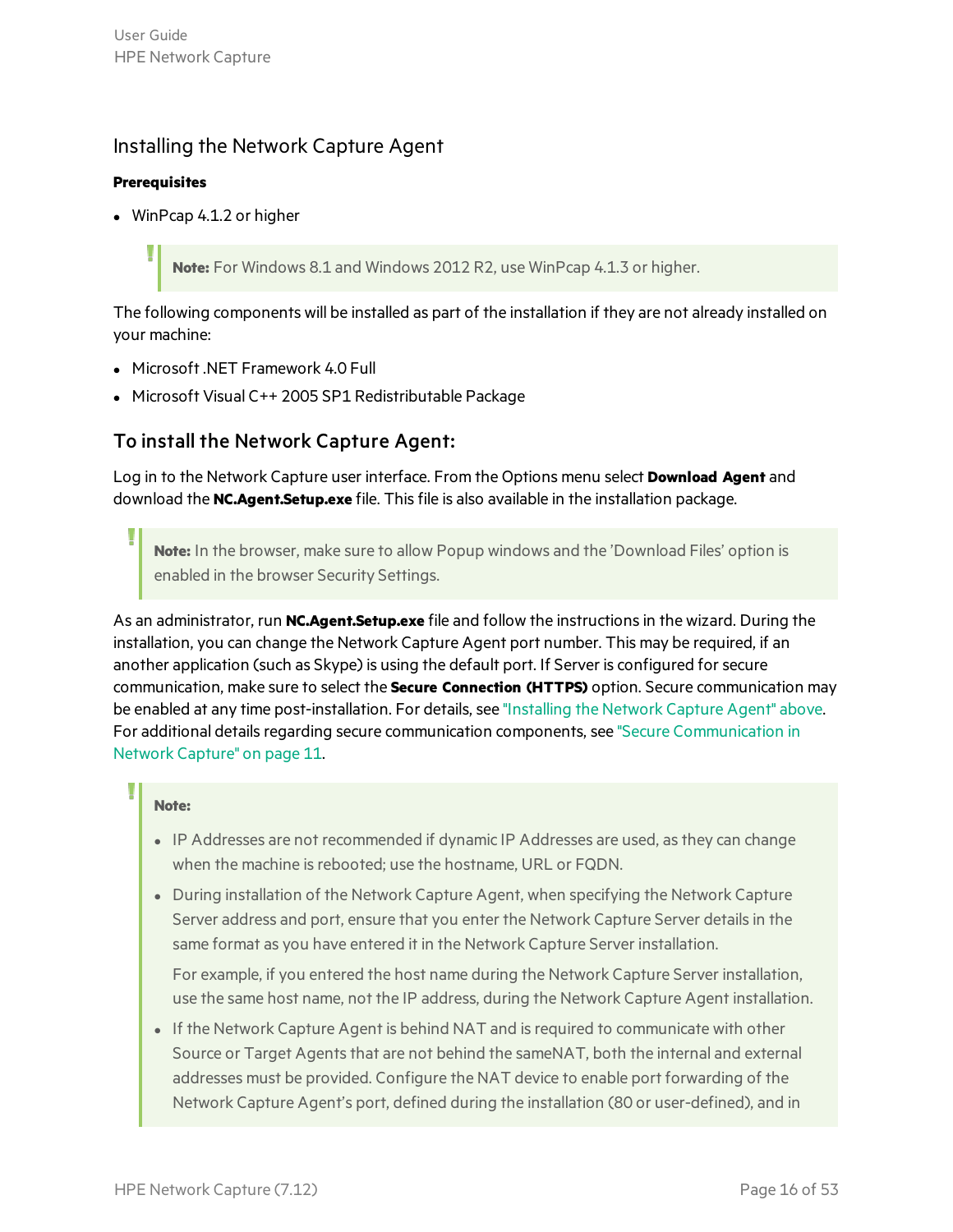#### <span id="page-15-0"></span>Installing the Network Capture Agent

#### **Prerequisites**

 $\bullet$  WinPcap 4.1.2 or higher

**Note:** For Windows 8.1 and Windows 2012 R2, use WinPcap 4.1.3 or higher.

The following components will be installed as part of the installation if they are not already installed on your machine:

- **Microsoft .NET Framework 4.0 Full**
- Microsoft Visual C++ 2005 SP1 Redistributable Package

#### To install the Network Capture Agent:

Log in to the Network Capture user interface. From the Options menu select **Download Agent** and download the **NC.Agent.Setup.exe** file. Thisfile is also available in the installation package.

**Note:** In the browser, make sure to allow Popup windows and the 'Download Files' option is enabled in the browser Security Settings.

As an administrator, run **NC.Agent.Setup.exe** file and follow the instructionsin the wizard. During the installation, you can change the Network Capture Agent port number. This may be required, if an another application (such as Skype) is using the default port. If Server is configured for secure communication, make sure to select the **Secure Connection (HTTPS)** option. Secure communication may be enabled at any time post-installation. For details, see ["Installing](#page-15-0) the Network Capture Agent" above. For additional details regarding secure communication components, see "Secure [Communication](#page-10-0) in Network [Capture"](#page-10-0) on page 11.

#### **Note:**

- IP Addresses are not recommended if dynamic IP Addresses are used, as they can change when the machine is rebooted; use the hostname, URL or FQDN.
- During installation of the Network Capture Agent, when specifying the Network Capture Server address and port, ensure that you enter the Network Capture Server details in the same format as you have entered it in the Network Capture Server installation.

For example, if you entered the host name during the Network Capture Server installation, use the same host name, not the IP address, during the Network Capture Agent installation.

• If the Network Capture Agent is behind NAT and is required to communicate with other Source or Target Agents that are not behind the sameNAT, both the internal and external addresses must be provided. Configure the NAT device to enable port forwarding of the Network Capture Agent's port, defined during the installation (80 or user-defined), and in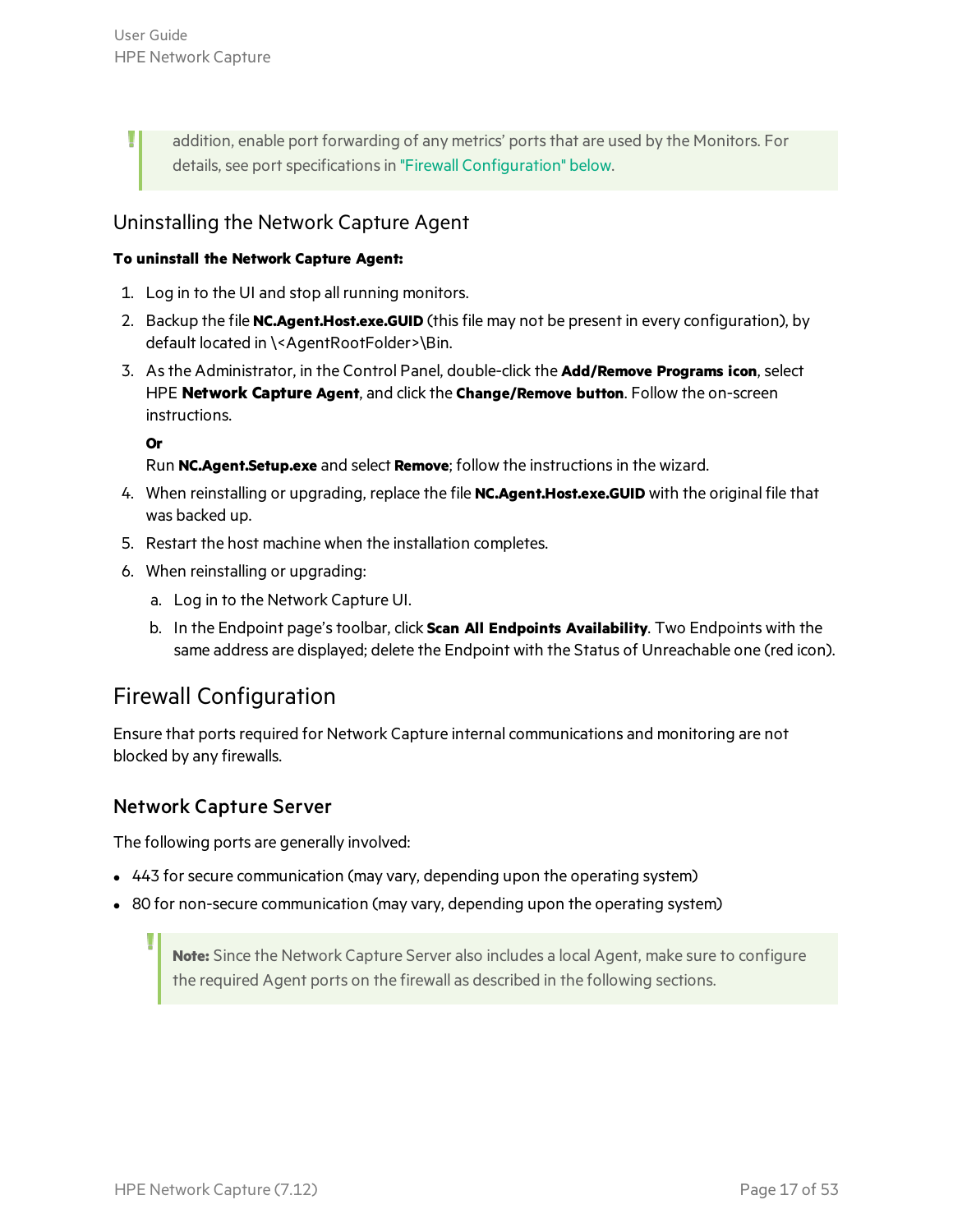Ţ

addition, enable port forwarding of any metrics' ports that are used by the Monitors. For details, see port specifications in "Firewall [Configuration"](#page-16-1) below.

#### <span id="page-16-0"></span>Uninstalling the Network Capture Agent

#### **To uninstall the Network Capture Agent:**

- 1. Log in to the UI and stop all running monitors.
- 2. Backup the file **NC.Agent.Host.exe.GUID** (thisfile may not be present in every configuration), by default located in \<AgentRootFolder>\Bin.
- 3. Asthe Administrator, in the Control Panel, double-click the **Add/Remove Programs icon**, select HPE **Network Capture Agent**, and click the **Change/Remove button**. Follow the on-screen instructions.

**Or**

Run **NC.Agent.Setup.exe** and select **Remove**; follow the instructionsin the wizard.

- 4. When reinstalling or upgrading, replace the file **NC.Agent.Host.exe.GUID** with the original file that was backed up.
- 5. Restart the host machine when the installation completes.
- 6. When reinstalling or upgrading:
	- a. Log in to the Network Capture UI.
	- b. In the Endpoint page'stoolbar, click **Scan All Endpoints Availability**. Two Endpoints with the same address are displayed; delete the Endpoint with the Status of Unreachable one (red icon).

#### <span id="page-16-1"></span>Firewall Configuration

Ensure that ports required for Network Capture internal communications and monitoring are not blocked by any firewalls.

#### Network Capture Server

The following ports are generally involved:

- 443 for secure communication (may vary, depending upon the operating system)
- 80 for non-secure communication (may vary, depending upon the operating system)

**Note:** Since the Network Capture Server also includes a local Agent, make sure to configure the required Agent ports on the firewall as described in the following sections.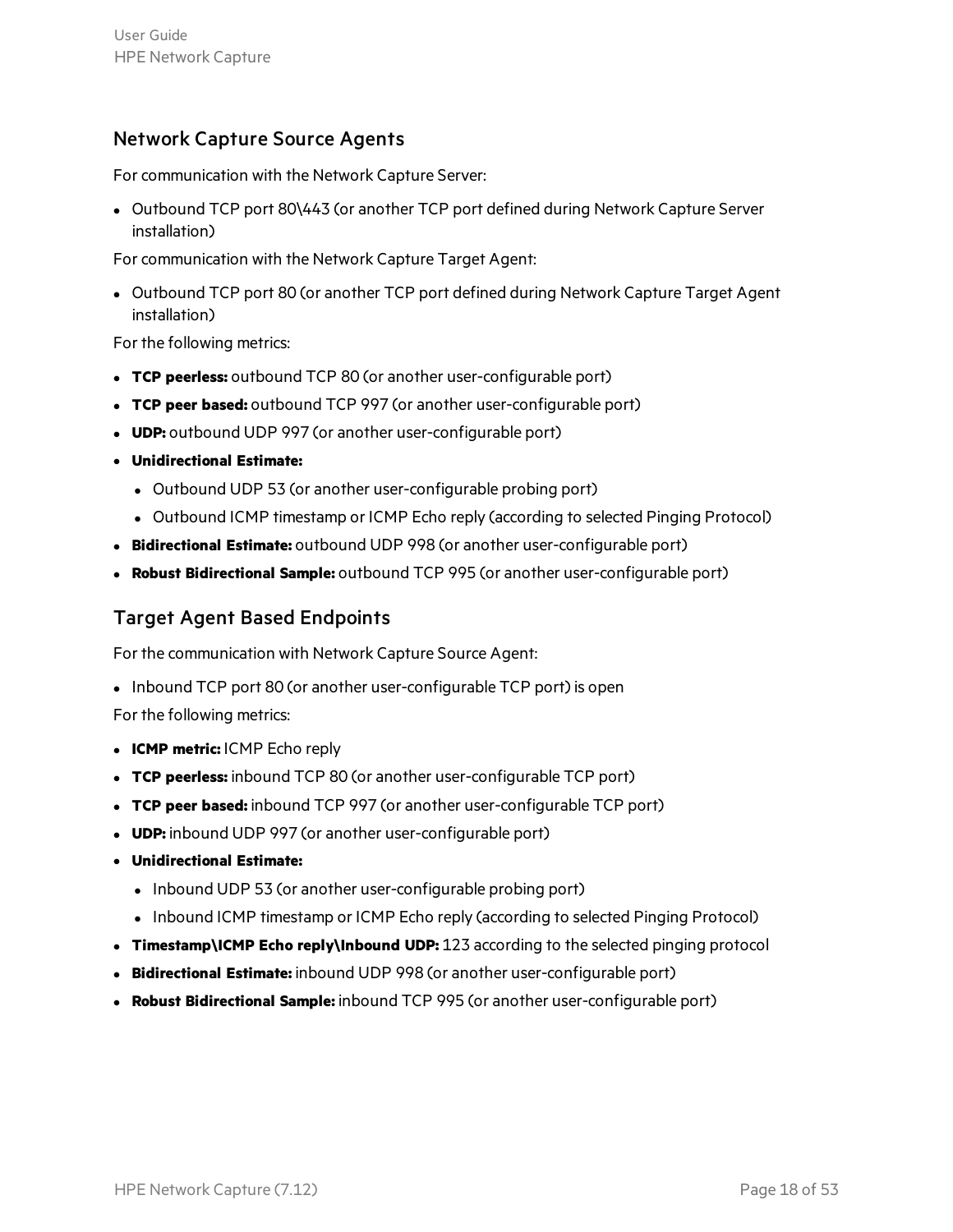#### Network Capture Source Agents

For communication with the Network Capture Server:

• Outbound TCP port 80\443 (or another TCP port defined during Network Capture Server installation)

For communication with the Network Capture Target Agent:

• Outbound TCP port 80 (or another TCP port defined during Network Capture Target Agent installation)

For the following metrics:

- **TCP** peerless: outbound TCP 80 (or another user-configurable port)
- **TCP** peer based: outbound TCP 997 (or another user-configurable port)
- **UDP:** outbound UDP 997 (or another user-configurable port)
- <sup>l</sup> **Unidirectional Estimate:**
	- Outbound UDP 53 (or another user-configurable probing port)
	- Outbound ICMP timestamp or ICMP Echo reply (according to selected Pinging Protocol)
- <sup>l</sup> **Bidirectional Estimate:** outbound UDP 998 (or another user-configurable port)
- **Robust Bidirectional Sample:** outbound TCP 995 (or another user-configurable port)

#### Target Agent Based Endpoints

For the communication with Network Capture Source Agent:

• Inbound TCP port 80 (or another user-configurable TCP port) is open

For the following metrics:

- <sup>l</sup> **ICMP metric:** ICMP Echo reply
- **TCP peerless:** inbound TCP 80 (or another user-configurable TCP port)
- **TCP** peer based: inbound TCP 997 (or another user-configurable TCP port)
- **UDP:** inbound UDP 997 (or another user-configurable port)
- <sup>l</sup> **Unidirectional Estimate:**
	- Inbound UDP 53 (or another user-configurable probing port)
	- Inbound ICMP timestamp or ICMP Echo reply (according to selected Pinging Protocol)
- <sup>l</sup> **Timestamp\ICMP Echo reply\Inbound UDP:** 123 according to the selected pinging protocol
- **Bidirectional Estimate:** inbound UDP 998 (or another user-configurable port)
- **Robust Bidirectional Sample:** inbound TCP 995 (or another user-configurable port)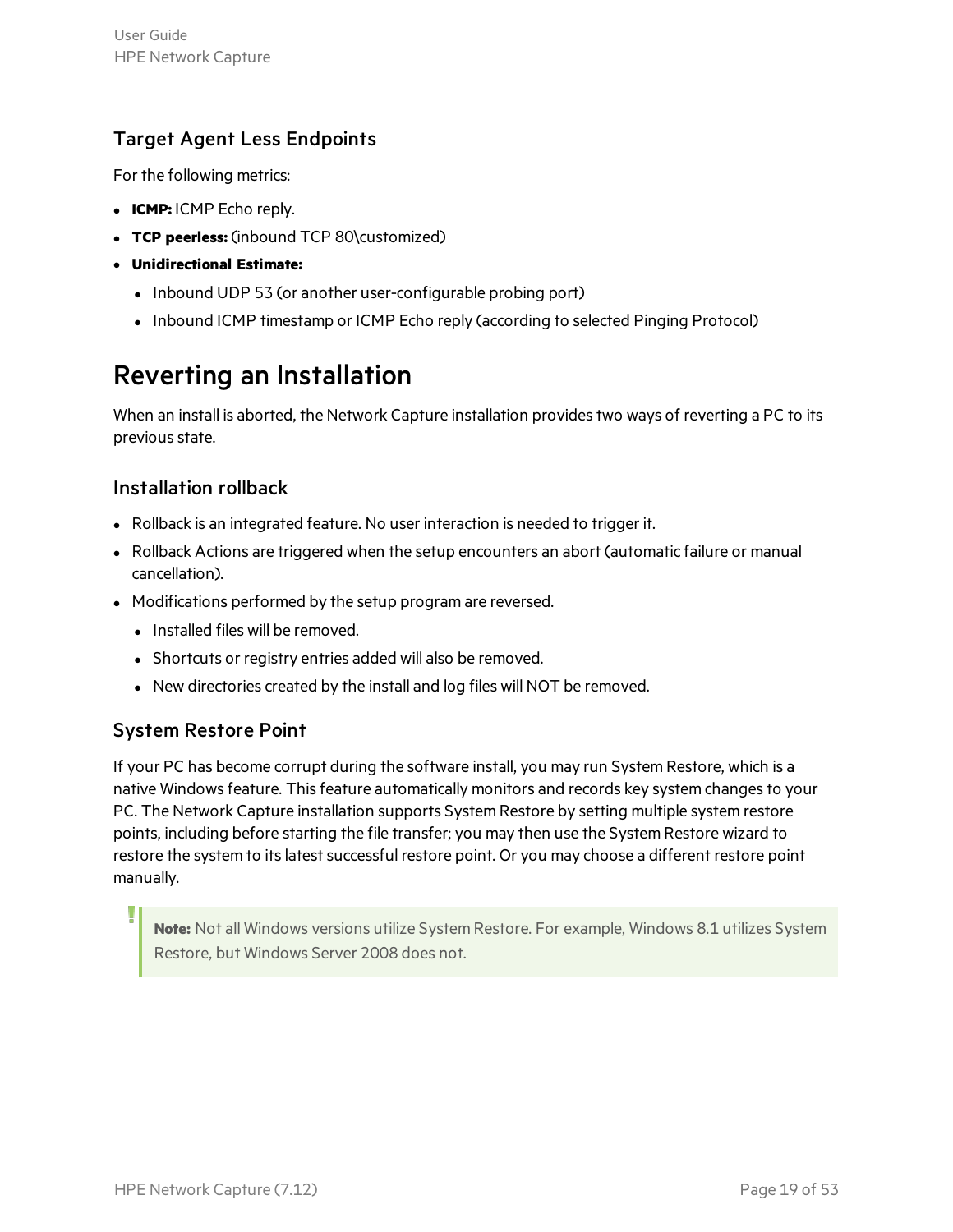#### Target Agent Less Endpoints

For the following metrics:

- **ICMP:** ICMP Echo reply.
- <sup>l</sup> **TCP peerless:** (inbound TCP 80\customized)
- <sup>l</sup> **Unidirectional Estimate:**
	- Inbound UDP 53 (or another user-configurable probing port)
	- Inbound ICMP timestamp or ICMP Echo reply (according to selected Pinging Protocol)

### <span id="page-18-0"></span>Reverting an Installation

When an install is aborted, the Network Capture installation provides two ways of reverting a PC to its previous state.

#### Installation rollback

- Rollback is an integrated feature. No user interaction is needed to trigger it.
- <sup>l</sup> Rollback Actions are triggered when the setup encounters an abort (automatic failure or manual cancellation).
- Modifications performed by the setup program are reversed.
	- Installed files will be removed.
	- Shortcuts or registry entries added will also be removed.
	- New directories created by the install and log files will NOT be removed.

#### System Restore Point

If your PC has become corrupt during the software install, you may run System Restore, which is a native Windows feature. This feature automatically monitors and records key system changes to your PC. The Network Capture installation supports System Restore by setting multiple system restore points, including before starting the file transfer; you may then use the System Restore wizard to restore the system to its latest successful restore point. Or you may choose a different restore point manually.

**Note:** Not all Windows versions utilize System Restore. For example, Windows 8.1 utilizes System Restore, but Windows Server 2008 does not.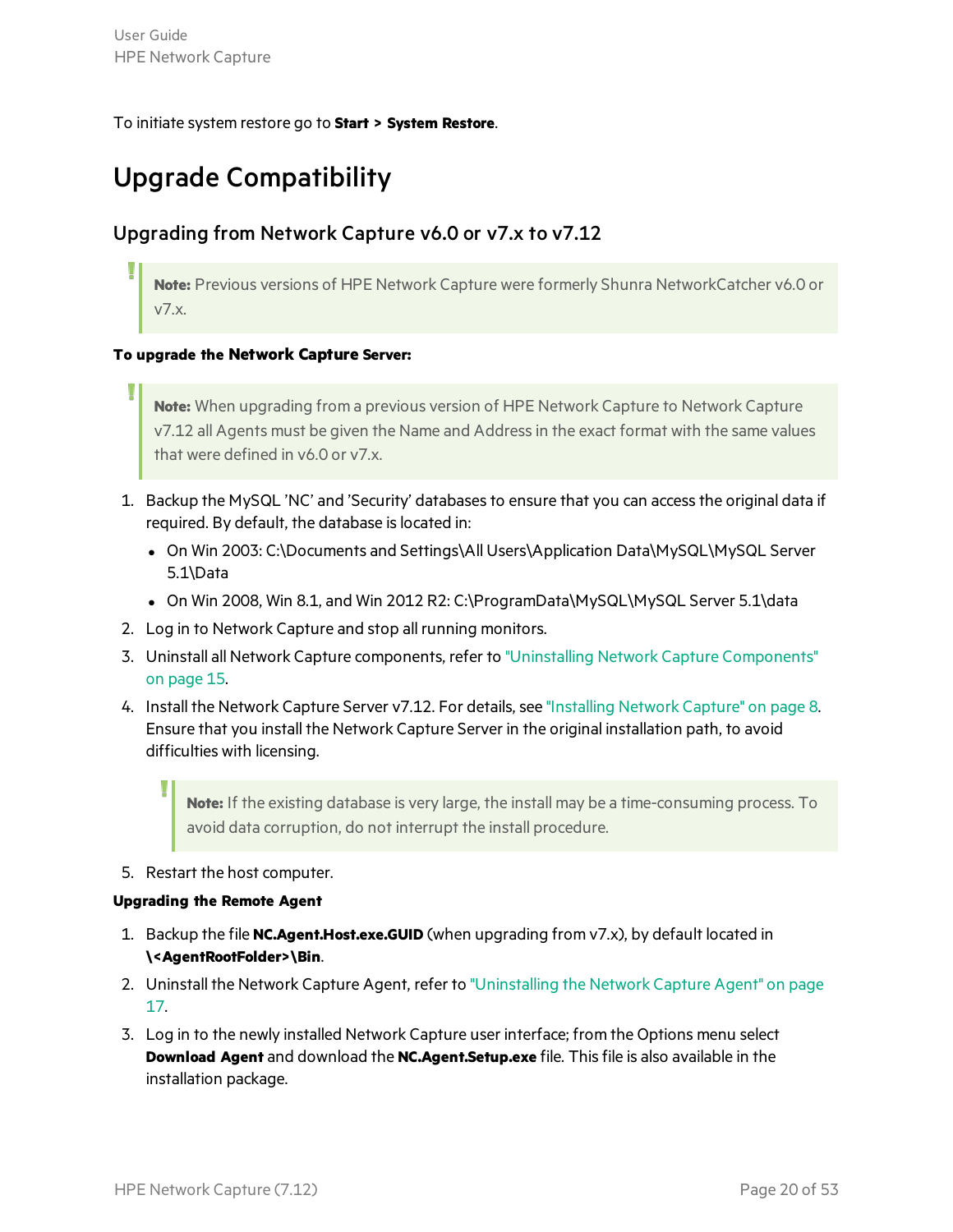#### <span id="page-19-0"></span>To initiate system restore go to **Start > System Restore**.

### Upgrade Compatibility

#### Upgrading from Network Capture v6.0 or v7.x to v7.12

**Note:** Previous versions of HPE Network Capture were formerly Shunra NetworkCatcher v6.0 or v7.x.

#### **To upgrade the Network Capture Server:**

**Note:** When upgrading from a previous version of HPE Network Capture to Network Capture v7.12 all Agents must be given the Name and Addressin the exact format with the same values that were defined in v6.0 or v7.x.

- 1. Backup the MySQL 'NC' and 'Security' databases to ensure that you can access the original data if required. By default, the database is located in:
	- On Win 2003: C:\Documents and Settings\All Users\Application Data\MySQL\MySQL Server 5.1\Data
	- On Win 2008, Win 8.1, and Win 2012 R2: C:\ProgramData\MySQL\MySQL Server 5.1\data
- 2. Log in to Network Capture and stop all running monitors.
- 3. Uninstall all Network Capture components, refer to "Uninstalling Network Capture [Components"](#page-14-1) on [page](#page-14-1) 15.
- 4. Install the Network Capture Server v7.12. For details, see ["Installing](#page-7-1) Network Capture" on page 8. Ensure that you install the Network Capture Server in the original installation path, to avoid difficulties with licensing.

**Note:** If the existing database is very large, the install may be a time-consuming process. To avoid data corruption, do not interrupt the install procedure.

5. Restart the host computer.

#### **Upgrading the Remote Agent**

- 1. Backup the file **NC.Agent.Host.exe.GUID** (when upgrading from v7.x), by default located in **\<AgentRootFolder>\Bin**.
- 2. Uninstall the Network Capture Agent, refer to ["Uninstalling](#page-16-0) the Network Capture Agent" on page [17.](#page-16-0)
- 3. Log in to the newly installed Network Capture user interface; from the Options menu select **Download Agent** and download the **NC.Agent.Setup.exe** file. Thisfile is also available in the installation package.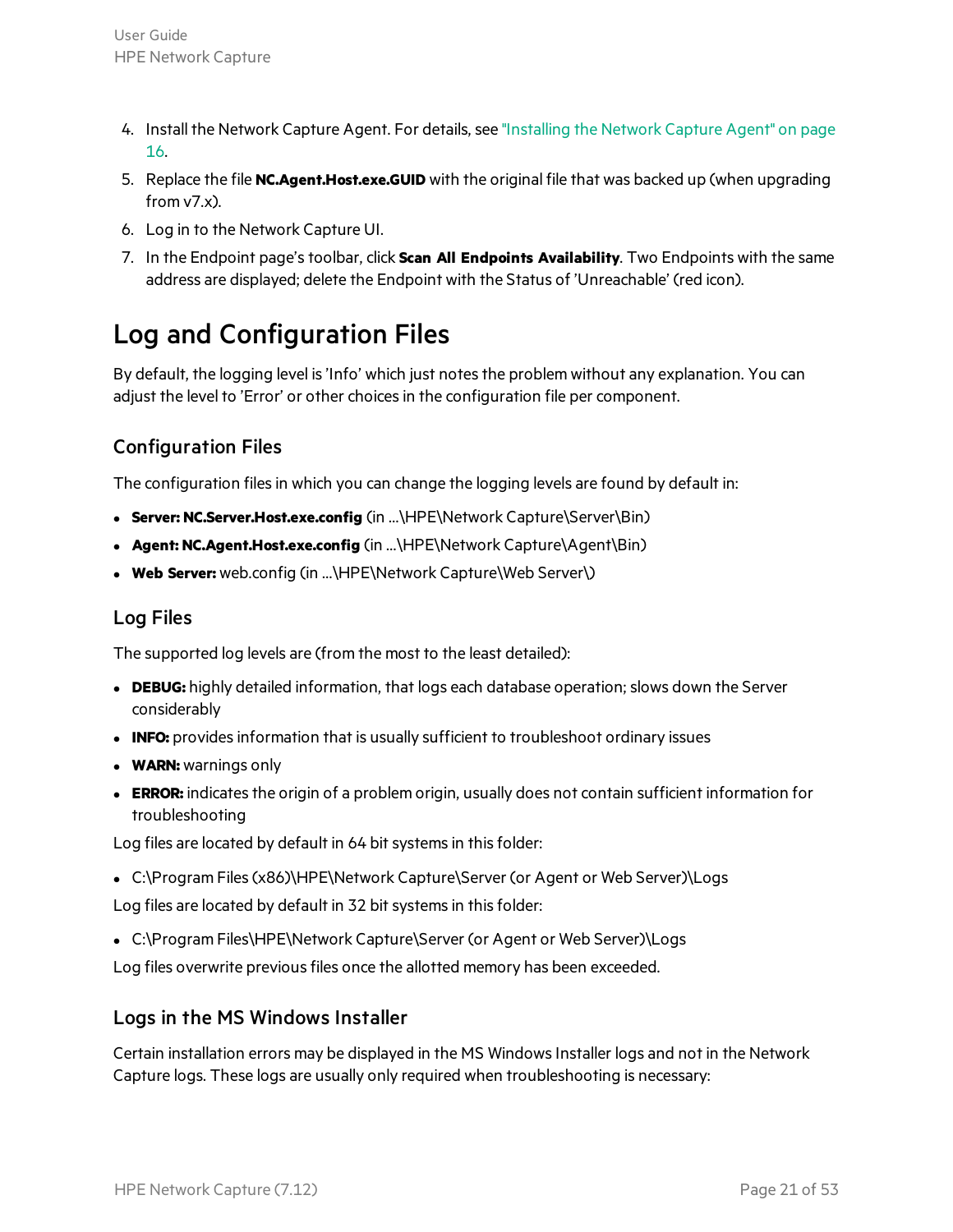- 4. Install the Network Capture Agent. For details, see ["Installing](#page-15-0) the Network Capture Agent" on page [16.](#page-15-0)
- 5. Replace the file **NC.Agent.Host.exe.GUID** with the original file that was backed up (when upgrading  $from v7.x$ ).
- 6. Log in to the Network Capture UI.
- 7. In the Endpoint page'stoolbar, click **Scan All Endpoints Availability**. Two Endpoints with the same address are displayed; delete the Endpoint with the Status of 'Unreachable' (red icon).

### <span id="page-20-0"></span>Log and Configuration Files

By default, the logging level is 'Info' which just notes the problem without any explanation. You can adjust the level to 'Error' or other choicesin the configuration file per component.

#### Configuration Files

The configuration files in which you can change the logging levels are found by default in:

- <sup>l</sup> **Server: NC.Server.Host.exe.config** (in ...\HPE\Network Capture\Server\Bin)
- **.** Agent: NC.Agent.Host.exe.config (in ...\HPE\Network Capture\Agent\Bin)
- **Web Server:** web.config (in ...\HPE\Network Capture\Web Server\)

#### Log Files

The supported log levels are (from the most to the least detailed):

- **DEBUG:** highly detailed information, that logs each database operation; slows down the Server considerably
- **INFO:** provides information that is usually sufficient to troubleshoot ordinary issues
- **WARN:** warnings only
- **ERROR:** indicates the origin of a problem origin, usually does not contain sufficient information for troubleshooting

Log files are located by default in 64 bit systems in this folder:

<sup>l</sup> C:\Program Files(x86)\HPE\Network Capture\Server (or Agent or Web Server)\Logs

Log files are located by default in 32 bit systems in this folder:

• C:\Program Files\HPE\Network Capture\Server (or Agent or Web Server)\Logs

Log files overwrite previous files once the allotted memory has been exceeded.

#### Logs in the MS Windows Installer

Certain installation errors may be displayed in the MS WindowsInstaller logs and not in the Network Capture logs. These logs are usually only required when troubleshooting is necessary: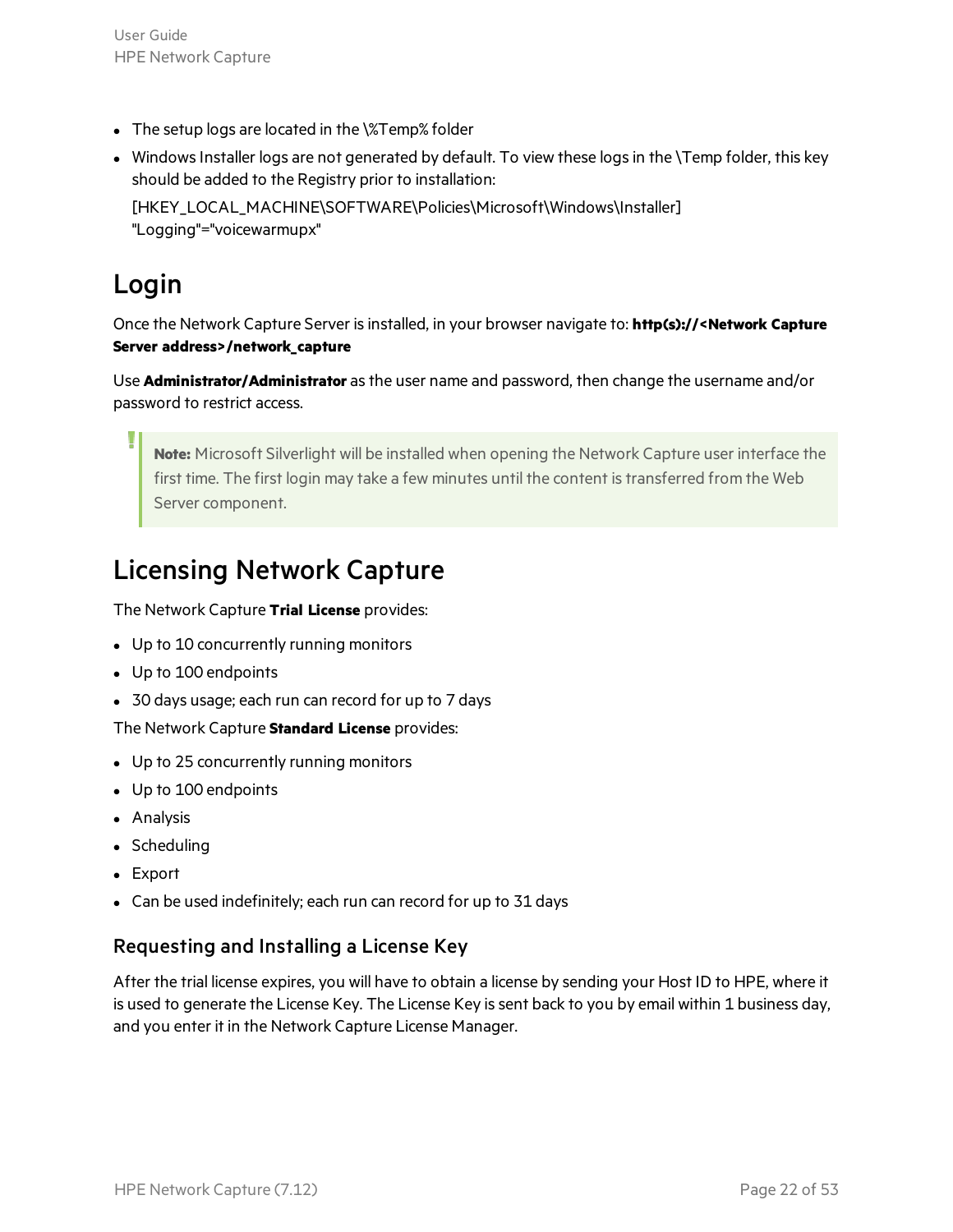- The setup logs are located in the  $\frac{8}{2}$ Temp% folder
- Windows Installer logs are not generated by default. To view these logs in the \Temp folder, this key should be added to the Registry prior to installation:

[HKEY\_LOCAL\_MACHINE\SOFTWARE\Policies\Microsoft\Windows\Installer] "Logging"="voicewarmupx"

### <span id="page-21-0"></span>Login

Once the Network Capture Server isinstalled, in your browser navigate to: **http(s)://<Network Capture Server address>/network\_capture**

Use **Administrator/Administrator** asthe user name and password, then change the username and/or password to restrict access.

**Note:** Microsoft Silverlight will be installed when opening the Network Capture user interface the first time. The first login may take a few minutes until the content is transferred from the Web Server component.

### <span id="page-21-1"></span>Licensing Network Capture

The Network Capture **Trial License** provides:

- Up to 10 concurrently running monitors
- Up to 100 endpoints
- 30 days usage; each run can record for up to 7 days

The Network Capture **Standard License** provides:

- Up to 25 concurrently running monitors
- Up to 100 endpoints
- Analysis
- Scheduling
- Export
- Can be used indefinitely; each run can record for up to 31 days

#### Requesting and Installing a License Key

After the trial license expires, you will have to obtain a license by sending your Host ID to HPE, where it is used to generate the License Key. The License Key is sent back to you by email within 1 business day, and you enter it in the Network Capture License Manager.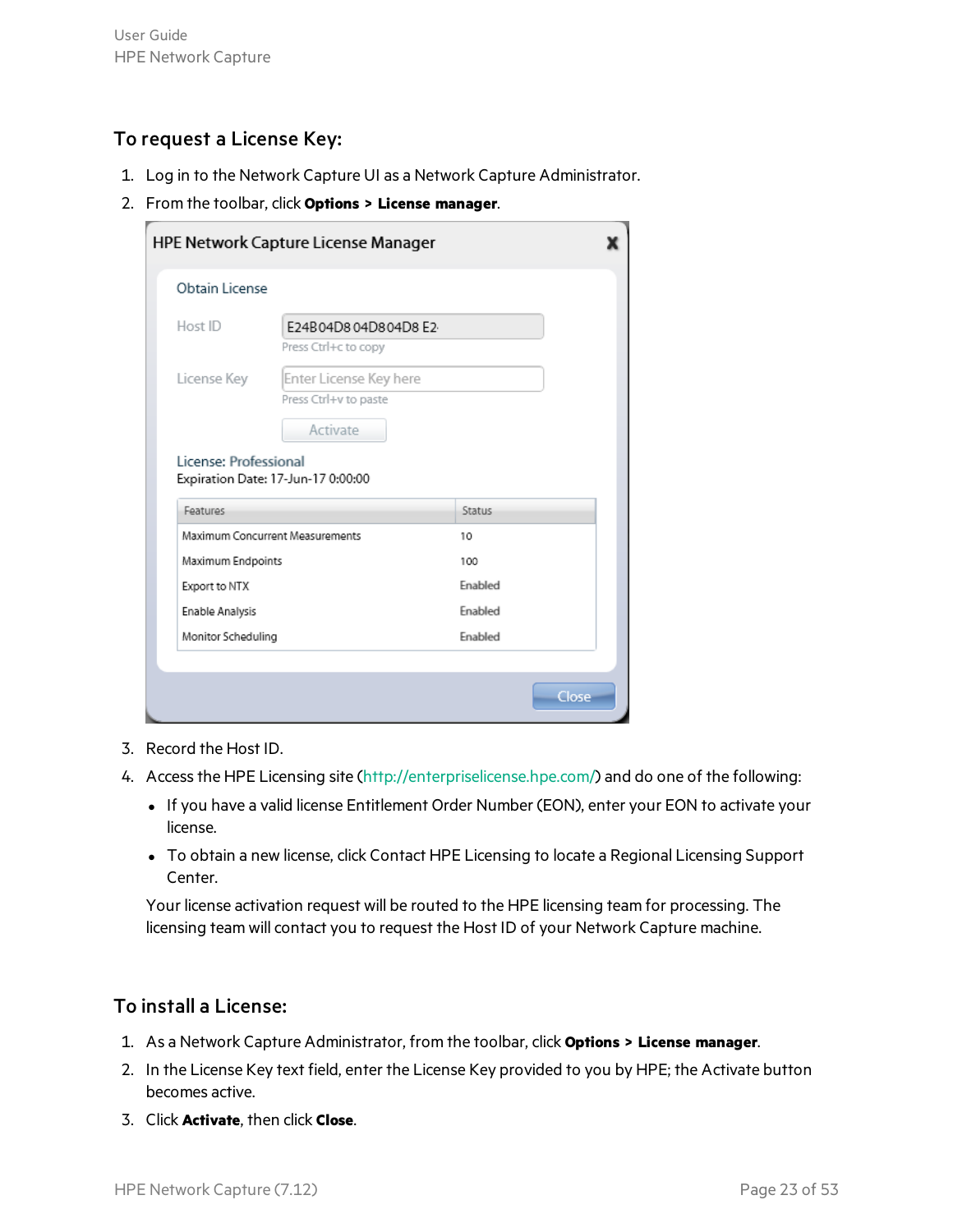#### To request a License Key:

- 1. Log in to the Network Capture UI as a Network Capture Administrator.
- 2. From the toolbar, click **Options > License manager**.

| Obtain License        |                                    |               |  |
|-----------------------|------------------------------------|---------------|--|
| Host ID               | E24B04D804D804D8E2                 |               |  |
|                       | Press Ctrl+c to copy               |               |  |
| License Key           | Enter License Key here             |               |  |
|                       | Press Ctrl+v to paste              |               |  |
|                       | <b>Activate</b>                    |               |  |
| License: Professional |                                    |               |  |
| Features              | Expiration Date: 17-Jun-17 0:00:00 | <b>Status</b> |  |
|                       | Maximum Concurrent Measurements    | 10            |  |
| Maximum Endpoints     |                                    | 100           |  |
| Export to NTX         |                                    | Enabled       |  |
| Enable Analysis       |                                    | Enabled       |  |
| Monitor Scheduling    |                                    | Enabled       |  |

- 3. Record the Host ID.
- 4. Accessthe HPE Licensing site [\(http://enterpriselicense.hpe.com/](http://enterpriselicense.hpe.com/)) and do one of the following:
	- If you have a valid license Entitlement Order Number (EON), enter your EON to activate your license.
	- To obtain a new license, click Contact HPE Licensing to locate a Regional Licensing Support Center.

Your license activation request will be routed to the HPE licensing team for processing. The licensing team will contact you to request the Host ID of your Network Capture machine.

#### To install a License:

- 1. As a Network Capture Administrator, from the toolbar, click **Options > License manager**.
- 2. In the License Key text field, enter the License Key provided to you by HPE; the Activate button becomes active.
- 3. Click **Activate**, then click **Close**.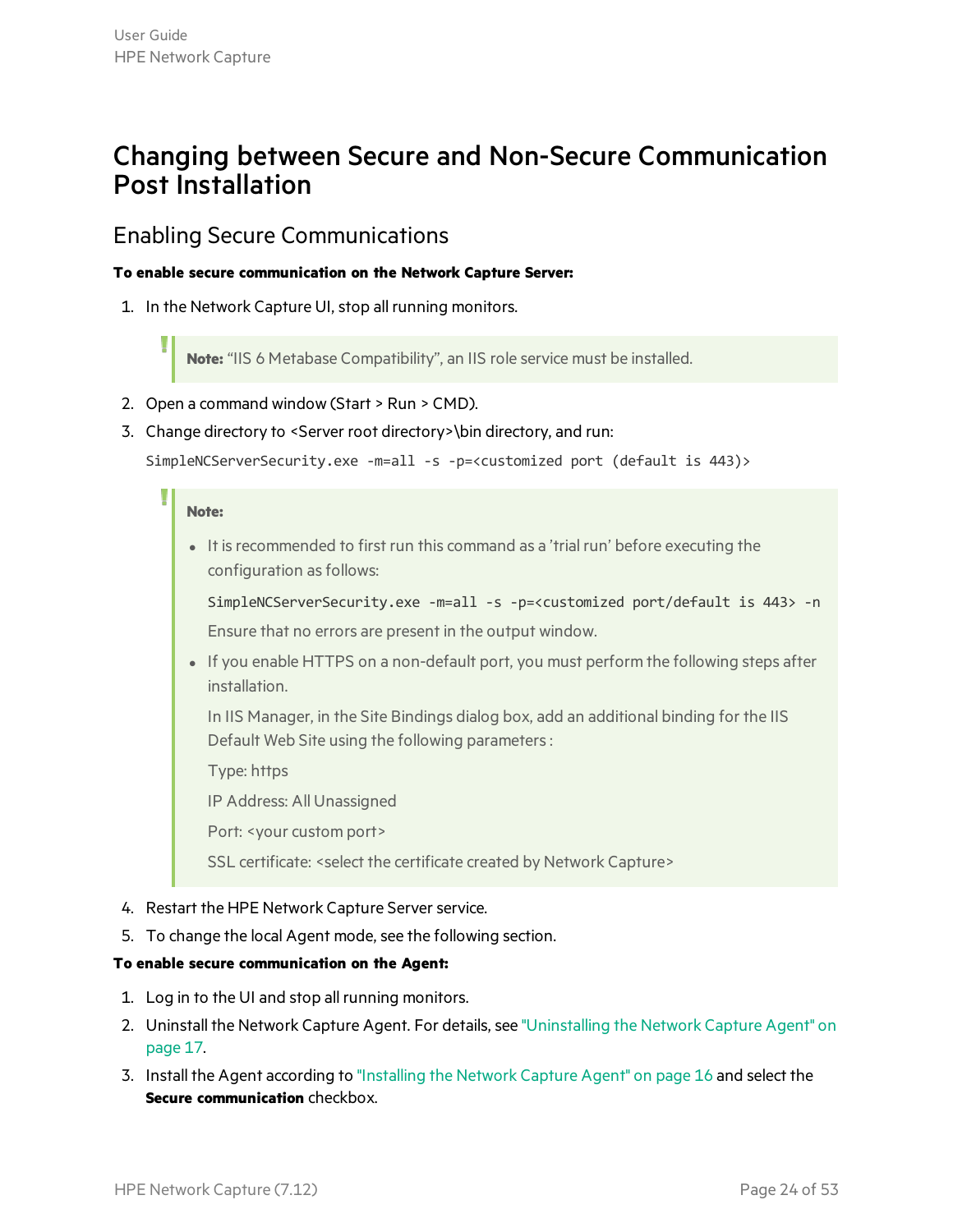### <span id="page-23-0"></span>Changing between Secure and Non-Secure Communication Post Installation

#### <span id="page-23-1"></span>Enabling Secure Communications

#### **To enable secure communication on the Network Capture Server:**

1. In the Network Capture UI, stop all running monitors.

**Note:** "IIS 6 Metabase Compatibility", an IIS role service must be installed.

- 2. Open a command window (Start > Run > CMD).
- 3. Change directory to <Server root directory>\bin directory, and run:

```
SimpleNCServerSecurity.exe -m=all -s -p=<customized port (default is 443)>
```
#### **Note:**

It is recommended to first run this command as a 'trial run' before executing the configuration as follows:

SimpleNCServerSecurity.exe -m=all -s -p=<customized port/default is 443> -n Ensure that no errors are present in the output window.

If you enable HTTPS on a non-default port, you must perform the following steps after installation.

In IIS Manager, in the Site Bindings dialog box, add an additional binding for the IIS Default Web Site using the following parameters:

Type: https

IP Address: All Unassigned

Port: <your custom port>

SSL certificate: < select the certificate created by Network Capture>

- 4. Restart the HPE Network Capture Server service.
- 5. To change the local Agent mode, see the following section.

#### **To enable secure communication on the Agent:**

- 1. Log in to the UI and stop all running monitors.
- 2. Uninstall the Network Capture Agent. For details, see ["Uninstalling](#page-16-0) the Network Capture Agent" on [page](#page-16-0) 17.
- 3. Install the Agent according to ["Installing](#page-15-0) the Network Capture Agent" on page 16 and select the **Secure communication** checkbox.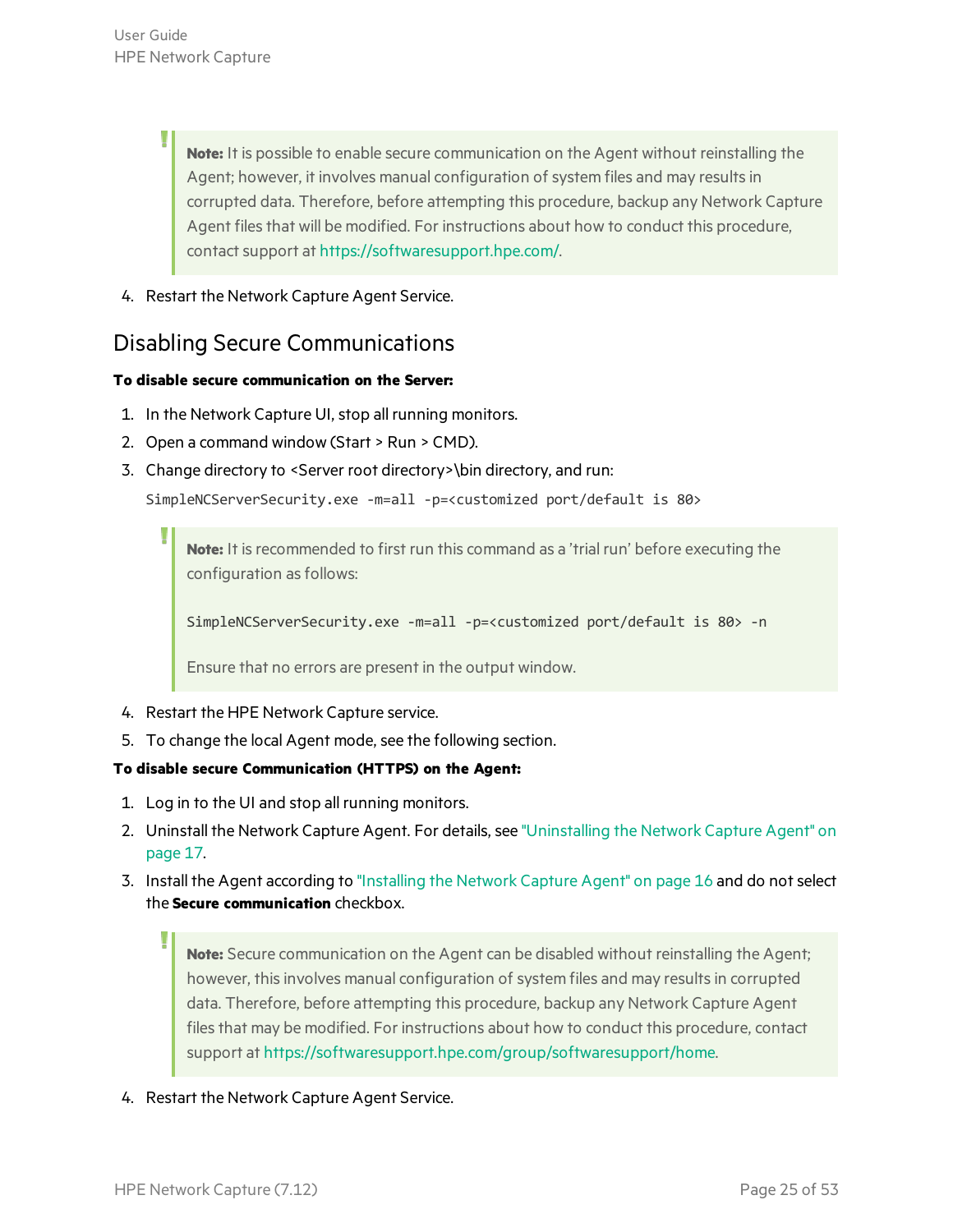**Note:** It is possible to enable secure communication on the Agent without reinstalling the Agent; however, it involves manual configuration of system files and may results in corrupted data. Therefore, before attempting this procedure, backup any Network Capture Agent files that will be modified. For instructions about how to conduct this procedure, contact support at <https://softwaresupport.hpe.com/>.

4. Restart the Network Capture Agent Service.

#### <span id="page-24-0"></span>Disabling Secure Communications

#### **To disable secure communication on the Server:**

- 1. In the Network Capture UI, stop all running monitors.
- 2. Open a command window (Start > Run > CMD).
- 3. Change directory to <Server root directory>\bin directory, and run:

```
SimpleNCServerSecurity.exe -m=all -p=<customized port/default is 80>
```
Note: It is recommended to first run this command as a 'trial run' before executing the configuration as follows:

SimpleNCServerSecurity.exe -m=all -p=<customized port/default is 80> -n

Ensure that no errors are present in the output window.

- 4. Restart the HPE Network Capture service.
- 5. To change the local Agent mode, see the following section.

#### **To disable secure Communication (HTTPS) on the Agent:**

- 1. Log in to the UI and stop all running monitors.
- 2. Uninstall the Network Capture Agent. For details, see ["Uninstalling](#page-16-0) the Network Capture Agent" on [page](#page-16-0) 17.
- 3. Install the Agent according to ["Installing](#page-15-0) the Network Capture Agent" on page 16 and do not select the **Secure communication** checkbox.

**Note:** Secure communication on the Agent can be disabled without reinstalling the Agent; however, this involves manual configuration of system files and may results in corrupted data. Therefore, before attempting this procedure, backup any Network Capture Agent files that may be modified. For instructions about how to conduct this procedure, contact support at [https://softwaresupport.hpe.com/group/softwaresupport/home.](https://softwaresupport.hpe.com/group/softwaresupport/home)

4. Restart the Network Capture Agent Service.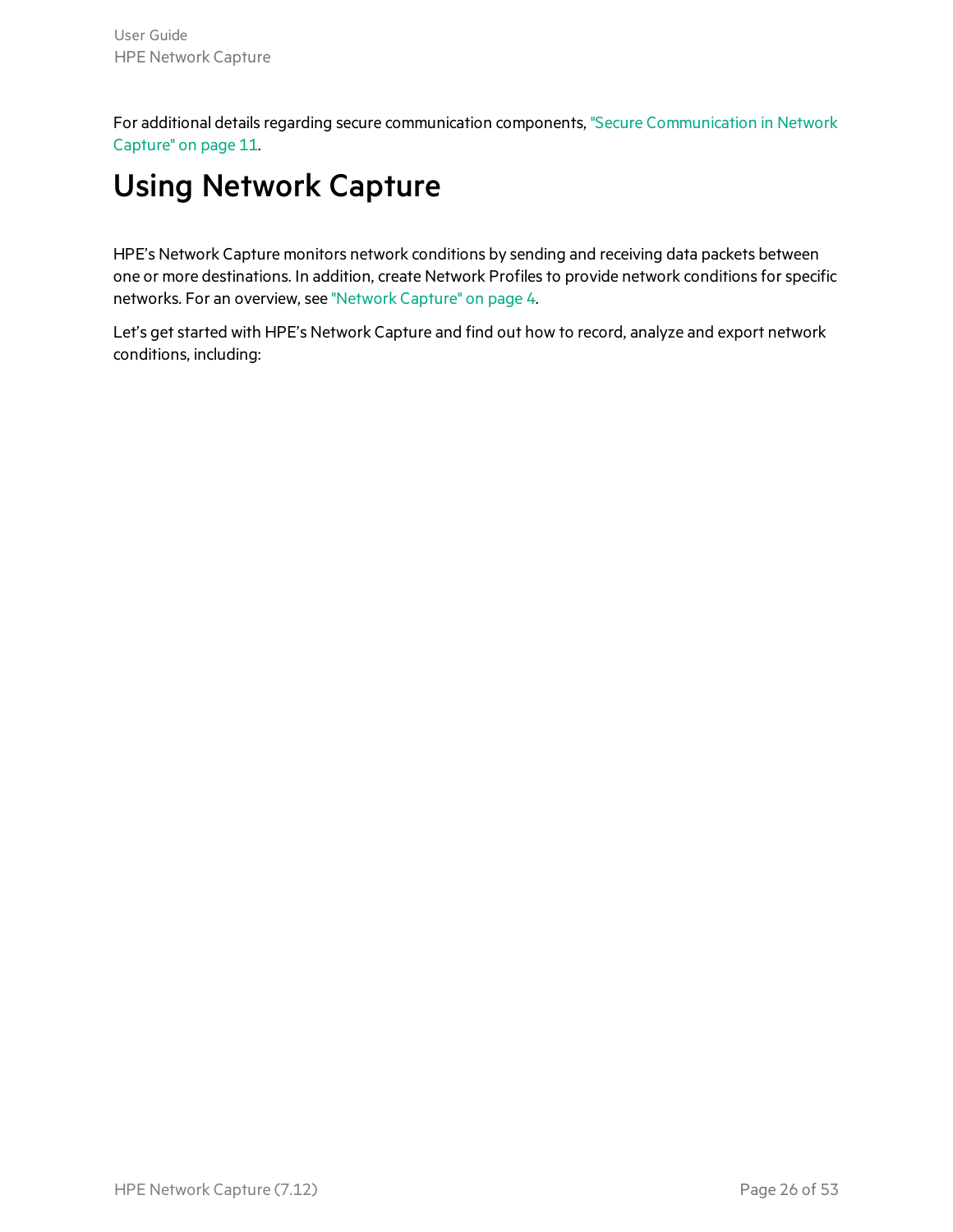<span id="page-25-0"></span>For additional details regarding secure communication components, "Secure [Communication](#page-10-0) in Network [Capture"](#page-10-0) on page 11.

# Using Network Capture

HPE's Network Capture monitors network conditions by sending and receiving data packets between one or more destinations. In addition, create Network Profiles to provide network conditions for specific networks. For an overview, see ["Network](#page-3-0) Capture" on page 4.

Let's get started with HPE's Network Capture and find out how to record, analyze and export network conditions, including: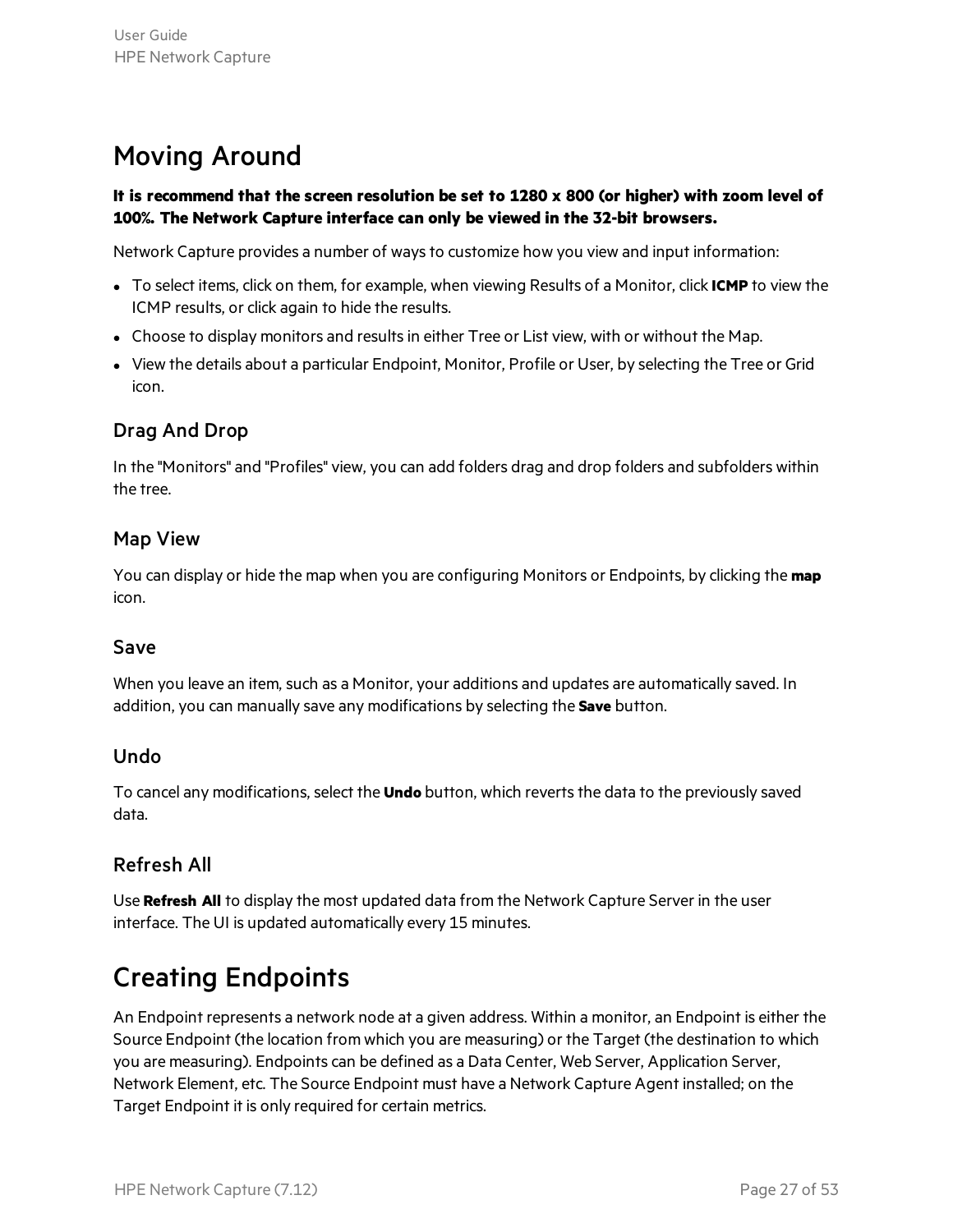### <span id="page-26-0"></span>Moving Around

#### It is recommend that the screen resolution be set to  $1280 \times 800$  (or higher) with zoom level of **100%. The Network Capture interface can only be viewed in the 32-bit browsers.**

Network Capture provides a number of waysto customize how you view and input information:

- **To select items, click on them, for example, when viewing Results of a Monitor, click <b>ICMP** to view the ICMP results, or click again to hide the results.
- Choose to display monitors and results in either Tree or List view, with or without the Map.
- View the details about a particular Endpoint, Monitor, Profile or User, by selecting the Tree or Grid icon.

#### Drag And Drop

In the "Monitors" and "Profiles" view, you can add folders drag and drop folders and subfolders within the tree.

#### Map View

You can display or hide the map when you are configuring Monitors or Endpoints, by clicking the **map** icon.

#### Save

When you leave an item, such as a Monitor, your additions and updates are automatically saved. In addition, you can manually save any modifications by selecting the **Save** button.

#### Undo

To cancel any modifications, select the **Undo** button, which revertsthe data to the previously saved data.

#### Refresh All

Use **Refresh All** to display the most updated data from the Network Capture Server in the user interface. The UI is updated automatically every 15 minutes.

### <span id="page-26-1"></span>Creating Endpoints

An Endpoint represents a network node at a given address. Within a monitor, an Endpoint is either the Source Endpoint (the location from which you are measuring) or the Target (the destination to which you are measuring). Endpoints can be defined as a Data Center, Web Server, Application Server, Network Element, etc. The Source Endpoint must have a Network Capture Agent installed; on the Target Endpoint it is only required for certain metrics.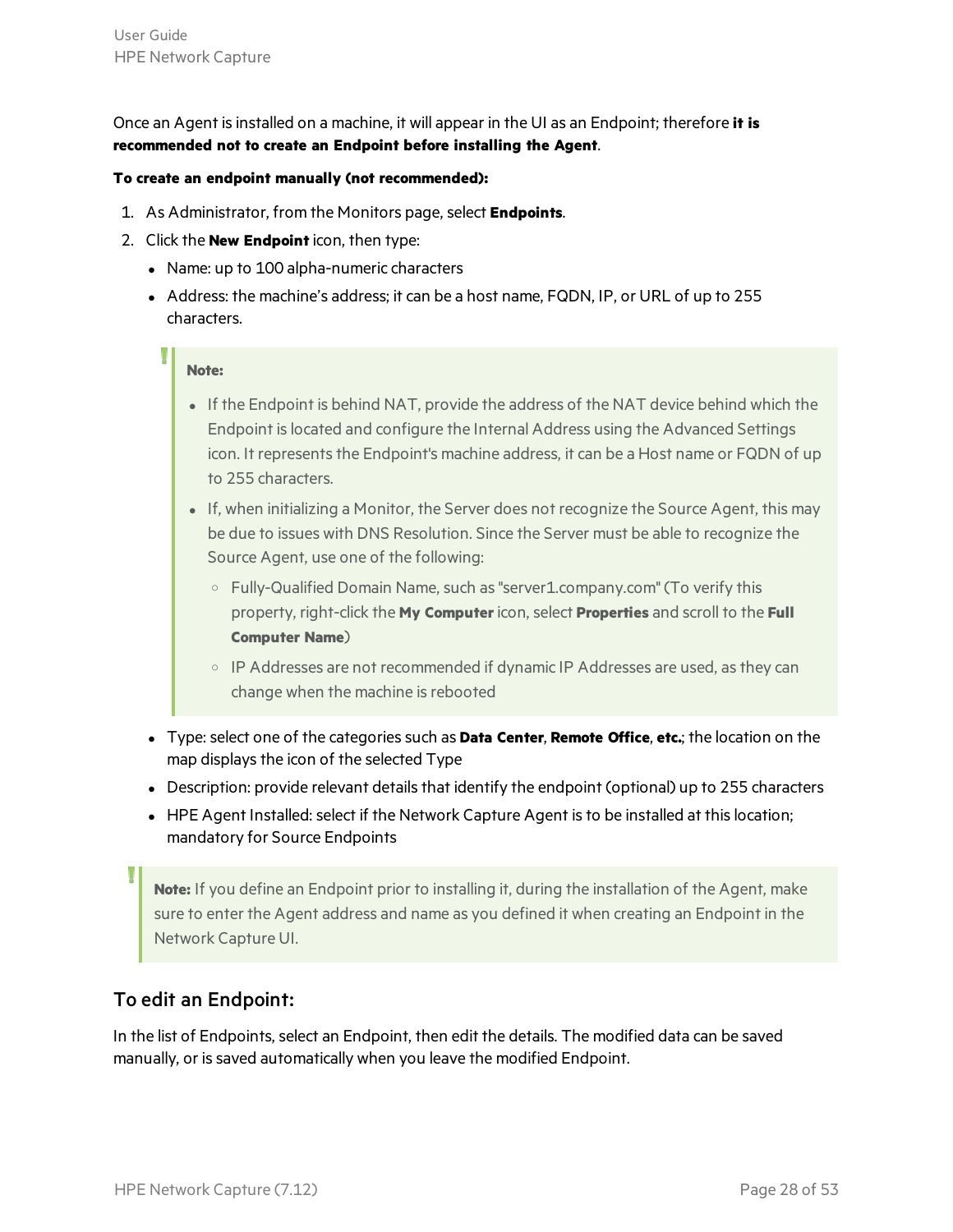Once an Agent isinstalled on a machine, it will appear in the UI as an Endpoint; therefore **it is recommended not to create an Endpoint before installing the Agent**.

#### **To create an endpoint manually (not recommended):**

- 1. As Administrator, from the Monitors page, select **Endpoints**.
- 2. Click the **New Endpoint** icon, then type:
	- Name: up to 100 alpha-numeric characters
	- Address: the machine's address; it can be a host name, FQDN, IP, or URL of up to 255 characters.

#### **Note:**

- If the Endpoint is behind NAT, provide the address of the NAT device behind which the Endpoint islocated and configure the Internal Address using the Advanced Settings icon. It represents the Endpoint's machine address, it can be a Host name or FQDN of up to 255 characters.
- If, when initializing a Monitor, the Server does not recognize the Source Agent, this may be due to issues with DNS Resolution. Since the Server must be able to recognize the Source Agent, use one of the following:
	- <sup>o</sup> Fully-Qualified Domain Name, such as"server1.company.com" (To verify this property, right-click the **My Computer**icon, select **Properties** and scroll to the **Full Computer Name**)
	- o IP Addresses are not recommended if dynamic IP Addresses are used, as they can change when the machine is rebooted
- <sup>l</sup> Type: select one of the categoriessuch as **Data Center**, **Remote Office**, **etc.**; the location on the map displays the icon of the selected Type
- Description: provide relevant details that identify the endpoint (optional) up to 255 characters
- HPE Agent Installed: select if the Network Capture Agent is to be installed at this location; mandatory for Source Endpoints

**Note:** If you define an Endpoint prior to installing it, during the installation of the Agent, make sure to enter the Agent address and name as you defined it when creating an Endpoint in the Network Capture UI.

#### To edit an Endpoint:

In the list of Endpoints, select an Endpoint, then edit the details. The modified data can be saved manually, or is saved automatically when you leave the modified Endpoint.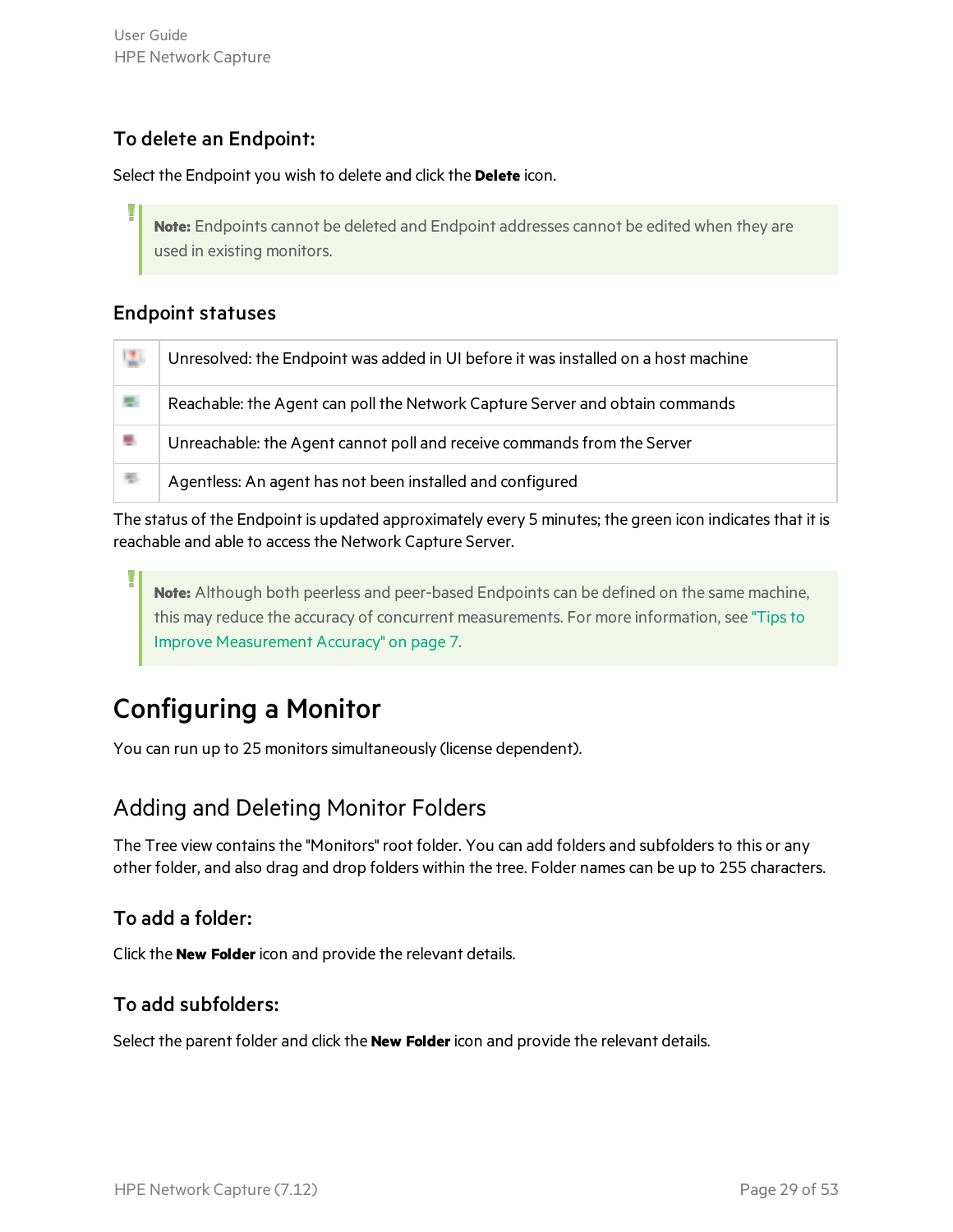#### To delete an Endpoint:

Select the Endpoint you wish to delete and click the **Delete** icon.

**Note:** Endpoints cannot be deleted and Endpoint addresses cannot be edited when they are used in existing monitors.

#### Endpoint statuses

| - 123 | Unresolved: the Endpoint was added in UI before it was installed on a host machine |
|-------|------------------------------------------------------------------------------------|
| 思     | Reachable: the Agent can poll the Network Capture Server and obtain commands       |
| 思     | Unreachable: the Agent cannot poll and receive commands from the Server            |
| 悪     | Agentless: An agent has not been installed and configured                          |

The status of the Endpoint is updated approximately every 5 minutes; the green icon indicates that it is reachable and able to access the Network Capture Server.

**Note:** Although both peerless and peer-based Endpoints can be defined on the same machine, this may reduce the accuracy of concurrent measurements. For more information, see ["Tipsto](#page-6-0) Improve [Measurement](#page-6-0) Accuracy" on page 7.

### <span id="page-28-0"></span>Configuring a Monitor

You can run up to 25 monitors simultaneously (license dependent).

#### <span id="page-28-1"></span>Adding and Deleting Monitor Folders

The Tree view contains the "Monitors" root folder. You can add folders and subfolders to this or any other folder, and also drag and drop folders within the tree. Folder names can be up to 255 characters.

#### To add a folder:

Click the **New Folder**icon and provide the relevant details.

#### To add subfolders:

Select the parent folder and click the **New Folder**icon and provide the relevant details.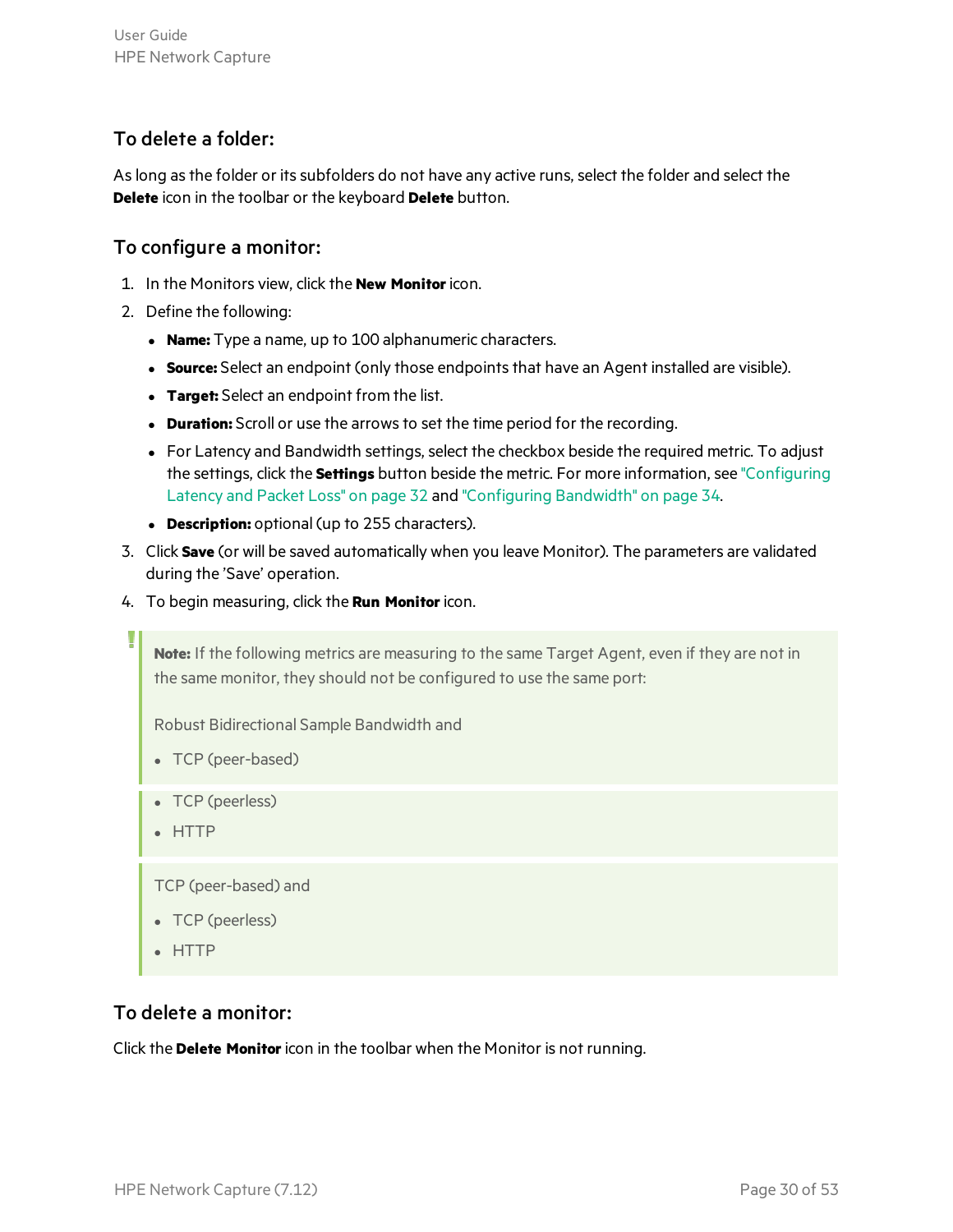#### To delete a folder:

Aslong asthe folder or itssubfolders do not have any active runs, select the folder and select the **Delete** icon in the toolbar or the keyboard **Delete** button.

#### To configure a monitor:

- 1. In the Monitors view, click the **New Monitor**icon.
- 2. Define the following:
	- **Name:** Type a name, up to 100 alphanumeric characters.
	- **Source:** Select an endpoint (only those endpoints that have an Agent installed are visible).
	- **Target:** Select an endpoint from the list.
	- **Duration:** Scroll or use the arrows to set the time period for the recording.
	- For Latency and Bandwidth settings, select the checkbox beside the required metric. To adjust the settings, click the **Settings** button beside the metric. For more information, see ["Configuring](#page-31-0) [Latency](#page-31-0) and Packet Loss" on page 32 and ["Configuring](#page-33-0) Bandwidth" on page 34.
	- **Description:** optional (up to 255 characters).
- 3. Click **Save** (or will be saved automatically when you leave Monitor). The parameters are validated during the 'Save' operation.
- 4. To begin measuring, click the **Run Monitor**icon.

**Note:** If the following metrics are measuring to the same Target Agent, even if they are not in the same monitor, they should not be configured to use the same port:

Robust Bidirectional Sample Bandwidth and

- TCP (peer-based)
- TCP (peerless)
- HTTP

TCP (peer-based) and

- TCP (peerless)
- HTTP

#### To delete a monitor:

Click the **Delete Monitor**icon in the toolbar when the Monitor is not running.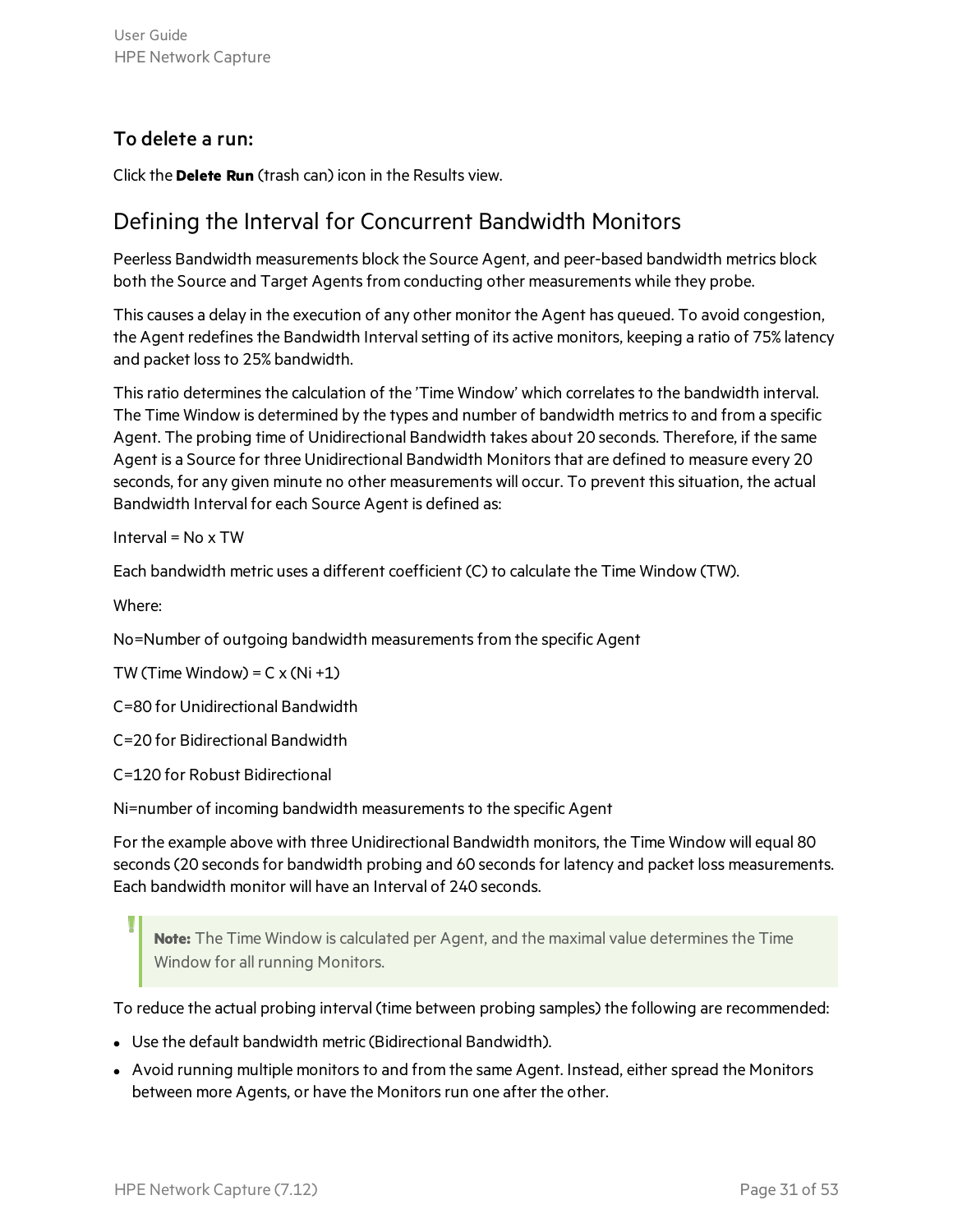#### To delete a run:

Click the **Delete Run** (trash can) icon in the Results view.

#### <span id="page-30-0"></span>Defining the Interval for Concurrent Bandwidth Monitors

Peerless Bandwidth measurements block the Source Agent, and peer-based bandwidth metrics block both the Source and Target Agents from conducting other measurements while they probe.

This causes a delay in the execution of any other monitor the Agent has queued. To avoid congestion, the Agent redefines the Bandwidth Interval setting of its active monitors, keeping a ratio of 75% latency and packet loss to 25% bandwidth.

This ratio determines the calculation of the 'Time Window' which correlates to the bandwidth interval. The Time Window is determined by the types and number of bandwidth metrics to and from a specific Agent. The probing time of Unidirectional Bandwidth takes about 20 seconds. Therefore, if the same Agent is a Source for three Unidirectional Bandwidth Monitorsthat are defined to measure every 20 seconds, for any given minute no other measurements will occur. To prevent this situation, the actual Bandwidth Interval for each Source Agent is defined as:

Interval =  $No \times TW$ 

Each bandwidth metric uses a different coefficient (C) to calculate the Time Window (TW).

Where:

No=Number of outgoing bandwidth measurements from the specific Agent

TW (Time Window) =  $C \times (Ni + 1)$ 

C=80 for Unidirectional Bandwidth

C=20 for Bidirectional Bandwidth

C=120 for Robust Bidirectional

Ni=number of incoming bandwidth measurements to the specific Agent

For the example above with three Unidirectional Bandwidth monitors, the Time Window will equal 80 seconds (20 seconds for bandwidth probing and 60 seconds for latency and packet loss measurements. Each bandwidth monitor will have an Interval of 240 seconds.

**Note:** The Time Window is calculated per Agent, and the maximal value determines the Time Window for all running Monitors.

To reduce the actual probing interval (time between probing samples) the following are recommended:

- Use the default bandwidth metric (Bidirectional Bandwidth).
- Avoid running multiple monitors to and from the same Agent. Instead, either spread the Monitors between more Agents, or have the Monitors run one after the other.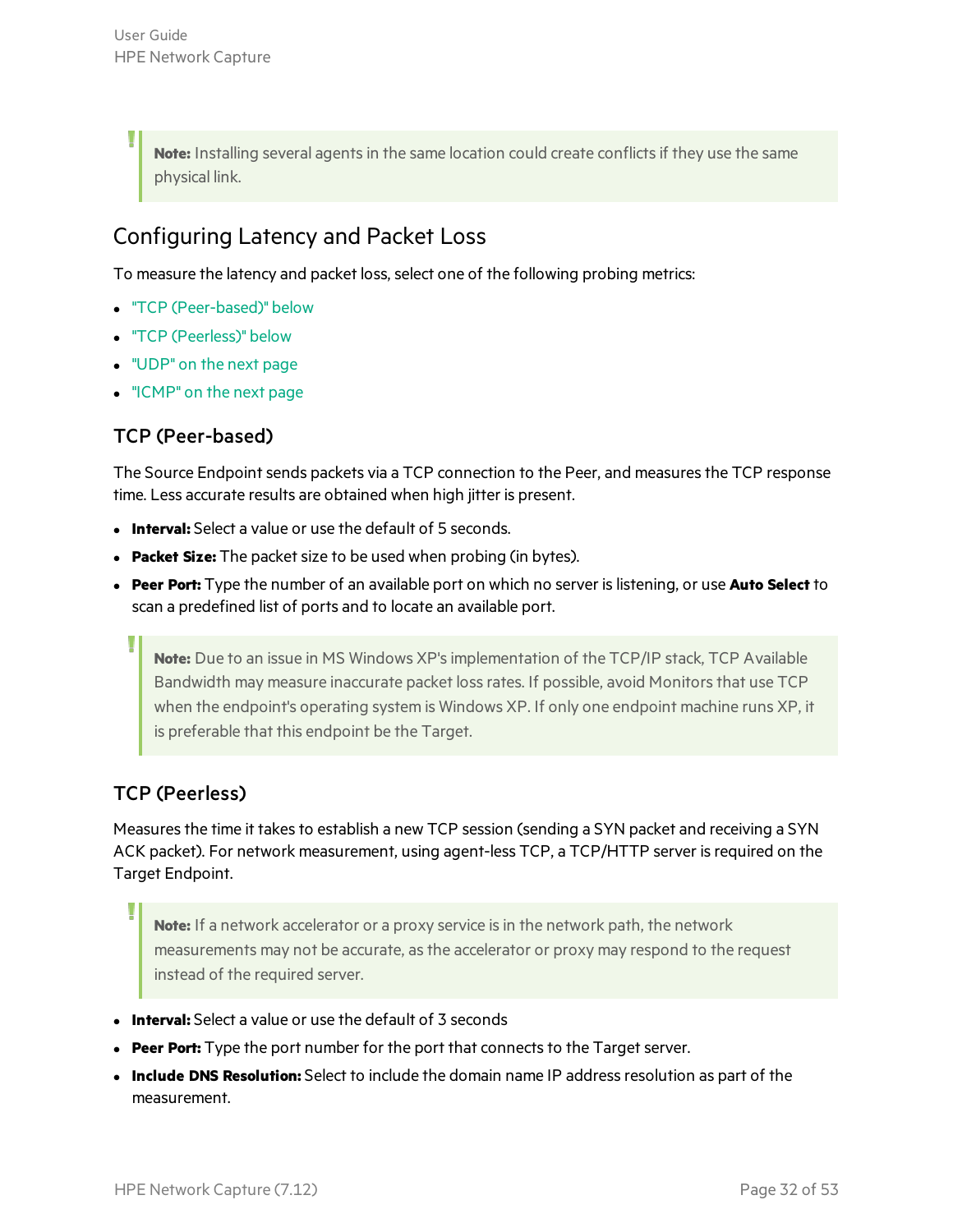Note: Installing several agents in the same location could create conflicts if they use the same physical link.

### <span id="page-31-0"></span>Configuring Latency and Packet Loss

To measure the latency and packet loss, select one of the following probing metrics:

- "TCP [\(Peer-based\)"](#page-31-1) below
- "TCP [\(Peerless\)"](#page-31-2) below
- ["UDP"](#page-32-0) on the next page
- <span id="page-31-1"></span>• ["ICMP"](#page-32-1) on the next page

#### TCP (Peer-based)

The Source Endpoint sends packets via a TCP connection to the Peer, and measures the TCP response time. Less accurate results are obtained when high jitter is present.

- **Interval:** Select a value or use the default of 5 seconds.
- **Packet Size:** The packet size to be used when probing (in bytes).
- <sup>l</sup> **Peer Port:** Type the number of an available port on which no server islistening, or use **Auto Select** to scan a predefined list of ports and to locate an available port.

**Note:** Due to an issue in MS Windows XP'simplementation of the TCP/IP stack, TCP Available Bandwidth may measure inaccurate packet loss rates. If possible, avoid Monitors that use TCP when the endpoint's operating system is Windows XP. If only one endpoint machine runs XP, it is preferable that this endpoint be the Target.

#### <span id="page-31-2"></span>TCP (Peerless)

Measures the time it takes to establish a new TCP session (sending a SYN packet and receiving a SYN ACK packet). For network measurement, using agent-less TCP, a TCP/HTTP server is required on the Target Endpoint.

**Note:** If a network accelerator or a proxy service isin the network path, the network measurements may not be accurate, as the accelerator or proxy may respond to the request instead of the required server.

- **Interval:** Select a value or use the default of 3 seconds
- Peer Port: Type the port number for the port that connects to the Target server.
- **Include DNS Resolution:** Select to include the domain name IP address resolution as part of the measurement.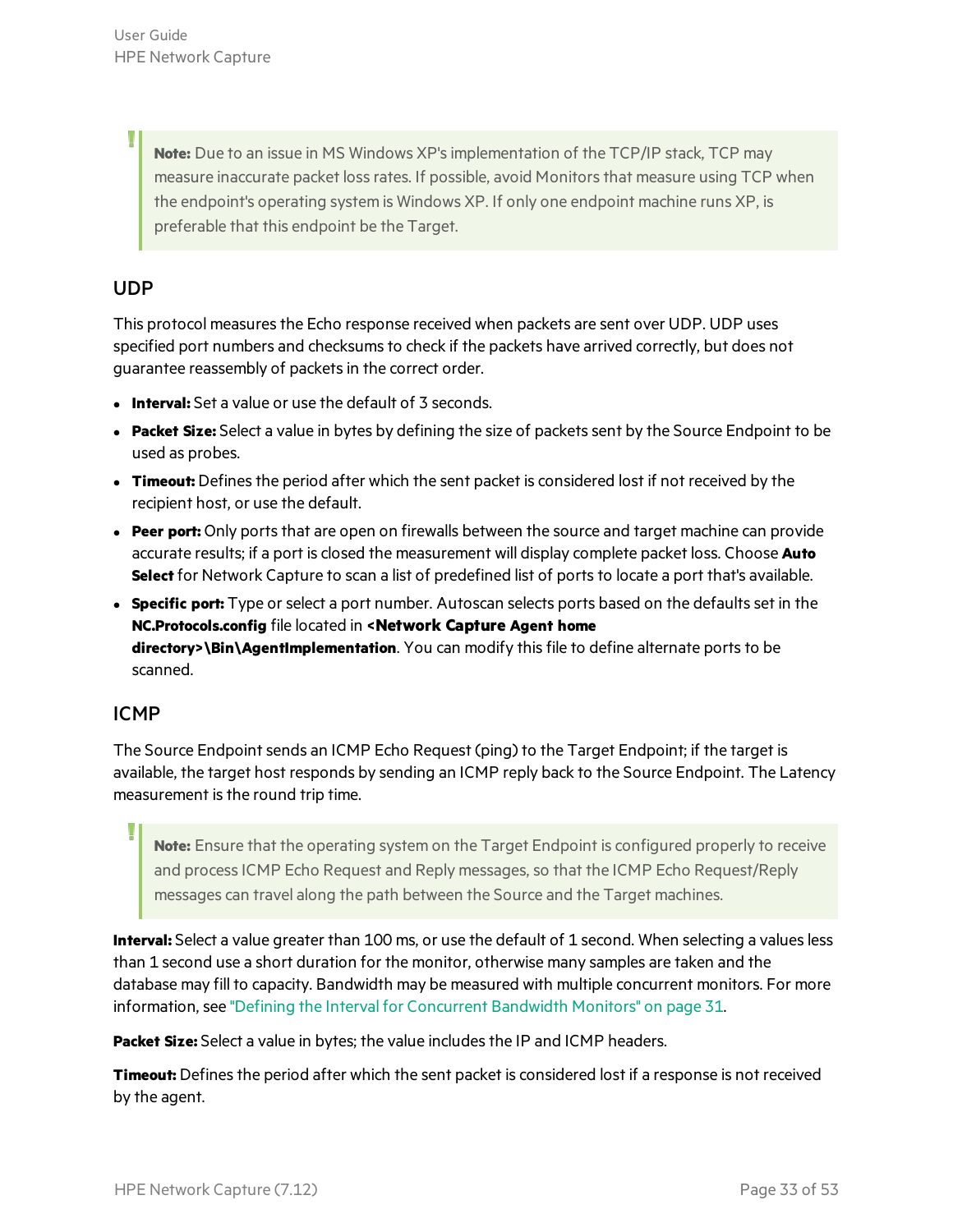**Note:** Due to an issue in MS Windows XP'simplementation of the TCP/IP stack, TCP may measure inaccurate packet loss rates. If possible, avoid Monitors that measure using TCP when the endpoint's operating system is Windows XP. If only one endpoint machine runs XP, is preferable that this endpoint be the Target.

#### <span id="page-32-0"></span>UDP

U

This protocol measures the Echo response received when packets are sent over UDP. UDP uses specified port numbers and checksums to check if the packets have arrived correctly, but does not guarantee reassembly of packetsin the correct order.

- **Interval:** Set a value or use the default of 3 seconds.
- **Packet Size:** Select a value in bytes by defining the size of packets sent by the Source Endpoint to be used as probes.
- **Timeout:** Defines the period after which the sent packet is considered lost if not received by the recipient host, or use the default.
- **Peer port:** Only ports that are open on firewalls between the source and target machine can provide accurate results; if a port is closed the measurement will display complete packet loss. Choose **Auto Select** for Network Capture to scan a list of predefined list of ports to locate a port that's available.
- **Specific port:** Type or select a port number. Autoscan selects ports based on the defaults set in the **NC.Protocols.config** file located in **<Network Capture Agent home directory>\Bin\AgentImplementation**. You can modify this file to define alternate ports to be scanned.

#### <span id="page-32-1"></span>ICMP

The Source Endpoint sends an ICMP Echo Request (ping) to the Target Endpoint; if the target is available, the target host responds by sending an ICMP reply back to the Source Endpoint. The Latency measurement is the round trip time.

**Note:** Ensure that the operating system on the Target Endpoint is configured properly to receive and process ICMP Echo Request and Reply messages, so that the ICMP Echo Request/Reply messages can travel along the path between the Source and the Target machines.

**Interval:** Select a value greater than 100 ms, or use the default of 1 second. When selecting a values less than 1 second use a short duration for the monitor, otherwise many samples are taken and the database may fill to capacity. Bandwidth may be measured with multiple concurrent monitors. For more information, see "Defining the Interval for [Concurrent](#page-30-0) Bandwidth Monitors" on page 31.

**Packet Size:** Select a value in bytes; the value includes the IP and ICMP headers.

**Timeout:** Defines the period after which the sent packet is considered lost if a response is not received by the agent.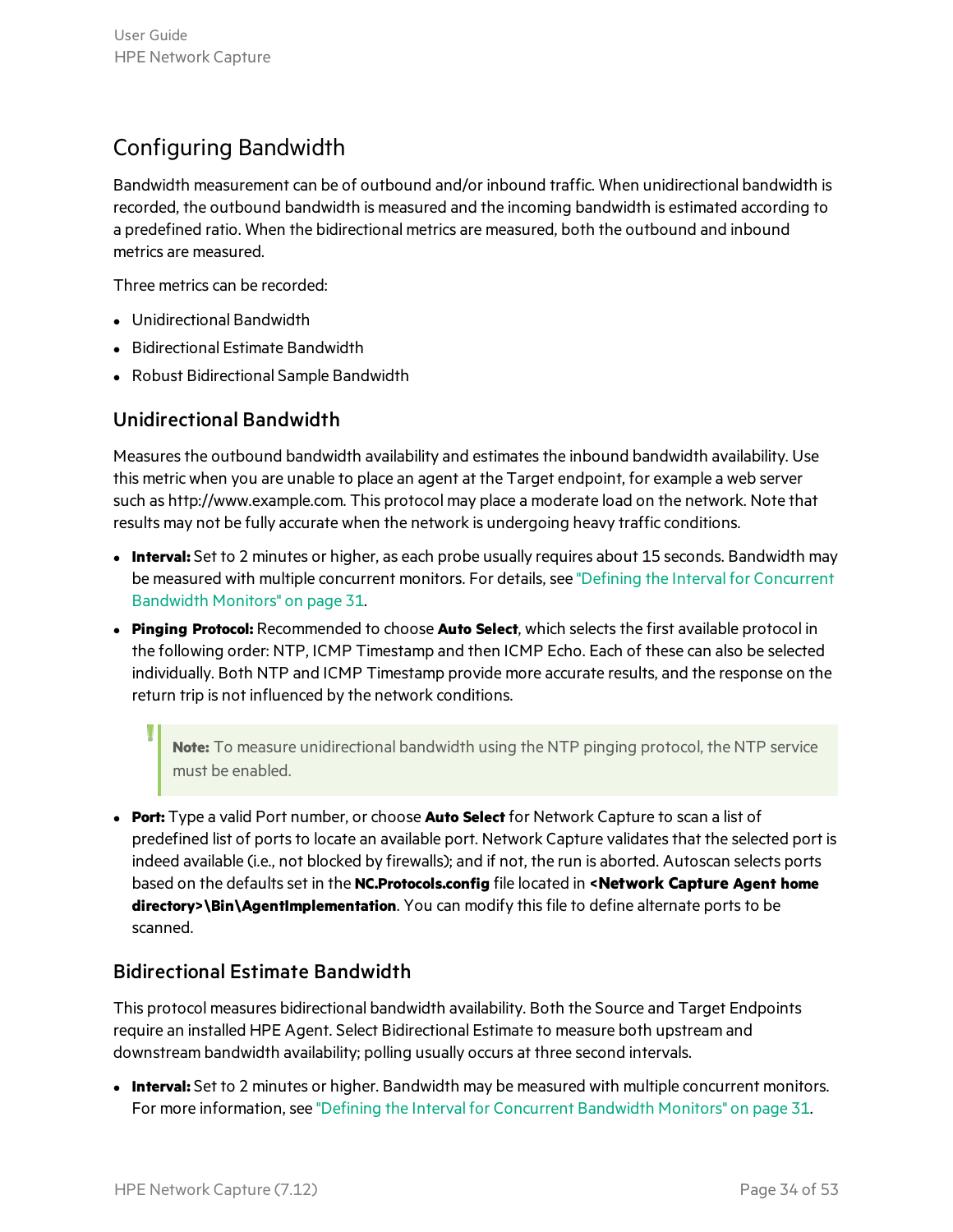### <span id="page-33-0"></span>Configuring Bandwidth

Bandwidth measurement can be of outbound and/or inbound traffic. When unidirectional bandwidth is recorded, the outbound bandwidth is measured and the incoming bandwidth is estimated according to a predefined ratio. When the bidirectional metrics are measured, both the outbound and inbound metrics are measured.

Three metrics can be recorded:

- Unidirectional Bandwidth
- **•** Bidirectional Estimate Bandwidth
- Robust Bidirectional Sample Bandwidth

#### Unidirectional Bandwidth

Measures the outbound bandwidth availability and estimates the inbound bandwidth availability. Use this metric when you are unable to place an agent at the Target endpoint, for example a web server such as http://www.example.com. This protocol may place a moderate load on the network. Note that results may not be fully accurate when the network is undergoing heavy traffic conditions.

- **Interval:** Set to 2 minutes or higher, as each probe usually requires about 15 seconds. Bandwidth may be measured with multiple concurrent monitors. For details, see "Defining the Interval for [Concurrent](#page-30-0) [Bandwidth](#page-30-0) Monitors" on page 31.
- **Pinging Protocol:** Recommended to choose **Auto Select**, which selects the first available protocol in the following order: NTP, ICMP Timestamp and then ICMP Echo. Each of these can also be selected individually. Both NTP and ICMP Timestamp provide more accurate results, and the response on the return trip is not influenced by the network conditions.

**Note:** To measure unidirectional bandwidth using the NTP pinging protocol, the NTP service must be enabled.

<sup>l</sup> **Port:** Type a valid Port number, or choose **Auto Select** for Network Capture to scan a list of predefined list of ports to locate an available port. Network Capture validates that the selected port is indeed available (i.e., not blocked by firewalls); and if not, the run is aborted. Autoscan selects ports based on the defaultsset in the **NC.Protocols.config** file located in **<Network Capture Agent home** directory>\Bin\AgentImplementation. You can modify this file to define alternate ports to be scanned.

#### Bidirectional Estimate Bandwidth

This protocol measures bidirectional bandwidth availability. Both the Source and Target Endpoints require an installed HPE Agent. Select Bidirectional Estimate to measure both upstream and downstream bandwidth availability; polling usually occurs at three second intervals.

**Interval:** Set to 2 minutes or higher. Bandwidth may be measured with multiple concurrent monitors. For more information, see "Defining the Interval for [Concurrent](#page-30-0) Bandwidth Monitors" on page 31.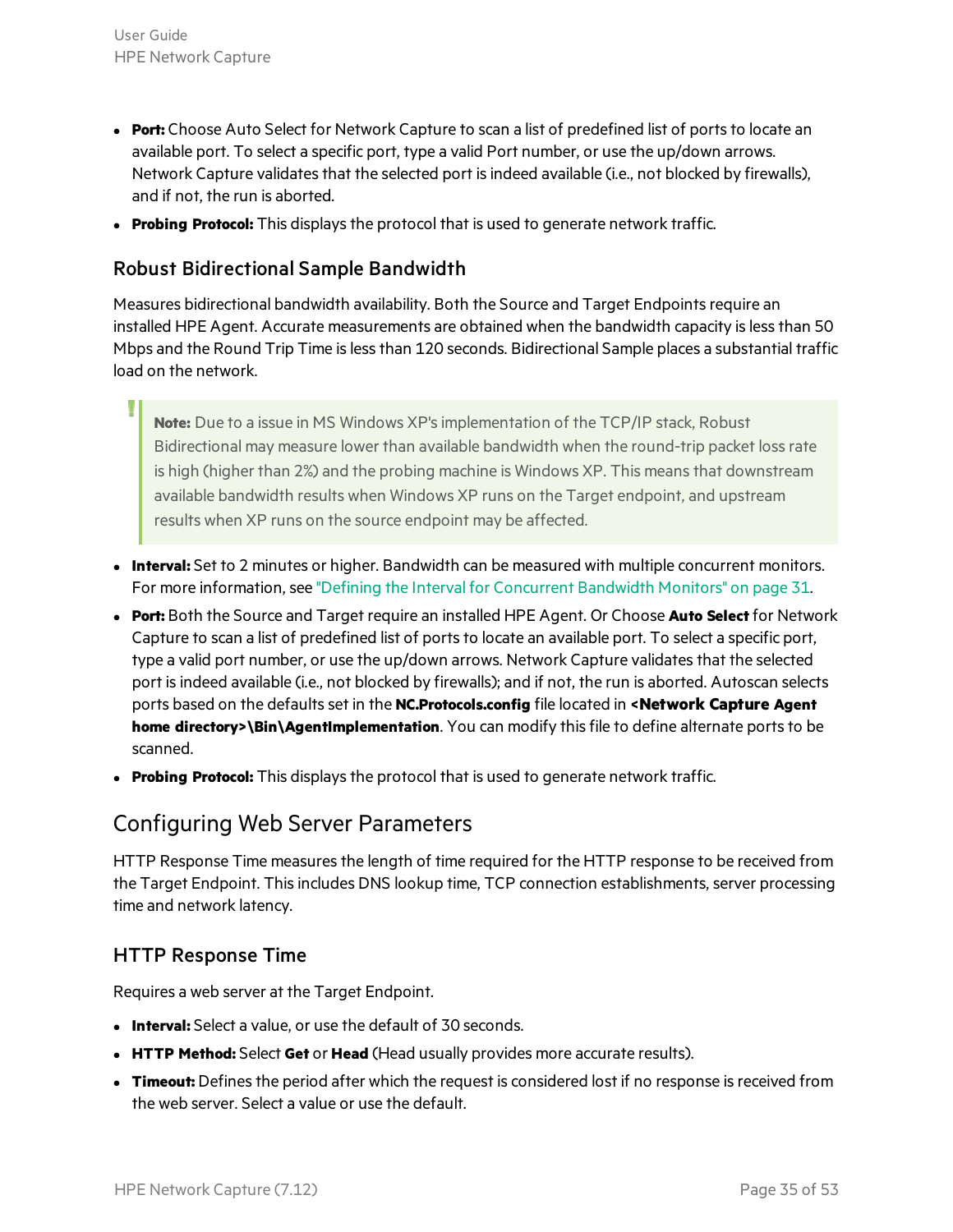- **Port:** Choose Auto Select for Network Capture to scan a list of predefined list of ports to locate an available port. To select a specific port, type a valid Port number, or use the up/down arrows. Network Capture validates that the selected port is indeed available (i.e., not blocked by firewalls), and if not, the run is aborted.
- **Probing Protocol:** This displays the protocol that is used to generate network traffic.

#### Robust Bidirectional Sample Bandwidth

Measures bidirectional bandwidth availability. Both the Source and Target Endpointsrequire an installed HPE Agent. Accurate measurements are obtained when the bandwidth capacity is less than 50 Mbps and the Round Trip Time islessthan 120 seconds. Bidirectional Sample places a substantial traffic load on the network.

**Note:** Due to a issue in MS Windows XP'simplementation of the TCP/IP stack, Robust Bidirectional may measure lower than available bandwidth when the round-trip packet lossrate is high (higher than 2%) and the probing machine is Windows XP. This means that downstream available bandwidth results when Windows XP runs on the Target endpoint, and upstream results when XP runs on the source endpoint may be affected.

- **Interval:** Set to 2 minutes or higher. Bandwidth can be measured with multiple concurrent monitors. For more information, see "Defining the Interval for [Concurrent](#page-30-0) Bandwidth Monitors" on page 31.
- <sup>l</sup> **Port:** Both the Source and Target require an installed HPE Agent. Or Choose **Auto Select** for Network Capture to scan a list of predefined list of ports to locate an available port. To select a specific port, type a valid port number, or use the up/down arrows. Network Capture validates that the selected port is indeed available (i.e., not blocked by firewalls); and if not, the run is aborted. Autoscan selects ports based on the defaultsset in the **NC.Protocols.config** file located in **<Network Capture Agent** home directory>\Bin\AgentImplementation. You can modify this file to define alternate ports to be scanned.
- <span id="page-34-0"></span>**Probing Protocol:** This displays the protocol that is used to generate network traffic.

#### Configuring Web Server Parameters

HTTP Response Time measures the length of time required for the HTTP response to be received from the Target Endpoint. This includes DNS lookup time, TCP connection establishments, server processing time and network latency.

#### HTTP Response Time

Requires a web server at the Target Endpoint.

- **Interval:** Select a value, or use the default of 30 seconds.
- **HTTP Method:** Select Get or Head (Head usually provides more accurate results).
- **Timeout:** Defines the period after which the request is considered lost if no response is received from the web server. Select a value or use the default.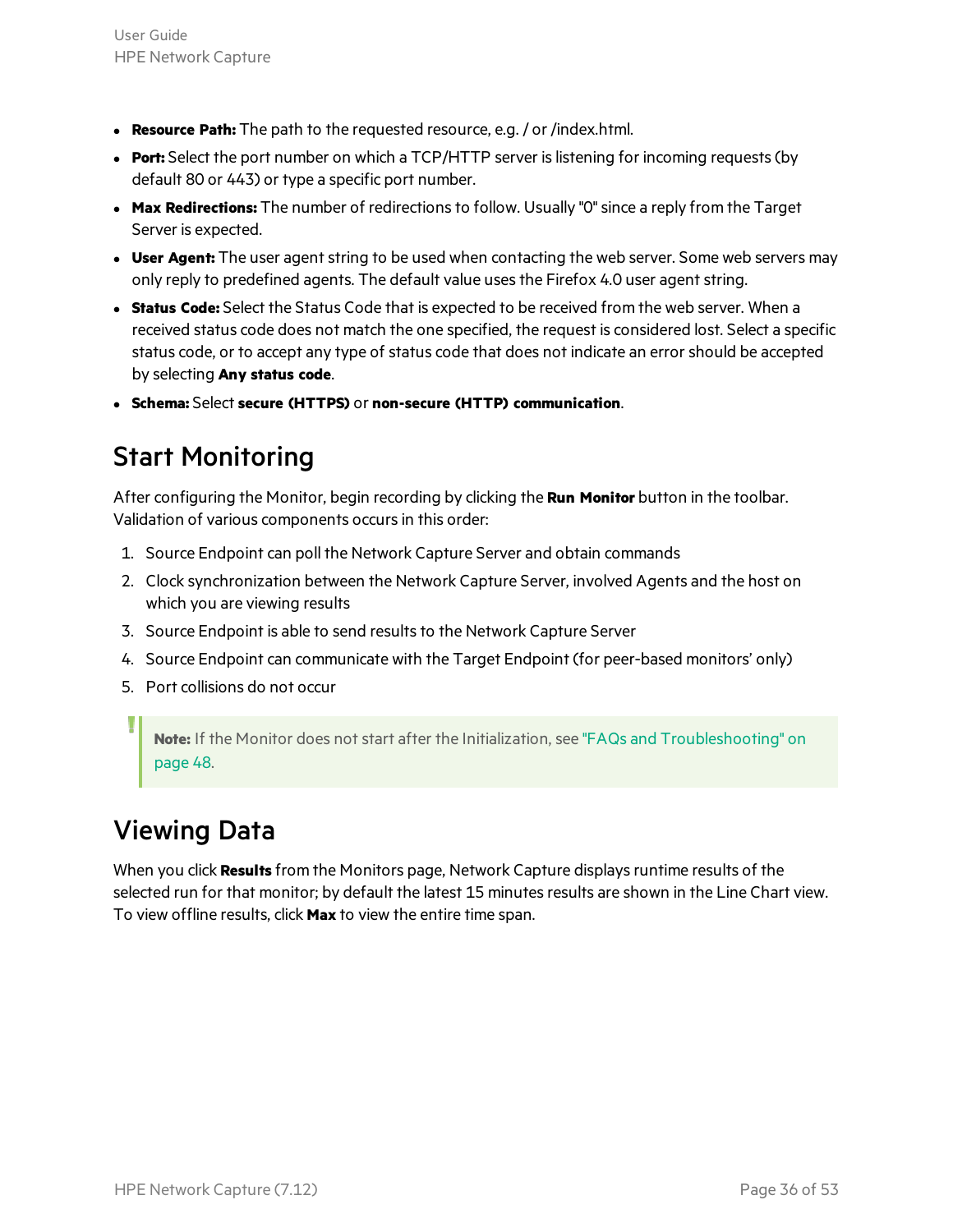- **Resource Path:** The path to the requested resource, e.g. / or /index.html.
- **Port:** Select the port number on which a TCP/HTTP server is listening for incoming requests (by default 80 or 443) or type a specific port number.
- **Max Redirections:** The number of redirections to follow. Usually "0" since a reply from the Target Server is expected.
- **User Agent:** The user agent string to be used when contacting the web server. Some web servers may only reply to predefined agents. The default value uses the Firefox 4.0 user agent string.
- **Status Code:** Select the Status Code that is expected to be received from the web server. When a received status code does not match the one specified, the request is considered lost. Select a specific status code, or to accept any type of status code that does not indicate an error should be accepted by selecting **Any status code**.
- <span id="page-35-0"></span><sup>l</sup> **Schema:** Select **secure (HTTPS)** or **non-secure (HTTP) communication**.

### Start Monitoring

After configuring the Monitor, begin recording by clicking the **Run Monitor** button in the toolbar. Validation of various components occurs in this order:

- 1. Source Endpoint can poll the Network Capture Server and obtain commands
- 2. Clock synchronization between the Network Capture Server, involved Agents and the host on which you are viewing results
- 3. Source Endpoint is able to send results to the Network Capture Server
- 4. Source Endpoint can communicate with the Target Endpoint (for peer-based monitors' only)
- 5. Port collisions do not occur

**Note:** If the Monitor does not start after the Initialization, see "FAQs and [Troubleshooting"](#page-47-0) on [page](#page-47-0) 48.

### <span id="page-35-1"></span>Viewing Data

When you click **Results** from the Monitors page, Network Capture displaysruntime results of the selected run for that monitor; by default the latest 15 minutes results are shown in the Line Chart view. To view offline results, click **Max** to view the entire time span.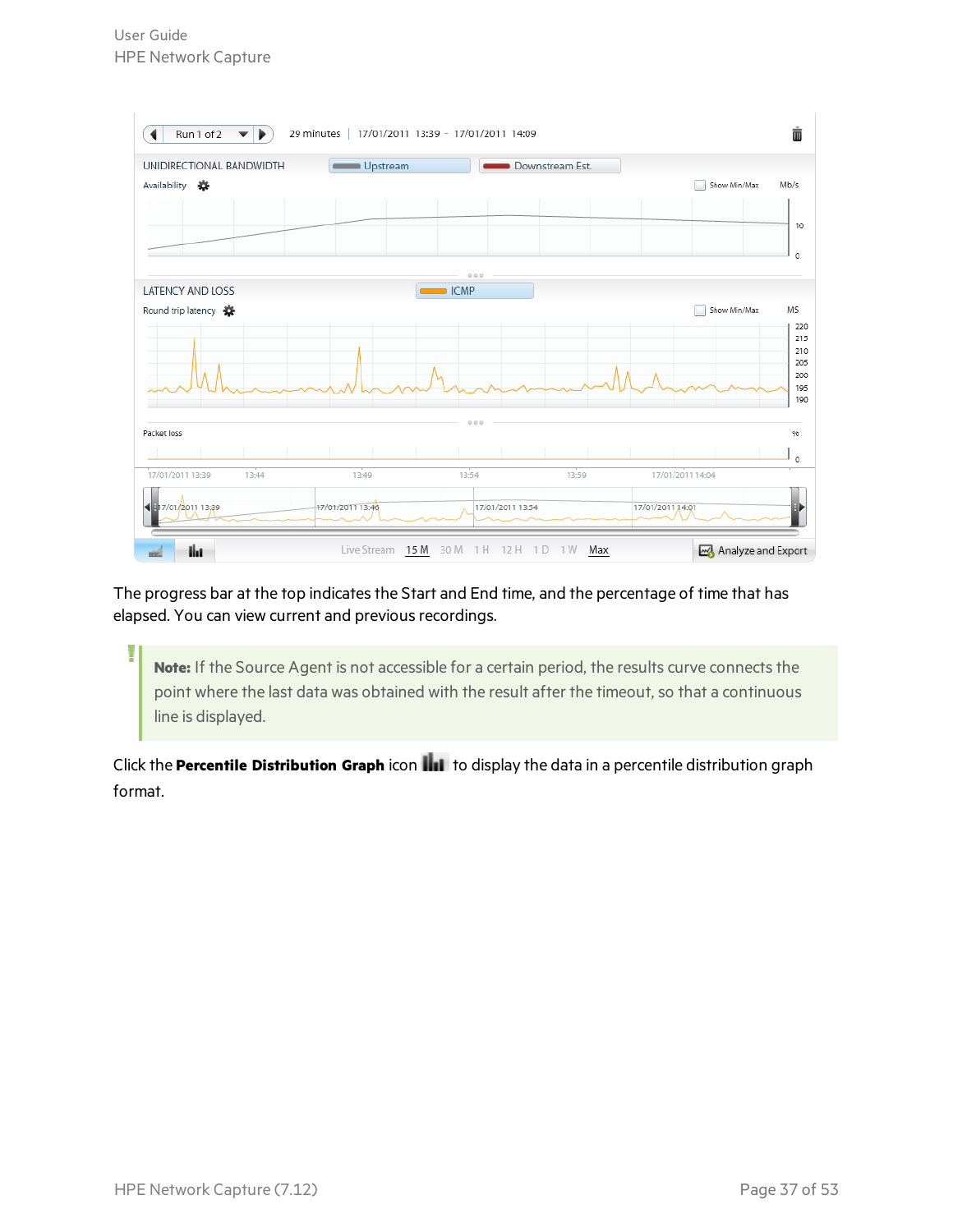U



The progress bar at the top indicates the Start and End time, and the percentage of time that has elapsed. You can view current and previous recordings.

Note: If the Source Agent is not accessible for a certain period, the results curve connects the point where the last data was obtained with the result after the timeout, so that a continuous line is displayed.

Click the **Percentile Distribution Graph** icon **IIII** to display the data in a percentile distribution graph format.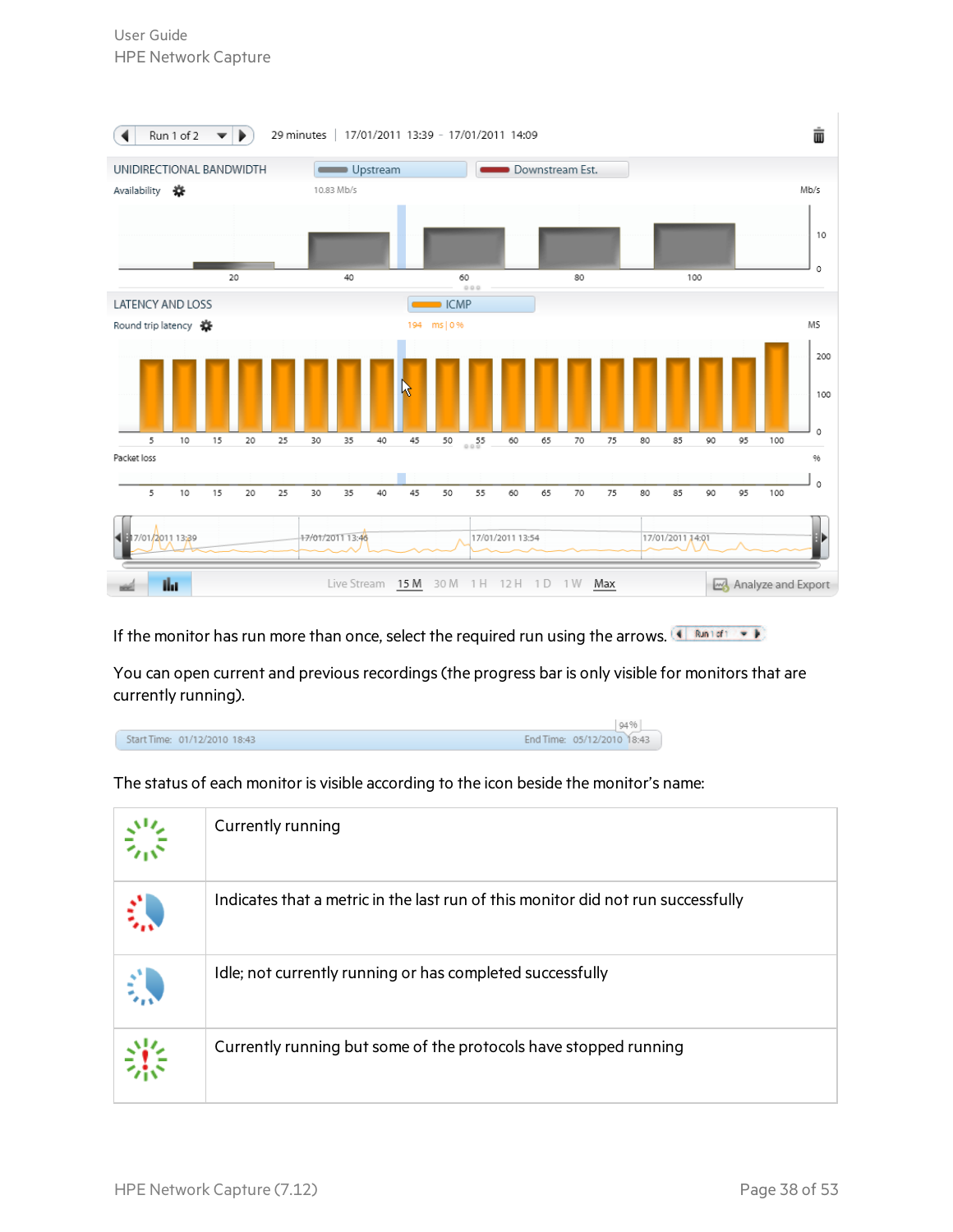

If the monitor has run more than once, select the required run using the arrows.

You can open current and previous recordings (the progress bar is only visible for monitors that are currently running).

|                              | 94%                        |  |
|------------------------------|----------------------------|--|
| Start Time: 01/12/2010 18:43 | End Time: 05/12/2010 18:43 |  |

The status of each monitor is visible according to the icon beside the monitor's name:

| Currently running                                                                |
|----------------------------------------------------------------------------------|
| Indicates that a metric in the last run of this monitor did not run successfully |
| Idle; not currently running or has completed successfully                        |
| Currently running but some of the protocols have stopped running                 |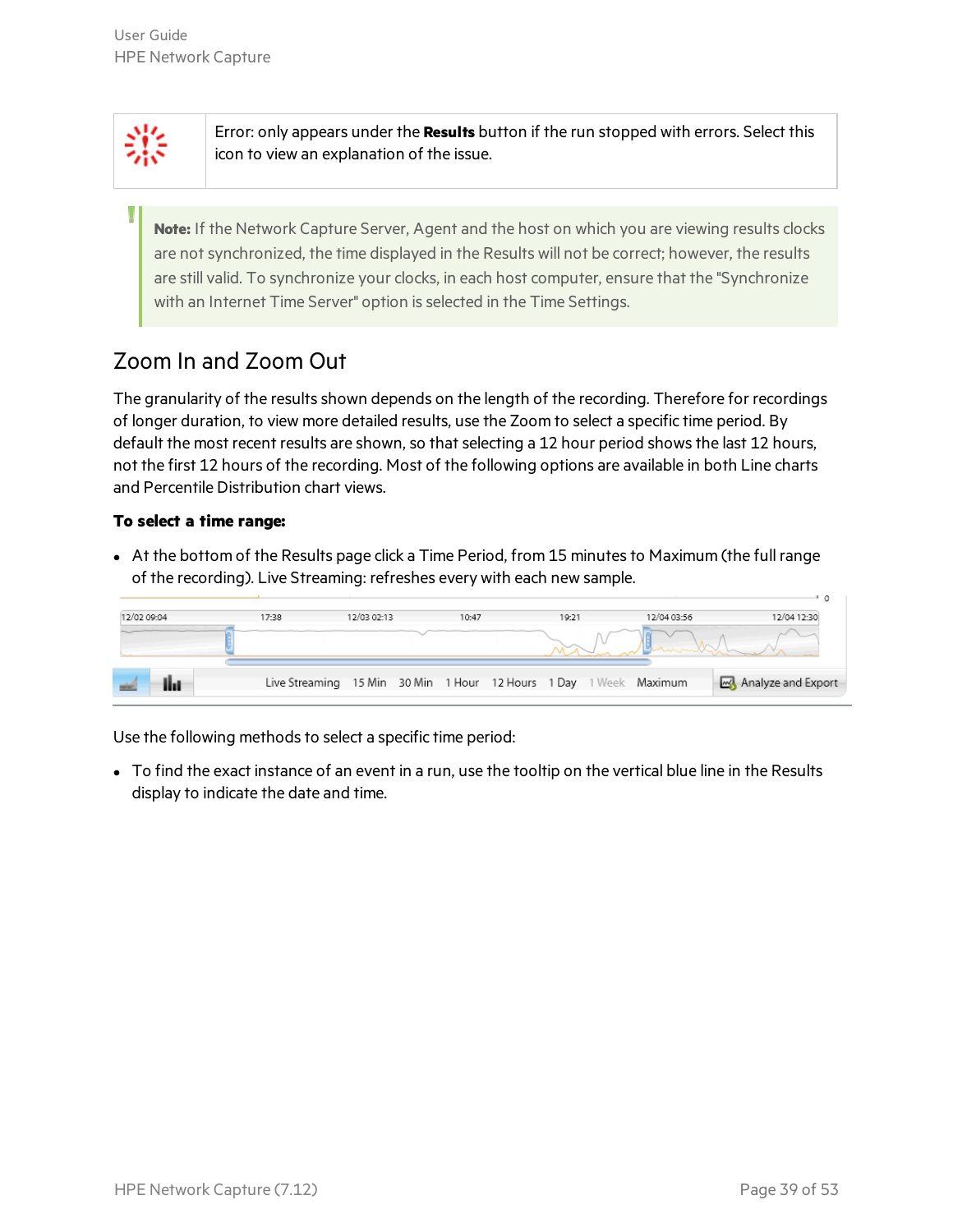Error: only appears under the **Results** button if the run stopped with errors. Select this icon to view an explanation of the issue.

**Note:** If the Network Capture Server, Agent and the host on which you are viewing results clocks are not synchronized, the time displayed in the Results will not be correct; however, the results are still valid. To synchronize your clocks, in each host computer, ensure that the "Synchronize with an Internet Time Server" option is selected in the Time Settings.

### <span id="page-38-0"></span>Zoom In and Zoom Out

The granularity of the results shown depends on the length of the recording. Therefore for recordings of longer duration, to view more detailed results, use the Zoom to select a specific time period. By default the most recent results are shown, so that selecting a 12 hour period shows the last 12 hours, not the first 12 hours of the recording. Most of the following options are available in both Line charts and Percentile Distribution chart views.

#### **To select a time range:**

• At the bottom of the Results page click a Time Period, from 15 minutes to Maximum (the full range of the recording). Live Streaming: refreshes every with each new sample.

| 12/02 09:04 | 17:38                                                             | 12/03 02:13 | 10:47 | 19:21 | 12/04 03:56 | 12/04 12:30        |
|-------------|-------------------------------------------------------------------|-------------|-------|-------|-------------|--------------------|
|             |                                                                   |             |       |       |             |                    |
|             | Live Streaming 15 Min 30 Min 1 Hour 12 Hours 1 Day 1 Week Maximum |             |       |       |             | Analyze and Export |

Use the following methods to select a specific time period:

• To find the exact instance of an event in a run, use the tooltip on the vertical blue line in the Results display to indicate the date and time.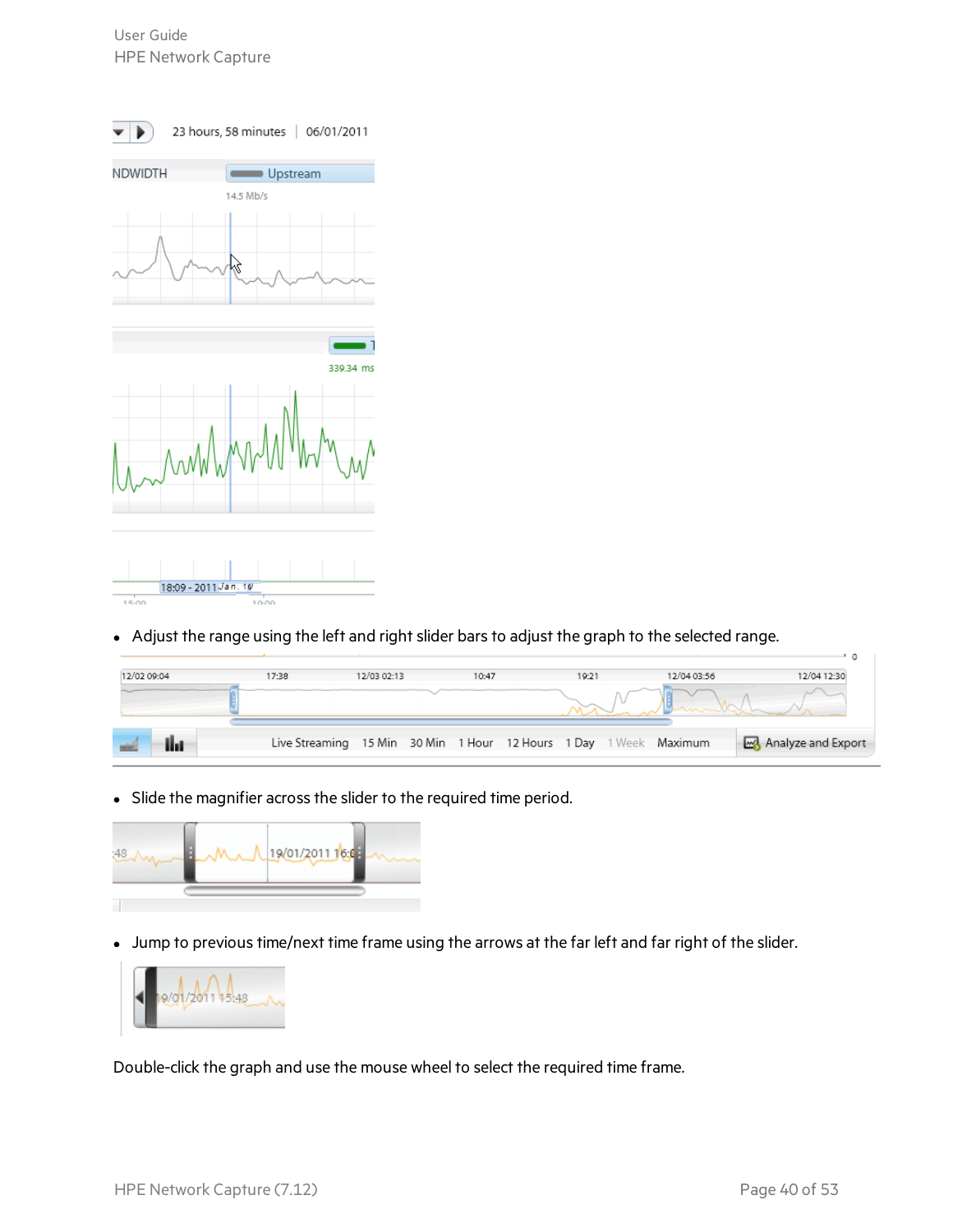

• Adjust the range using the left and right slider bars to adjust the graph to the selected range.

| 12/02 09:04 | 17:38 | 12/03 02:13 | 10:47 | 19:21 | 12/04 03:56                                                       | 12/04 12:30        |
|-------------|-------|-------------|-------|-------|-------------------------------------------------------------------|--------------------|
|             |       |             |       |       |                                                                   |                    |
|             |       |             |       |       | Live Streaming 15 Min 30 Min 1 Hour 12 Hours 1 Day 1 Week Maximum | Analyze and Export |

• Slide the magnifier across the slider to the required time period.

![](_page_39_Picture_5.jpeg)

• Jump to previous time/next time frame using the arrows at the far left and far right of the slider.

![](_page_39_Figure_7.jpeg)

Double-click the graph and use the mouse wheel to select the required time frame.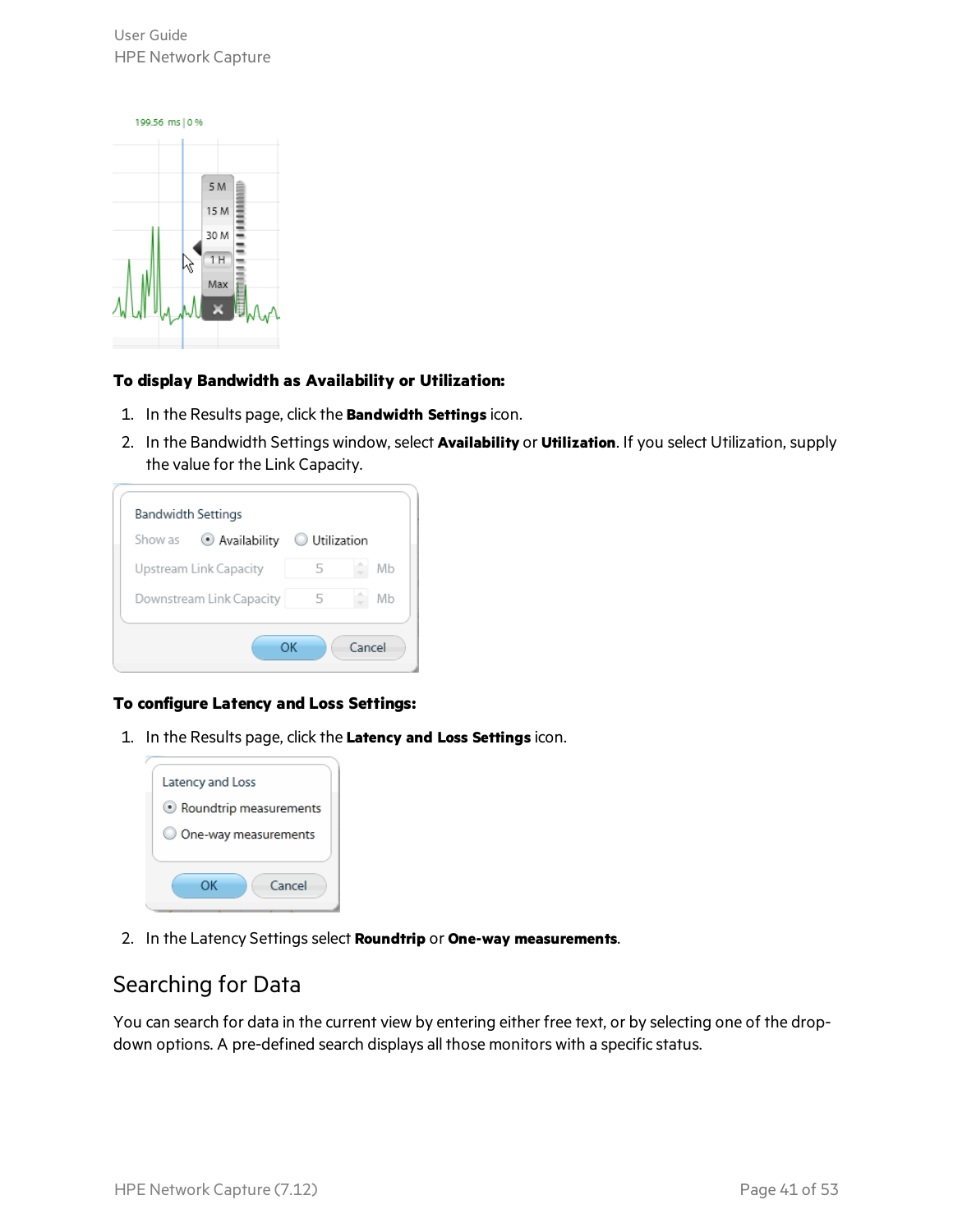User Guide HPE Network Capture

![](_page_40_Picture_1.jpeg)

#### **To display Bandwidth as Availability or Utilization:**

- 1. In the Results page, click the **Bandwidth Settings** icon.
- 2. In the Bandwidth Settings window, select **Availability** or **Utilization**. If you select Utilization, supply the value for the Link Capacity.

| Show as | Availability             | <b>Utilization</b> |    |
|---------|--------------------------|--------------------|----|
|         | Upstream Link Capacity   | 5                  | Mb |
|         | Downstream Link Capacity | 5                  | Mb |

#### **To configure Latency and Loss Settings:**

1. In the Results page, click the **Latency and Loss Settings** icon.

![](_page_40_Picture_8.jpeg)

<span id="page-40-0"></span>2. In the Latency Settingsselect **Roundtrip** or **One-way measurements**.

### Searching for Data

You can search for data in the current view by entering either free text, or by selecting one of the dropdown options. A pre-defined search displays all those monitors with a specific status.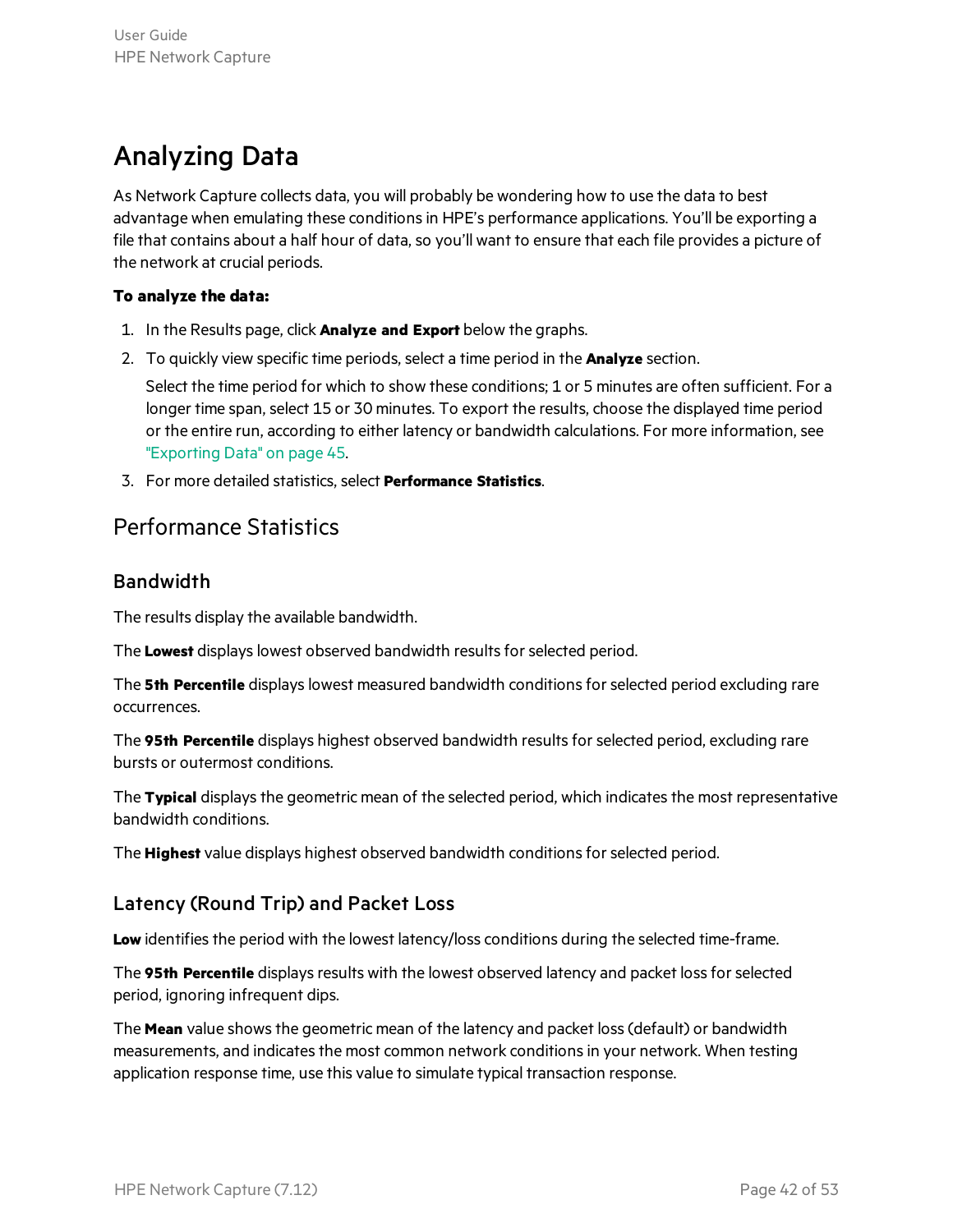### <span id="page-41-0"></span>Analyzing Data

As Network Capture collects data, you will probably be wondering how to use the data to best advantage when emulating these conditionsin HPE's performance applications. You'll be exporting a file that contains about a half hour of data, so you'll want to ensure that each file provides a picture of the network at crucial periods.

#### **To analyze the data:**

- 1. In the Results page, click **Analyze and Export** below the graphs.
- 2. To quickly view specific time periods, select a time period in the **Analyze** section.

Select the time period for which to show these conditions; 1 or 5 minutes are often sufficient. For a longer time span, select 15 or 30 minutes. To export the results, choose the displayed time period or the entire run, according to either latency or bandwidth calculations. For more information, see ["Exporting](#page-44-0) Data" on page 45.

<span id="page-41-1"></span>3. For more detailed statistics, select **Performance Statistics**.

#### Performance Statistics

#### Bandwidth

The results display the available bandwidth.

The Lowest displays lowest observed bandwidth results for selected period.

The **5th Percentile** displayslowest measured bandwidth conditionsforselected period excluding rare occurrences.

The **95th Percentile** displays highest observed bandwidth resultsforselected period, excluding rare bursts or outermost conditions.

The **Typical** displays the geometric mean of the selected period, which indicates the most representative bandwidth conditions.

The **Highest** value displays highest observed bandwidth conditionsforselected period.

#### Latency (Round Trip) and Packet Loss

Low identifies the period with the lowest latency/loss conditions during the selected time-frame.

The 95th Percentile displays results with the lowest observed latency and packet loss for selected period, ignoring infrequent dips.

The **Mean** value showsthe geometric mean of the latency and packet loss(default) or bandwidth measurements, and indicates the most common network conditions in your network. When testing application response time, use this value to simulate typical transaction response.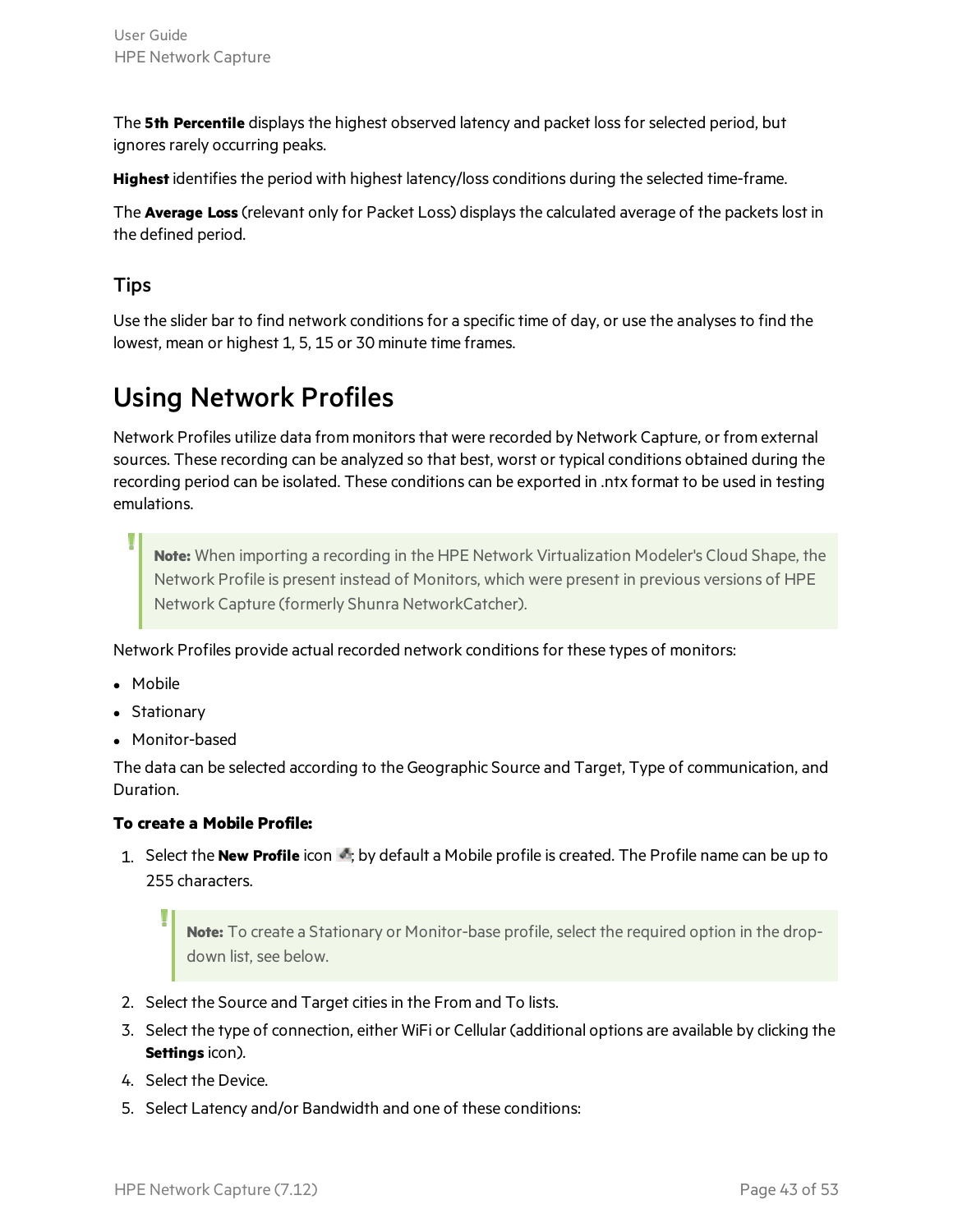The **5th Percentile** displays the highest observed latency and packet loss for selected period, but ignores rarely occurring peaks.

Highest identifies the period with highest latency/loss conditions during the selected time-frame.

The **Average Loss** (relevant only for Packet Loss) displaysthe calculated average of the packetslost in the defined period.

#### **Tips**

Use the slider bar to find network conditions for a specific time of day, or use the analyses to find the lowest, mean or highest 1, 5, 15 or 30 minute time frames.

### <span id="page-42-0"></span>Using Network Profiles

Network Profiles utilize data from monitors that were recorded by Network Capture, or from external sources. These recording can be analyzed so that best, worst or typical conditions obtained during the recording period can be isolated. These conditions can be exported in .ntx format to be used in testing emulations.

**Note:** When importing a recording in the HPE Network Virtualization Modeler's Cloud Shape, the Network Profile is present instead of Monitors, which were present in previous versions of HPE Network Capture (formerly Shunra NetworkCatcher).

Network Profiles provide actual recorded network conditionsfor these types of monitors:

- Mobile
- Stationary
- Monitor-based

The data can be selected according to the Geographic Source and Target, Type of communication, and Duration.

#### **To create a Mobile Profile:**

1. Select the **New Profile** icon : by default a Mobile profile is created. The Profile name can be up to 255 characters.

**Note:** To create a Stationary or Monitor-base profile, select the required option in the dropdown list, see below.

- 2. Select the Source and Target cities in the From and To lists.
- 3. Select the type of connection, either WiFi or Cellular (additional options are available by clicking the **Settings** icon).
- 4. Select the Device.
- 5. Select Latency and/or Bandwidth and one of these conditions: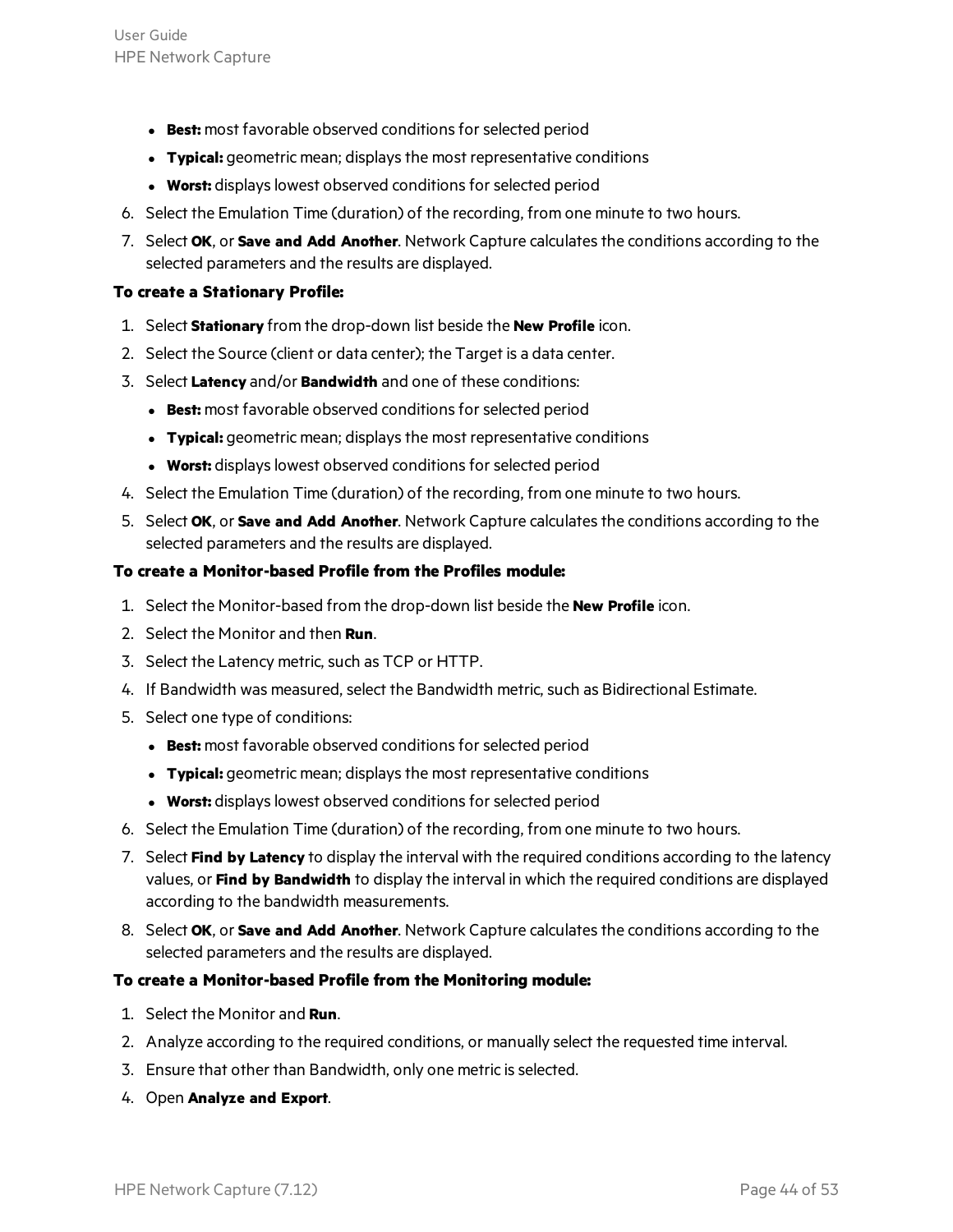- **Best:** most favorable observed conditions for selected period
- **Typical:** geometric mean; displays the most representative conditions
- **Worst:** displays lowest observed conditions for selected period
- 6. Select the Emulation Time (duration) of the recording, from one minute to two hours.
- 7. Select **OK**, or **Save and Add Another**. Network Capture calculatesthe conditions according to the selected parameters and the results are displayed.

#### **To create a Stationary Profile:**

- 1. Select **Stationary** from the drop-down list beside the **New Profile** icon.
- 2. Select the Source (client or data center); the Target is a data center.
- 3. Select **Latency** and/or **Bandwidth** and one of these conditions:
	- **Best:** most favorable observed conditions for selected period
	- **Typical:** geometric mean; displays the most representative conditions
	- **Worst:** displays lowest observed conditions for selected period
- 4. Select the Emulation Time (duration) of the recording, from one minute to two hours.
- 5. Select **OK**, or **Save and Add Another**. Network Capture calculatesthe conditions according to the selected parameters and the results are displayed.

#### **To create a Monitor-based Profile from the Profiles module:**

- 1. Select the Monitor-based from the drop-down list beside the **New Profile** icon.
- 2. Select the Monitor and then **Run**.
- 3. Select the Latency metric, such as TCP or HTTP.
- 4. If Bandwidth was measured, select the Bandwidth metric, such as Bidirectional Estimate.
- 5. Select one type of conditions:
	- **Best:** most favorable observed conditions for selected period
	- **Typical:** geometric mean; displays the most representative conditions
	- **Worst:** displays lowest observed conditions for selected period
- 6. Select the Emulation Time (duration) of the recording, from one minute to two hours.
- 7. Select **Find by Latency** to display the interval with the required conditions according to the latency values, or **Find by Bandwidth** to display the interval in which the required conditions are displayed according to the bandwidth measurements.
- 8. Select **OK**, or **Save and Add Another**. Network Capture calculatesthe conditions according to the selected parameters and the results are displayed.

#### **To create a Monitor-based Profile from the Monitoring module:**

- 1. Select the Monitor and **Run**.
- 2. Analyze according to the required conditions, or manually select the requested time interval.
- 3. Ensure that other than Bandwidth, only one metric is selected.
- 4. Open **Analyze and Export**.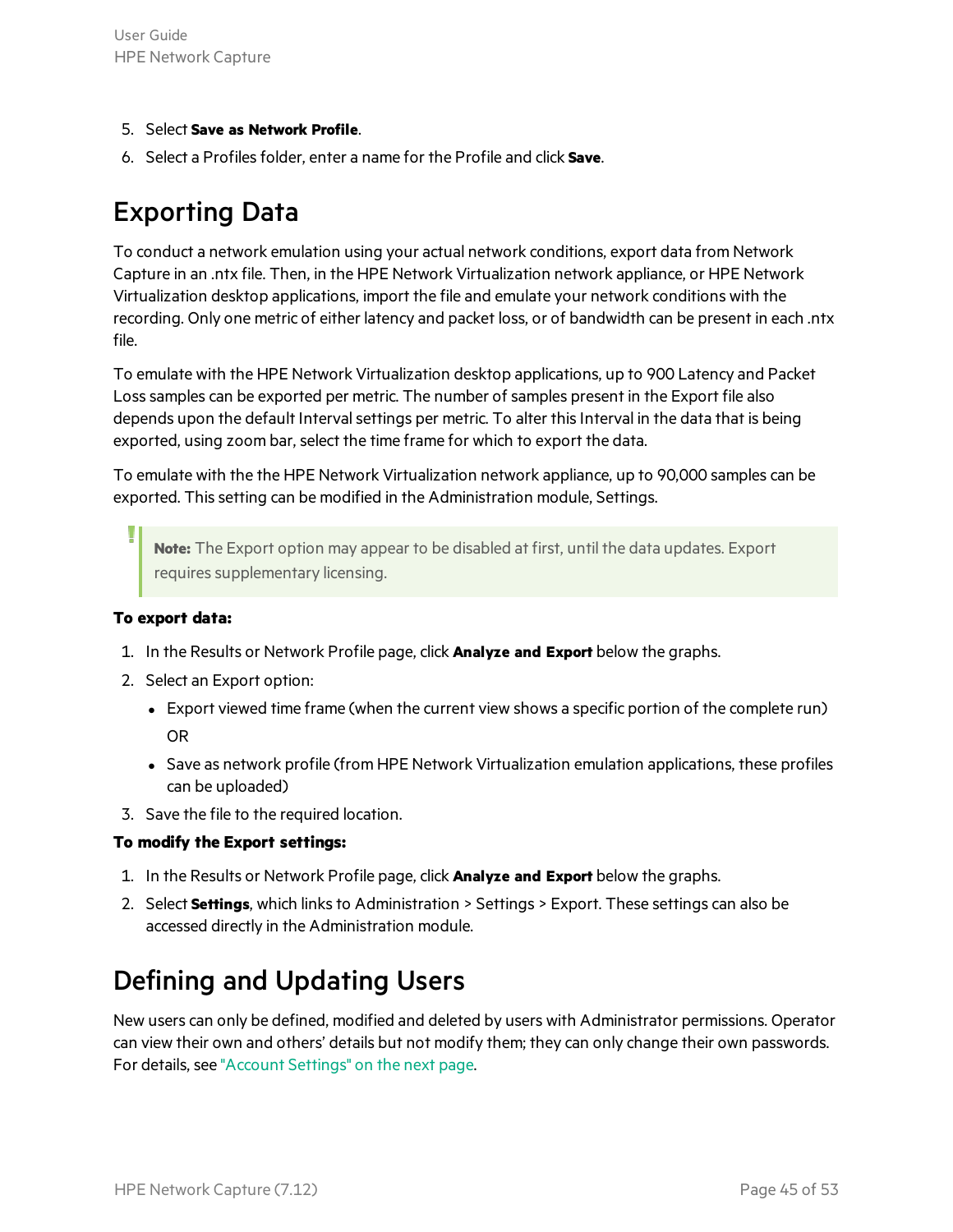- 5. Select **Save as Network Profile**.
- <span id="page-44-0"></span>6. Select a Profilesfolder, enter a name for the Profile and click **Save**.

### Exporting Data

To conduct a network emulation using your actual network conditions, export data from Network Capture in an .ntx file. Then, in the HPE Network Virtualization network appliance, or HPE Network Virtualization desktop applications, import the file and emulate your network conditions with the recording. Only one metric of either latency and packet loss, or of bandwidth can be present in each .ntx file.

To emulate with the HPE Network Virtualization desktop applications, up to 900 Latency and Packet Loss samples can be exported per metric. The number of samples present in the Export file also depends upon the default Interval settings per metric. To alter this Interval in the data that is being exported, using zoom bar, select the time frame for which to export the data.

To emulate with the the HPE Network Virtualization network appliance, up to 90,000 samples can be exported. Thissetting can be modified in the Administration module, Settings.

**Note:** The Export option may appear to be disabled at first, until the data updates. Export requires supplementary licensing.

#### **To export data:**

- 1. In the Results or Network Profile page, click **Analyze and Export** below the graphs.
- 2. Select an Export option:
	- Export viewed time frame (when the current view shows a specific portion of the complete run) OR
	- Save as network profile (from HPE Network Virtualization emulation applications, these profiles can be uploaded)
- 3. Save the file to the required location.

#### **To modify the Export settings:**

- 1. In the Results or Network Profile page, click **Analyze and Export** below the graphs.
- 2. Select **Settings**, which links to Administration > Settings > Export. These settings can also be accessed directly in the Administration module.

### <span id="page-44-1"></span>Defining and Updating Users

New users can only be defined, modified and deleted by users with Administrator permissions. Operator can view their own and others' details but not modify them; they can only change their own passwords. For details, see ["Account](#page-45-0) Settings" on the next page.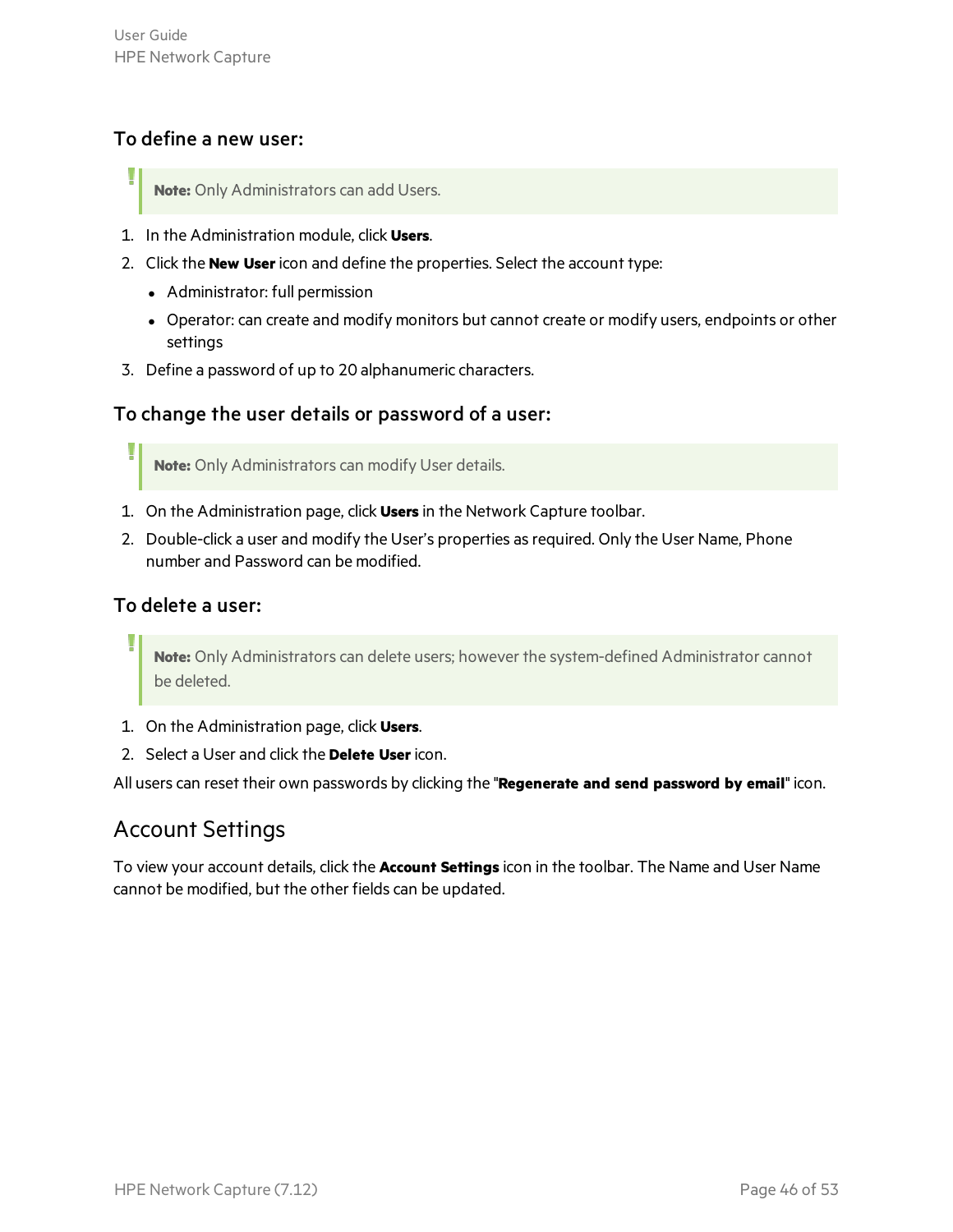#### To define a new user:

- **Note:** Only Administrators can add Users.
- 1. In the Administration module, click **Users**.
- 2. Click the **New User**icon and define the properties. Select the account type:
	- Administrator: full permission
	- Operator: can create and modify monitors but cannot create or modify users, endpoints or other settings
- 3. Define a password of up to 20 alphanumeric characters.

#### To change the user details or password of a user:

**Note:** Only Administrators can modify User details.

- 1. On the Administration page, click **Users** in the Network Capture toolbar.
- 2. Double-click a user and modify the User's properties as required. Only the User Name, Phone number and Password can be modified.

#### To delete a user:

**Note:** Only Administrators can delete users; however the system-defined Administrator cannot be deleted.

- 1. On the Administration page, click **Users**.
- 2. Select a User and click the **Delete User**icon.

<span id="page-45-0"></span>All users can reset their own passwords by clicking the "**Regenerate and send password by email**" icon.

#### Account Settings

To view your account details, click the **Account Settings** icon in the toolbar. The Name and User Name cannot be modified, but the other fields can be updated.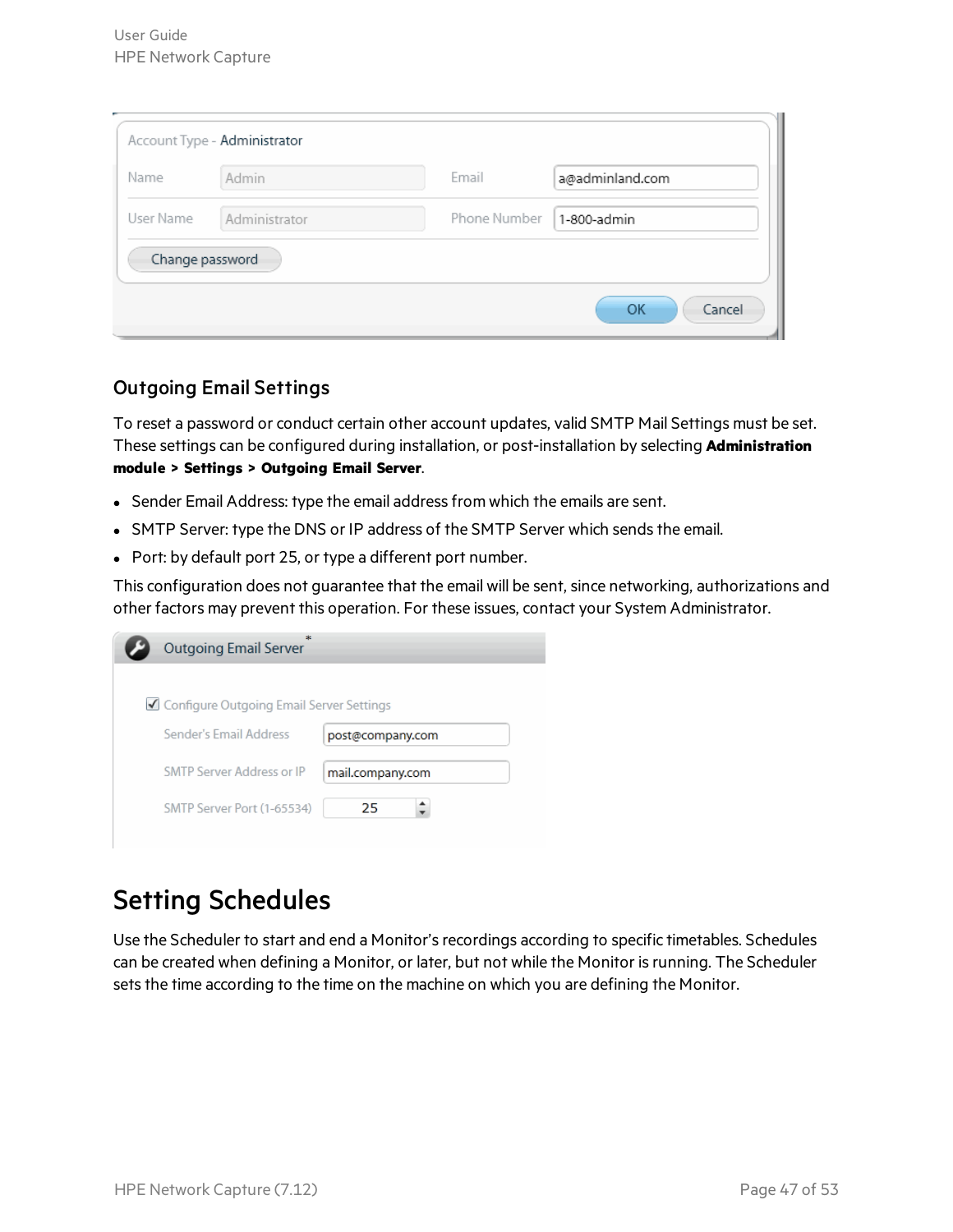| Name<br>Admin              |              |                 |
|----------------------------|--------------|-----------------|
|                            | Email        | a@adminland.com |
| User Name<br>Administrator | Phone Number | 1-800-admin     |
| Change password            |              |                 |

#### Outgoing Email Settings

To reset a password or conduct certain other account updates, valid SMTP Mail Settings must be set. These settings can be configured during installation, or post-installation by selecting **Administration module > Settings > Outgoing Email Server**.

- Sender Email Address: type the email address from which the emails are sent.
- SMTP Server: type the DNS or IP address of the SMTP Server which sends the email.
- Port: by default port 25, or type a different port number.

This configuration does not guarantee that the email will be sent, since networking, authorizations and other factors may prevent this operation. For these issues, contact your System Administrator.

| <b>Outgoing Email Server</b>               |                  |
|--------------------------------------------|------------------|
|                                            |                  |
| ■ Configure Outgoing Email Server Settings |                  |
| Sender's Email Address                     | post@company.com |
| SMTP Server Address or IP                  | mail.company.com |
| SMTP Server Port (1-65534)                 | 25               |

### <span id="page-46-0"></span>Setting Schedules

Use the Scheduler to start and end a Monitor's recordings according to specific timetables. Schedules can be created when defining a Monitor, or later, but not while the Monitor isrunning. The Scheduler sets the time according to the time on the machine on which you are defining the Monitor.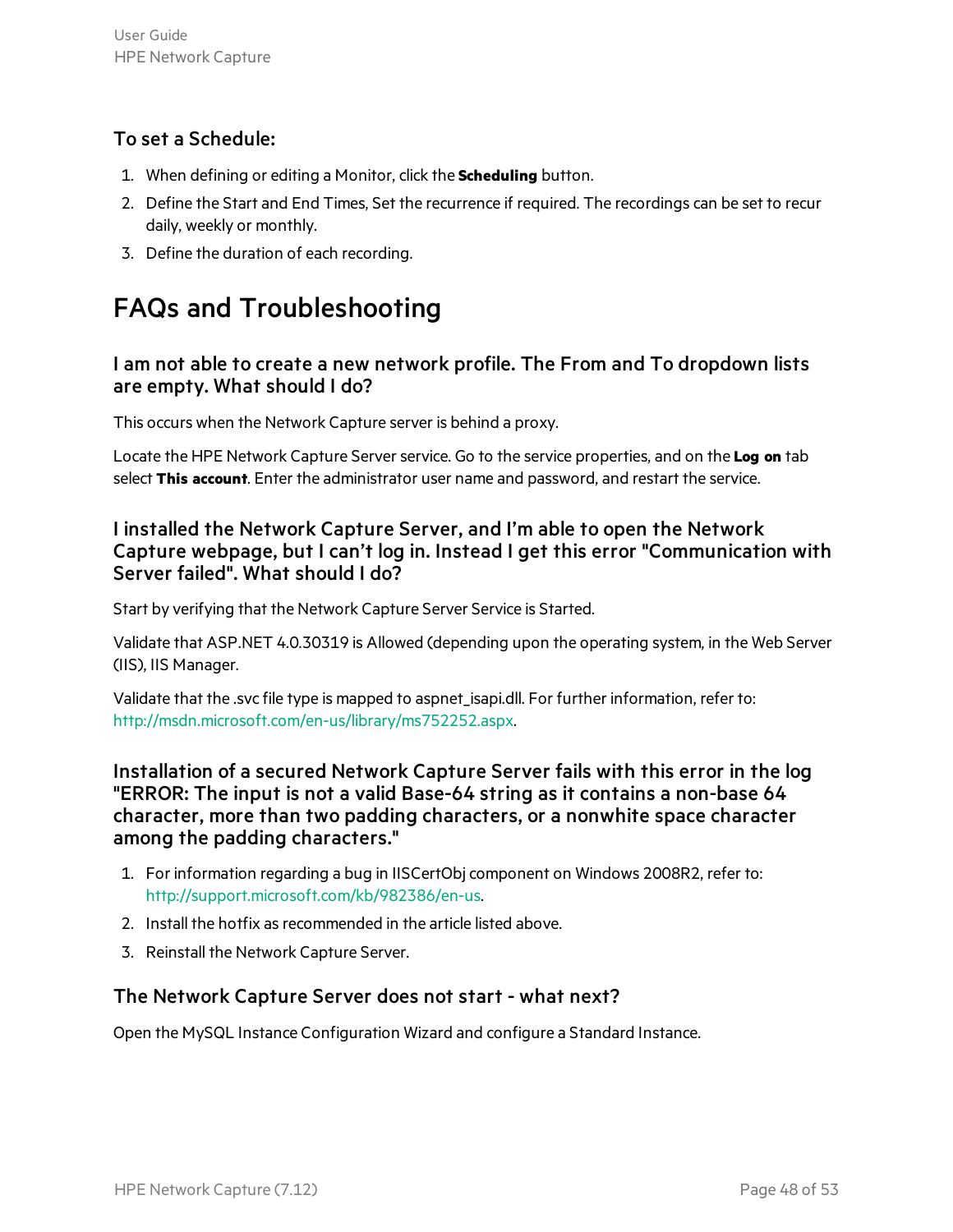#### To set a Schedule:

- 1. When defining or editing a Monitor, click the **Scheduling** button.
- 2. Define the Start and End Times, Set the recurrence if required. The recordings can be set to recur daily, weekly or monthly.
- 3. Define the duration of each recording.

## <span id="page-47-0"></span>FAQs and Troubleshooting

#### I am not able to create a new network profile. The From and To dropdown lists are empty. What should I do?

This occurs when the Network Capture server is behind a proxy.

Locate the HPE Network Capture Serverservice. Go to the service properties, and on the **Log on** tab select **This account**. Enter the administrator user name and password, and restart the service.

#### I installed the Network Capture Server, and I'm able to open the Network Capture webpage, but I can't log in. Instead I get this error "Communication with Server failed". What should I do?

Start by verifying that the Network Capture Server Service is Started.

Validate that ASP.NET 4.0.30319 is Allowed (depending upon the operating system, in the Web Server (IIS), IIS Manager.

Validate that the .svc file type is mapped to aspnet\_isapi.dll. For further information, refer to: <http://msdn.microsoft.com/en-us/library/ms752252.aspx>.

Installation of a secured Network Capture Server fails with this error in the log "ERROR: The input is not a valid Base-64 string as it contains a non-base 64 character, more than two padding characters, or a nonwhite space character among the padding characters."

- 1. For information regarding a bug in IISCertObj component on Windows 2008R2, refer to: <http://support.microsoft.com/kb/982386/en-us>.
- 2. Install the hotfix as recommended in the article listed above.
- 3. Reinstall the Network Capture Server.

#### The Network Capture Server does not start - what next?

Open the MySQL Instance Configuration Wizard and configure a Standard Instance.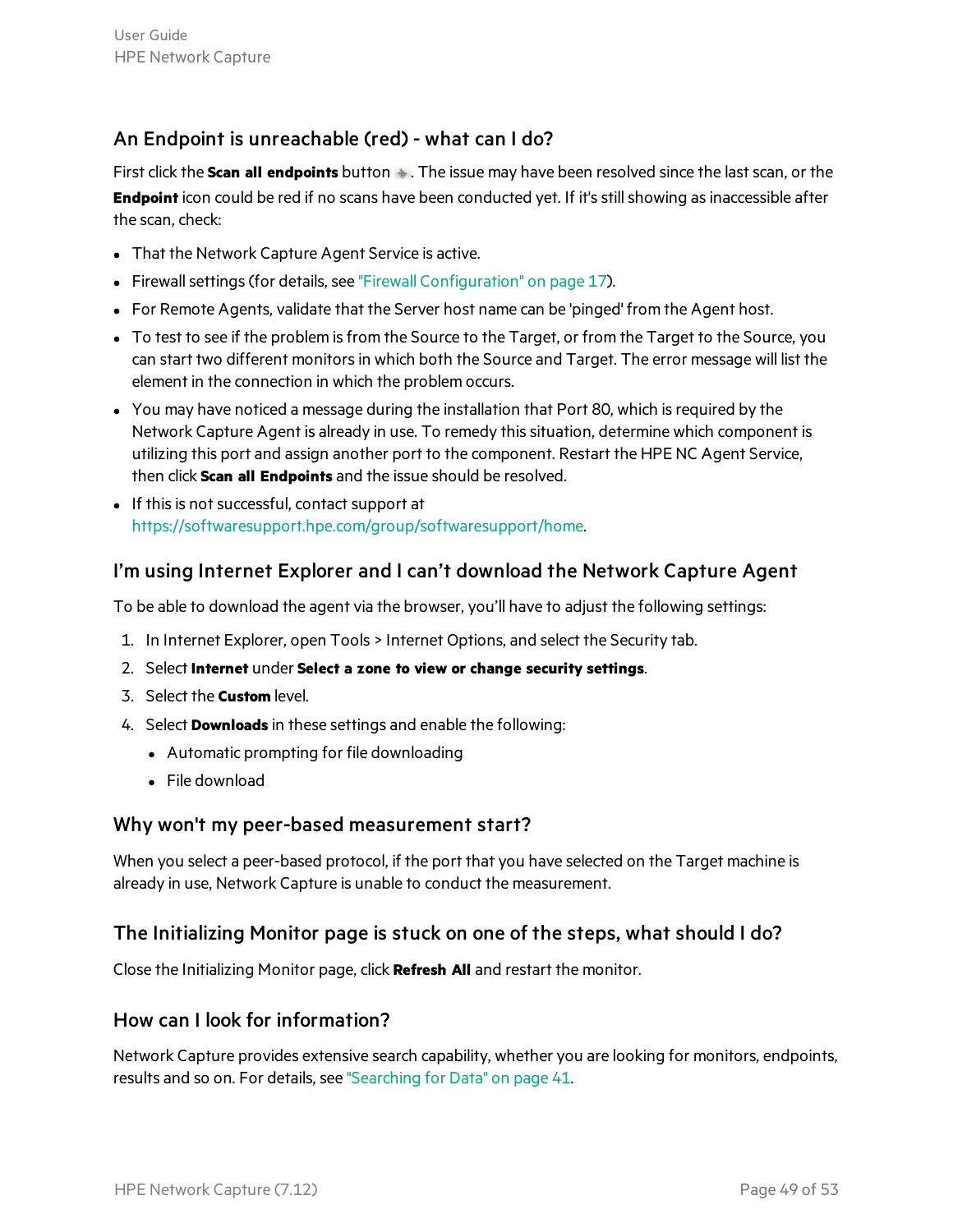#### An Endpoint is unreachable (red) - what can I do?

First click the **Scan all endpoints** button  $\bullet$ . The issue may have been resolved since the last scan, or the **Endpoint** icon could be red if no scans have been conducted yet. If it's still showing as inaccessible after the scan, check:

- That the Network Capture Agent Service is active.
- Firewall settings (for details, see "Firewall [Configuration"](#page-16-1) on page 17).
- For Remote Agents, validate that the Server host name can be 'pinged' from the Agent host.
- To test to see if the problem is from the Source to the Target, or from the Target to the Source, you can start two different monitors in which both the Source and Target. The error message will list the element in the connection in which the problem occurs.
- You may have noticed a message during the installation that Port 80, which is required by the Network Capture Agent is already in use. To remedy this situation, determine which component is utilizing this port and assign another port to the component. Restart the HPE NC Agent Service, then click **Scan all Endpoints** and the issue should be resolved.
- If this is not successful, contact support at <https://softwaresupport.hpe.com/group/softwaresupport/home>.

#### I'm using Internet Explorer and I can't download the Network Capture Agent

To be able to download the agent via the browser, you'll have to adjust the following settings:

- 1. In Internet Explorer, open Tools > Internet Options, and select the Security tab.
- 2. Select **Internet** under **Select a zone to view or change security settings**.
- 3. Select the **Custom** level.
- 4. Select **Downloads** in these settings and enable the following:
	- Automatic prompting for file downloading
	- $\bullet$  File download

#### Why won't my peer-based measurement start?

When you select a peer-based protocol, if the port that you have selected on the Target machine is already in use, Network Capture is unable to conduct the measurement.

#### The Initializing Monitor page is stuck on one of the steps, what should I do?

Close the Initializing Monitor page, click **Refresh All** and restart the monitor.

#### How can I look for information?

Network Capture provides extensive search capability, whether you are looking for monitors, endpoints, results and so on. For details, see ["Searching](#page-40-0) for Data" on page 41.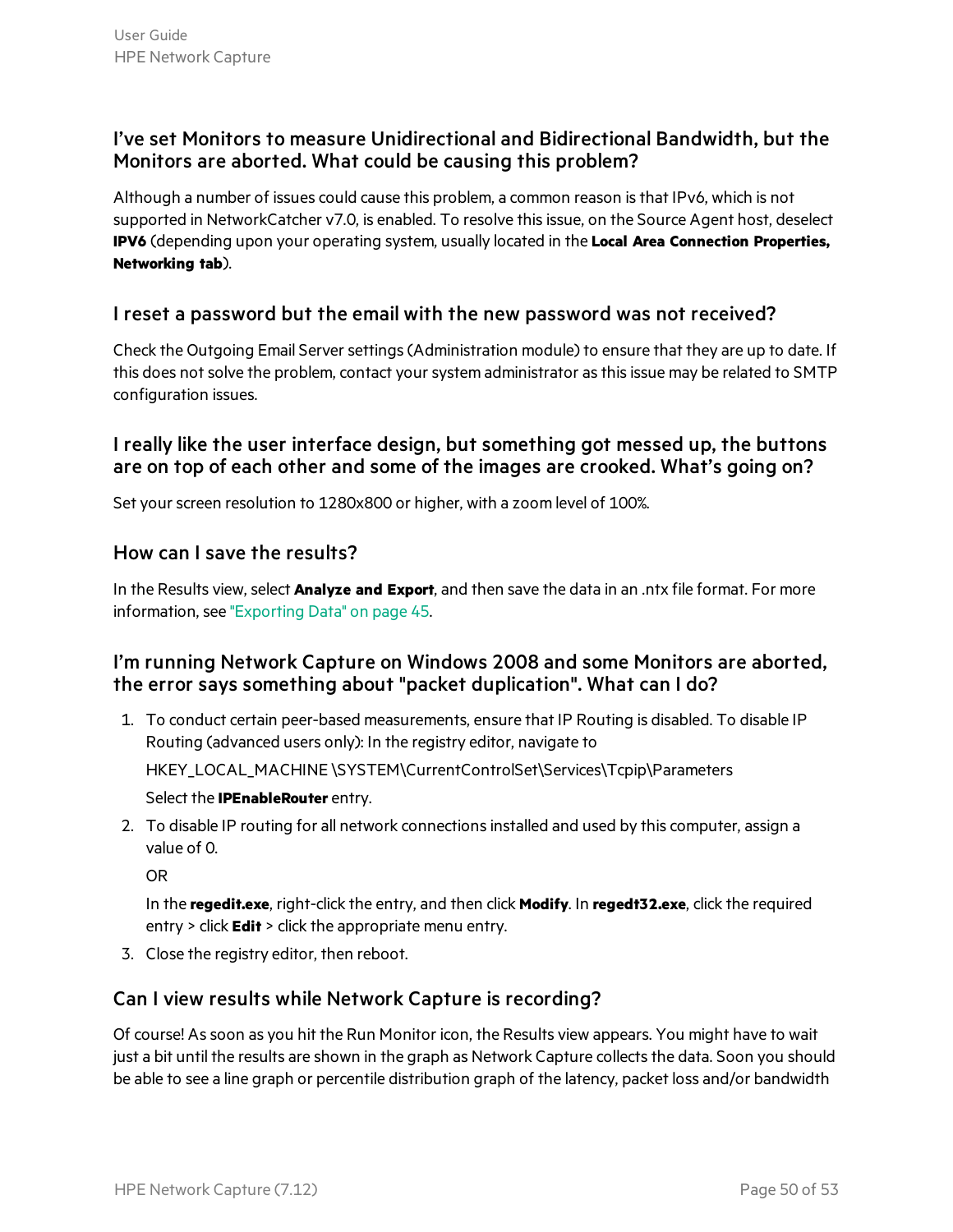#### I've set Monitors to measure Unidirectional and Bidirectional Bandwidth, but the Monitors are aborted. What could be causing this problem?

Although a number of issues could cause this problem, a common reason isthat IPv6, which is not supported in NetworkCatcher v7.0, is enabled. To resolve thisissue, on the Source Agent host, deselect **IPV6** (depending upon your operating system, usually located in the **Local Area Connection Properties, Networking tab**).

#### I reset a password but the email with the new password was not received?

Check the Outgoing Email Server settings (Administration module) to ensure that they are up to date. If this does not solve the problem, contact your system administrator as this issue may be related to SMTP configuration issues.

#### I really like the user interface design, but something got messed up, the buttons are on top of each other and some of the images are crooked. What's going on?

Set your screen resolution to 1280x800 or higher, with a zoom level of 100%.

#### How can I save the results?

In the Results view, select **Analyze and Export**, and then save the data in an .ntx file format. For more information, see ["Exporting](#page-44-0) Data" on page 45.

#### I'm running Network Capture on Windows 2008 and some Monitors are aborted, the error says something about "packet duplication". What can I do?

- 1. To conduct certain peer-based measurements, ensure that IP Routing is disabled. To disable IP Routing (advanced users only): In the registry editor, navigate to HKEY\_LOCAL\_MACHINE \SYSTEM\CurrentControlSet\Services\Tcpip\Parameters Select the **IPEnableRouter** entry.
- 2. To disable IP routing for all network connectionsinstalled and used by this computer, assign a value of 0.

OR

In the **regedit.exe**, right-click the entry, and then click **Modify**. In **regedt32.exe**, click the required entry > click **Edit** > click the appropriate menu entry.

3. Close the registry editor, then reboot.

#### Can I view results while Network Capture is recording?

Of course! Assoon as you hit the Run Monitor icon, the Results view appears. You might have to wait just a bit until the results are shown in the graph as Network Capture collects the data. Soon you should be able to see a line graph or percentile distribution graph of the latency, packet loss and/or bandwidth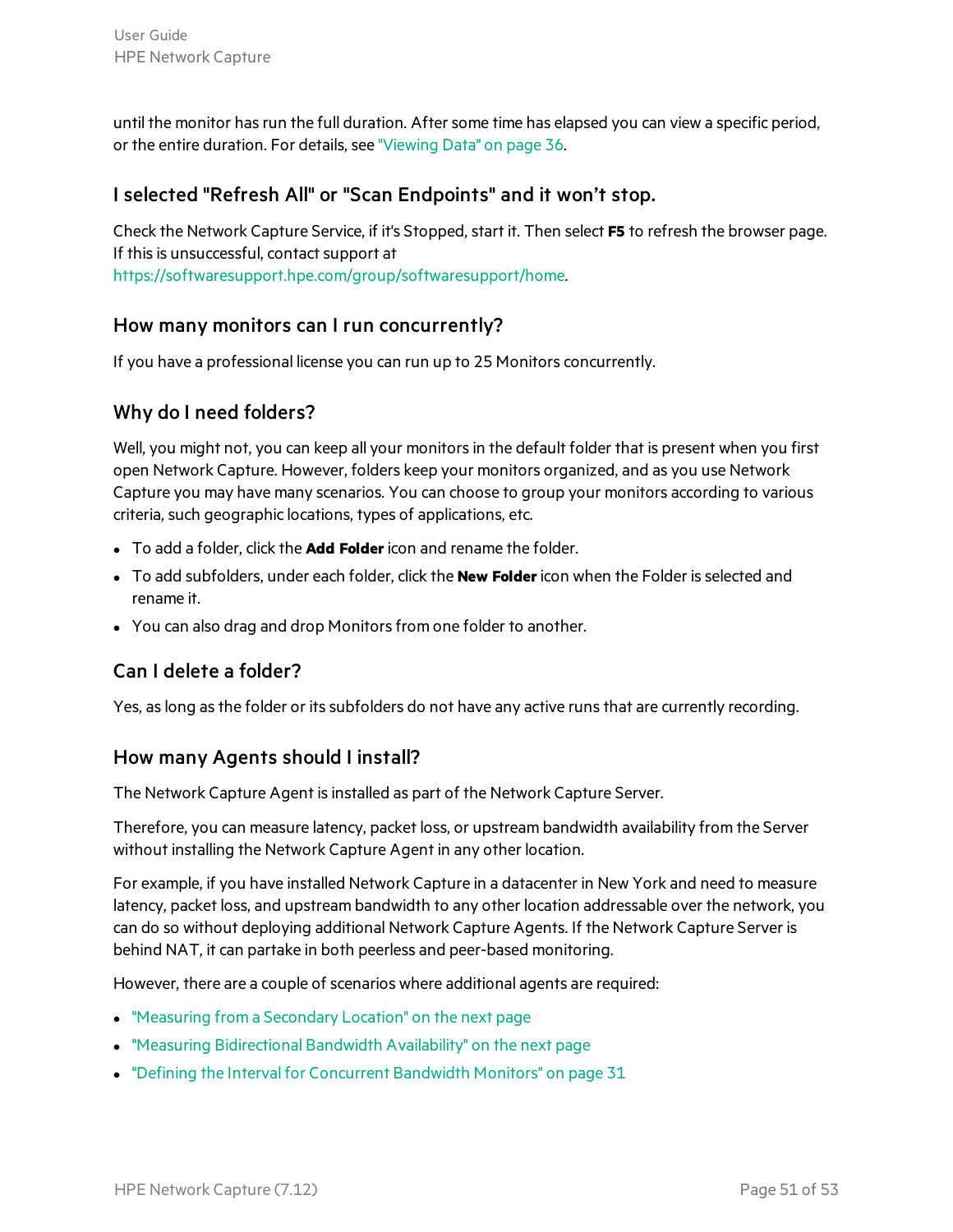until the monitor has run the full duration. After some time has elapsed you can view a specific period, or the entire duration. For details, see ["Viewing](#page-35-1) Data" on page 36.

#### I selected "Refresh All" or "Scan Endpoints" and it won't stop.

Check the Network Capture Service, if it's Stopped, start it. Then select **F5** to refresh the browser page. If this is unsuccessful, contact support at <https://softwaresupport.hpe.com/group/softwaresupport/home>.

#### How many monitors can I run concurrently?

If you have a professional license you can run up to 25 Monitors concurrently.

#### Why do I need folders?

Well, you might not, you can keep all your monitors in the default folder that is present when you first open Network Capture. However, folders keep your monitors organized, and as you use Network Capture you may have many scenarios. You can choose to group your monitors according to various criteria, such geographic locations, types of applications, etc.

- **•** To add a folder, click the **Add Folder** icon and rename the folder.
- <sup>l</sup> To add subfolders, under each folder, click the **New Folder**icon when the Folder isselected and rename it.
- You can also drag and drop Monitors from one folder to another.

#### Can I delete a folder?

Yes, as long as the folder or its subfolders do not have any active runs that are currently recording.

#### How many Agents should I install?

The Network Capture Agent is installed as part of the Network Capture Server.

Therefore, you can measure latency, packet loss, or upstream bandwidth availability from the Server without installing the Network Capture Agent in any other location.

For example, if you have installed Network Capture in a datacenter in New York and need to measure latency, packet loss, and upstream bandwidth to any other location addressable over the network, you can do so without deploying additional Network Capture Agents. If the Network Capture Server is behind NAT, it can partake in both peerless and peer-based monitoring.

However, there are a couple of scenarios where additional agents are required:

- ["Measuring](#page-51-1) from a Secondary Location" on the next page
- "Measuring [Bidirectional](#page-51-2) Bandwidth Availability" on the next page
- "Defining the Interval for [Concurrent](#page-30-0) Bandwidth Monitors" on page 31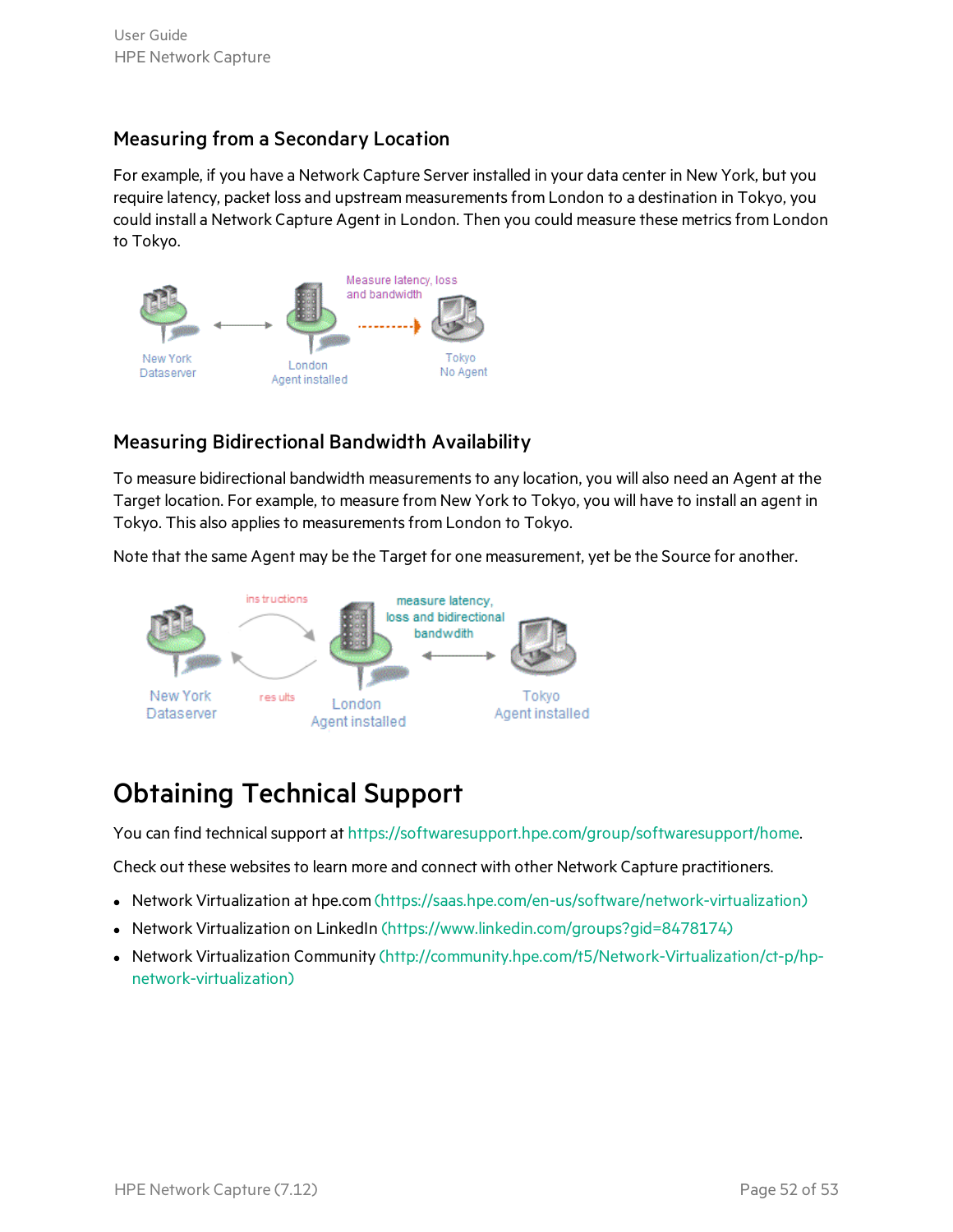#### <span id="page-51-1"></span>Measuring from a Secondary Location

For example, if you have a Network Capture Server installed in your data center in New York, but you require latency, packet loss and upstream measurementsfrom London to a destination in Tokyo, you could install a Network Capture Agent in London. Then you could measure these metrics from London to Tokyo.

![](_page_51_Figure_3.jpeg)

#### <span id="page-51-2"></span>Measuring Bidirectional Bandwidth Availability

To measure bidirectional bandwidth measurements to any location, you will also need an Agent at the Target location. For example, to measure from New York to Tokyo, you will have to install an agent in Tokyo. This also applies to measurements from London to Tokyo.

Note that the same Agent may be the Target for one measurement, yet be the Source for another.

![](_page_51_Figure_7.jpeg)

### <span id="page-51-0"></span>Obtaining Technical Support

You can find technical support at [https://softwaresupport.hpe.com/group/softwaresupport/home.](https://softwaresupport.hpe.com/group/softwaresupport/home)

Check out these websites to learn more and connect with other Network Capture practitioners.

- Network Virtualization at hpe.com [\(https://saas.hpe.com/en-us/software/network-virtualization\)](https://saas.hpe.com/en-us/software/network-virtualization)
- Network Virtualization on LinkedIn [\(https://www.linkedin.com/groups?gid=8478174\)](https://www.linkedin.com/groups?gid=8478174)
- Network Virtualization Community [\(http://community.hpe.com/t5/Network-Virtualization/ct-p/hp](http://community.hpe.com/t5/Network-Virtualization/ct-p/hp-network-virtualization)[network-virtualization\)](http://community.hpe.com/t5/Network-Virtualization/ct-p/hp-network-virtualization)